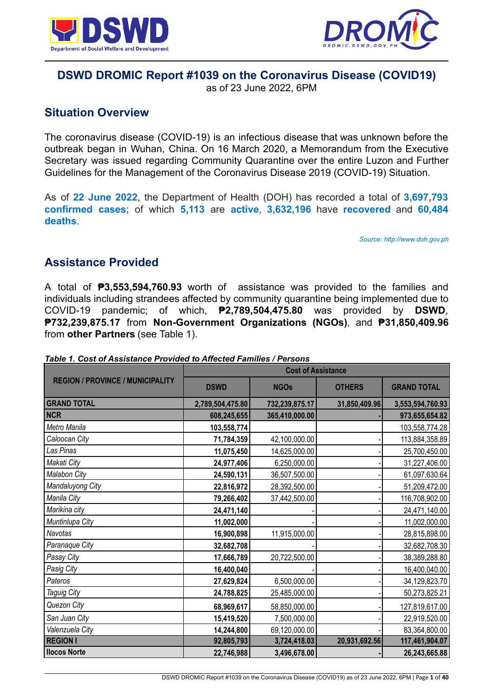



# **DSWD DROMIC Report #1039 on the Coronavirus Disease (COVID19)**

as of 23 June 2022, 6PM

# **Situation Overview**

The coronavirus disease (COVID-19) is an infectious disease that was unknown before the outbreak began in Wuhan, China. On 16 March 2020, a Memorandum from the Executive Secretary was issued regarding Community Quarantine over the entire Luzon and Further Guidelines for the Management of the Coronavirus Disease 2019 (COVID-19) Situation.

As of **22 June 2022**, the Department of Health (DOH) has recorded a total of **3,697,793 confirmed cases**; of which **5,113** are **active**, **3,632,196** have **recovered** and **60,484 deaths**.

*Source: http://www.doh.gov.ph*

# **Assistance Provided**

A total of **₱3,553,594,760.93** worth of assistance was provided to the families and individuals including strandees affected by community quarantine being implemented due to COVID-19 pandemic; of which, **₱2,789,504,475.80** was provided by **DSWD**, **₱732,239,875.17** from **Non-Government Organizations (NGOs)**, and **₱31,850,409.96** from **other Partners** (see Table 1).

|                                         | <b>Cost of Assistance</b> |                |               |                    |
|-----------------------------------------|---------------------------|----------------|---------------|--------------------|
| <b>REGION / PROVINCE / MUNICIPALITY</b> | <b>DSWD</b>               | <b>NGOs</b>    | <b>OTHERS</b> | <b>GRAND TOTAL</b> |
| <b>GRAND TOTAL</b>                      | 2,789,504,475.80          | 732,239,875.17 | 31,850,409.96 | 3,553,594,760.93   |
| <b>NCR</b>                              | 608,245,655               | 365,410,000.00 |               | 973,655,654.82     |
| Metro Manila                            | 103,558,774               |                |               | 103,558,774.28     |
| Caloocan City                           | 71,784,359                | 42,100,000.00  |               | 113,884,358.89     |
| Las Pinas                               | 11,075,450                | 14,625,000.00  |               | 25,700,450.00      |
| Makati City                             | 24,977,406                | 6,250,000.00   |               | 31,227,406.00      |
| <b>Malabon City</b>                     | 24,590,131                | 36,507,500.00  |               | 61,097,630.64      |
| Mandaluyong City                        | 22,816,972                | 28,392,500.00  |               | 51,209,472.00      |
| Manila City                             | 79,266,402                | 37,442,500.00  |               | 116,708,902.00     |
| Marikina city                           | 24,471,140                |                |               | 24,471,140.00      |
| Muntinlupa City                         | 11,002,000                |                |               | 11,002,000.00      |
| Navotas                                 | 16,900,898                | 11,915,000.00  |               | 28,815,898.00      |
| Paranaque City                          | 32,682,708                |                |               | 32,682,708.30      |
| Pasay City                              | 17,666,789                | 20,722,500.00  |               | 38,389,288.80      |
| Pasig City                              | 16,400,040                |                |               | 16,400,040.00      |
| Pateros                                 | 27,629,824                | 6,500,000.00   |               | 34,129,823.70      |
| Taguig City                             | 24,788,825                | 25,485,000.00  |               | 50,273,825.21      |
| Quezon City                             | 68,969,617                | 58,850,000.00  |               | 127,819,617.00     |
| San Juan City                           | 15,419,520                | 7,500,000.00   |               | 22,919,520.00      |
| Valenzuela City                         | 14,244,800                | 69,120,000.00  |               | 83,364,800.00      |
| <b>REGION I</b>                         | 92,805,793                | 3,724,418.03   | 20,931,692.56 | 117,461,904.07     |
| <b>Ilocos Norte</b>                     | 22,746,988                | 3,496,678.00   |               | 26,243,665.88      |

#### *Table 1. Cost of Assistance Provided to Affected Families / Persons*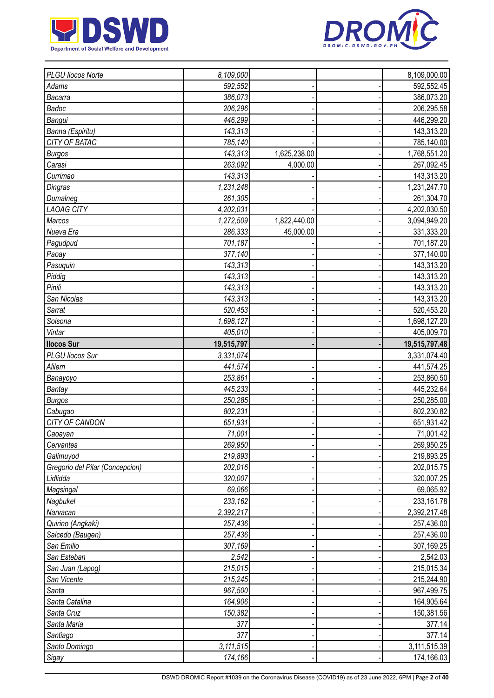



| PLGU Ilocos Norte               | 8,109,000            |              | 8,109,000.00               |
|---------------------------------|----------------------|--------------|----------------------------|
| Adams                           | 592,552              |              | 592,552.45                 |
| Bacarra                         | 386,073              |              | 386,073.20                 |
| Badoc                           | 206,296              |              | 206,295.58                 |
| Bangui                          | 446,299              |              | 446,299.20                 |
| Banna (Espiritu)                | 143,313              |              | 143,313.20                 |
| CITY OF BATAC                   | 785,140              |              | 785,140.00                 |
| <b>Burgos</b>                   | 143,313              | 1,625,238.00 | 1,768,551.20               |
| Carasi                          | 263,092              | 4,000.00     | 267,092.45                 |
| Currimao                        | 143,313              |              | 143,313.20                 |
| Dingras                         | 1,231,248            |              | 1,231,247.70               |
| Dumalneg                        | 261,305              |              | 261,304.70                 |
| <b>LAOAG CITY</b>               | 4,202,031            |              | 4,202,030.50               |
| Marcos                          | 1,272,509            | 1,822,440.00 | 3,094,949.20               |
| Nueva Era                       | 286,333              | 45,000.00    | 331,333.20                 |
| Pagudpud                        | 701,187              |              | 701,187.20                 |
| Paoay                           | 377,140              |              | 377,140.00                 |
| Pasuquin                        | 143,313              |              | 143,313.20                 |
| Piddig                          | 143,313              |              | 143,313.20                 |
| Pinili                          | 143,313              |              | 143,313.20                 |
| San Nicolas                     | 143,313              |              | 143,313.20                 |
| Sarrat                          | 520,453              |              | 520,453.20                 |
| Solsona                         | 1,698,127            |              | 1,698,127.20               |
| Vintar                          | 405,010              |              | 405,009.70                 |
| <b>Ilocos Sur</b>               | 19,515,797           |              | 19,515,797.48              |
| PLGU Ilocos Sur                 | 3,331,074            |              | 3,331,074.40               |
| Alilem                          | 441,574              |              | 441,574.25                 |
| Banayoyo                        | 253,861              |              | 253,860.50                 |
| Bantay                          | 445,233              |              | 445,232.64                 |
| <b>Burgos</b>                   | 250,285              |              | 250,285.00                 |
| Cabugao                         | 802,231              |              | 802,230.82                 |
| CITY OF CANDON                  | 651,931              |              | 651,931.42                 |
| Caoayan                         | 71,001               |              | 71,001.42                  |
| Cervantes                       | 269,950              |              | 269,950.25                 |
| Galimuyod                       | 219,893              |              | 219,893.25                 |
| Gregorio del Pilar (Concepcion) | 202,016              |              | 202,015.75                 |
| Lidlidda                        | 320,007              |              | 320,007.25                 |
| Magsingal                       | 69,066               |              | 69,065.92                  |
| Nagbukel                        | 233,162              |              | 233,161.78                 |
| Narvacan                        | 2,392,217            |              | 2,392,217.48               |
| Quirino (Angkaki)               | 257,436              |              | 257,436.00                 |
| Salcedo (Baugen)                | 257,436              |              | 257,436.00                 |
| San Emilio                      | 307,169              |              | 307,169.25                 |
| San Esteban                     | 2,542                |              | 2,542.03                   |
| San Juan (Lapog)                | 215,015              |              | 215,015.34                 |
| San Vicente                     | 215,245              |              | 215,244.90                 |
| Santa                           | 967,500              |              | 967,499.75                 |
| Santa Catalina                  |                      |              | 164,905.64                 |
| Santa Cruz                      |                      |              |                            |
|                                 | 164,906              |              |                            |
|                                 | 150,382              |              | 150,381.56                 |
| Santa Maria                     | 377                  |              | 377.14                     |
| Santiago                        | 377                  |              | 377.14                     |
| Santo Domingo<br>Sigay          | 3,111,515<br>174,166 |              | 3,111,515.39<br>174,166.03 |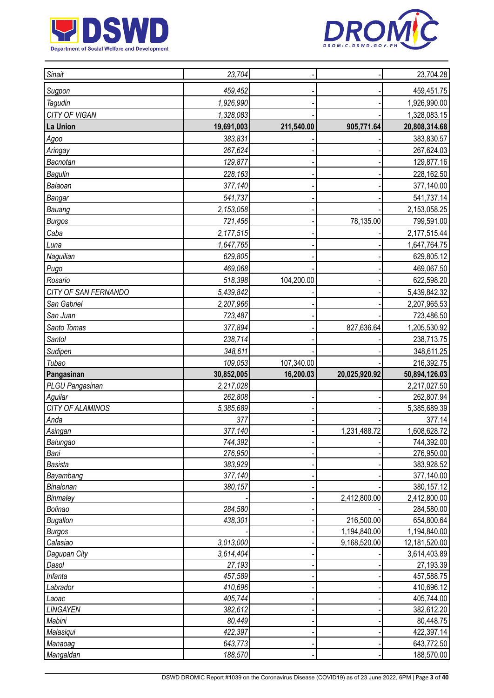



| Sugpon<br>459,452<br>459,451.75<br>Tagudin<br>1,926,990<br>1,926,990.00<br>CITY OF VIGAN<br>1,328,083<br>1,328,083.15<br>La Union<br>211,540.00<br>905,771.64<br>20,808,314.68<br>19,691,003<br>383,830.57<br>383,831<br>Agoo<br>267,624<br>267,624.03<br>Aringay<br>Bacnotan<br>129,877<br>129,877.16<br>Bagulin<br>228,163<br>228,162.50<br>Balaoan<br>377,140.00<br>377,140<br>Bangar<br>541,737<br>541,737.14<br>2,153,058<br>2,153,058.25<br>Bauang<br>721,456<br>78,135.00<br><b>Burgos</b><br>799,591.00<br>Caba<br>2,177,515.44<br>2,177,515<br>1,647,765<br>1,647,764.75<br>Luna<br>629,805<br>629,805.12<br>Naguilian<br>469,068<br>469,067.50<br>Pugo<br>518,398<br>104,200.00<br>622,598.20<br>Rosario<br>CITY OF SAN FERNANDO<br>5,439,842<br>5,439,842.32<br>San Gabriel<br>2,207,965.53<br>2,207,966<br>San Juan<br>723,486.50<br>723,487<br>827,636.64<br>Santo Tomas<br>377,894<br>1,205,530.92<br>238,714<br>Santol<br>238,713.75<br>Sudipen<br>348,611<br>348,611.25<br>Tubao<br>109,053<br>107,340.00<br>216,392.75<br>Pangasinan<br>30,852,005<br>16,200.03<br>20,025,920.92<br>50,894,126.03<br>PLGU Pangasinan<br>2,217,028<br>2,217,027.50<br>262,808<br>262,807.94<br>Aguilar<br>CITY OF ALAMINOS<br>5,385,689<br>5,385,689.39<br>Anda<br>377<br>377.14<br>377,140<br>1,608,628.72<br>Asingan<br>1,231,488.72<br>Balungao<br>744,392<br>744,392.00<br>276,950<br>276,950.00<br>Bani<br>383,929<br>383,928.52<br><b>Basista</b><br>Bayambang<br>377,140<br>377,140.00<br>Binalonan<br>380,157<br>380,157.12<br>2,412,800.00<br>Binmaley<br>2,412,800.00<br>284,580<br>284,580.00<br>Bolinao<br>216,500.00<br><b>Bugallon</b><br>438,301<br>654,800.64<br>1,194,840.00<br>1,194,840.00<br><b>Burgos</b><br>9,168,520.00<br>3,013,000<br>12,181,520.00<br>Calasiao<br>3,614,404<br>3,614,403.89<br>Dagupan City<br>Dasol<br>27,193<br>27,193.39<br>Infanta<br>457,588.75<br>457,589<br>410,696.12<br>410,696<br>Labrador<br>405,744<br>405,744.00<br>Laoac<br>LINGAYEN<br>382,612<br>382,612.20<br>Mabini<br>80,449<br>80,448.75<br>422,397<br>422,397.14<br>Malasiqui<br>643,773<br>643,772.50<br>Manaoag | Sinait | 23,704 |  | 23,704.28 |
|----------------------------------------------------------------------------------------------------------------------------------------------------------------------------------------------------------------------------------------------------------------------------------------------------------------------------------------------------------------------------------------------------------------------------------------------------------------------------------------------------------------------------------------------------------------------------------------------------------------------------------------------------------------------------------------------------------------------------------------------------------------------------------------------------------------------------------------------------------------------------------------------------------------------------------------------------------------------------------------------------------------------------------------------------------------------------------------------------------------------------------------------------------------------------------------------------------------------------------------------------------------------------------------------------------------------------------------------------------------------------------------------------------------------------------------------------------------------------------------------------------------------------------------------------------------------------------------------------------------------------------------------------------------------------------------------------------------------------------------------------------------------------------------------------------------------------------------------------------------------------------------------------------------------------------------------------------------------------------------------------------------------------------------------------------------------------------------------------------------------------------|--------|--------|--|-----------|
|                                                                                                                                                                                                                                                                                                                                                                                                                                                                                                                                                                                                                                                                                                                                                                                                                                                                                                                                                                                                                                                                                                                                                                                                                                                                                                                                                                                                                                                                                                                                                                                                                                                                                                                                                                                                                                                                                                                                                                                                                                                                                                                                  |        |        |  |           |
|                                                                                                                                                                                                                                                                                                                                                                                                                                                                                                                                                                                                                                                                                                                                                                                                                                                                                                                                                                                                                                                                                                                                                                                                                                                                                                                                                                                                                                                                                                                                                                                                                                                                                                                                                                                                                                                                                                                                                                                                                                                                                                                                  |        |        |  |           |
|                                                                                                                                                                                                                                                                                                                                                                                                                                                                                                                                                                                                                                                                                                                                                                                                                                                                                                                                                                                                                                                                                                                                                                                                                                                                                                                                                                                                                                                                                                                                                                                                                                                                                                                                                                                                                                                                                                                                                                                                                                                                                                                                  |        |        |  |           |
|                                                                                                                                                                                                                                                                                                                                                                                                                                                                                                                                                                                                                                                                                                                                                                                                                                                                                                                                                                                                                                                                                                                                                                                                                                                                                                                                                                                                                                                                                                                                                                                                                                                                                                                                                                                                                                                                                                                                                                                                                                                                                                                                  |        |        |  |           |
|                                                                                                                                                                                                                                                                                                                                                                                                                                                                                                                                                                                                                                                                                                                                                                                                                                                                                                                                                                                                                                                                                                                                                                                                                                                                                                                                                                                                                                                                                                                                                                                                                                                                                                                                                                                                                                                                                                                                                                                                                                                                                                                                  |        |        |  |           |
|                                                                                                                                                                                                                                                                                                                                                                                                                                                                                                                                                                                                                                                                                                                                                                                                                                                                                                                                                                                                                                                                                                                                                                                                                                                                                                                                                                                                                                                                                                                                                                                                                                                                                                                                                                                                                                                                                                                                                                                                                                                                                                                                  |        |        |  |           |
|                                                                                                                                                                                                                                                                                                                                                                                                                                                                                                                                                                                                                                                                                                                                                                                                                                                                                                                                                                                                                                                                                                                                                                                                                                                                                                                                                                                                                                                                                                                                                                                                                                                                                                                                                                                                                                                                                                                                                                                                                                                                                                                                  |        |        |  |           |
|                                                                                                                                                                                                                                                                                                                                                                                                                                                                                                                                                                                                                                                                                                                                                                                                                                                                                                                                                                                                                                                                                                                                                                                                                                                                                                                                                                                                                                                                                                                                                                                                                                                                                                                                                                                                                                                                                                                                                                                                                                                                                                                                  |        |        |  |           |
|                                                                                                                                                                                                                                                                                                                                                                                                                                                                                                                                                                                                                                                                                                                                                                                                                                                                                                                                                                                                                                                                                                                                                                                                                                                                                                                                                                                                                                                                                                                                                                                                                                                                                                                                                                                                                                                                                                                                                                                                                                                                                                                                  |        |        |  |           |
|                                                                                                                                                                                                                                                                                                                                                                                                                                                                                                                                                                                                                                                                                                                                                                                                                                                                                                                                                                                                                                                                                                                                                                                                                                                                                                                                                                                                                                                                                                                                                                                                                                                                                                                                                                                                                                                                                                                                                                                                                                                                                                                                  |        |        |  |           |
|                                                                                                                                                                                                                                                                                                                                                                                                                                                                                                                                                                                                                                                                                                                                                                                                                                                                                                                                                                                                                                                                                                                                                                                                                                                                                                                                                                                                                                                                                                                                                                                                                                                                                                                                                                                                                                                                                                                                                                                                                                                                                                                                  |        |        |  |           |
|                                                                                                                                                                                                                                                                                                                                                                                                                                                                                                                                                                                                                                                                                                                                                                                                                                                                                                                                                                                                                                                                                                                                                                                                                                                                                                                                                                                                                                                                                                                                                                                                                                                                                                                                                                                                                                                                                                                                                                                                                                                                                                                                  |        |        |  |           |
|                                                                                                                                                                                                                                                                                                                                                                                                                                                                                                                                                                                                                                                                                                                                                                                                                                                                                                                                                                                                                                                                                                                                                                                                                                                                                                                                                                                                                                                                                                                                                                                                                                                                                                                                                                                                                                                                                                                                                                                                                                                                                                                                  |        |        |  |           |
|                                                                                                                                                                                                                                                                                                                                                                                                                                                                                                                                                                                                                                                                                                                                                                                                                                                                                                                                                                                                                                                                                                                                                                                                                                                                                                                                                                                                                                                                                                                                                                                                                                                                                                                                                                                                                                                                                                                                                                                                                                                                                                                                  |        |        |  |           |
|                                                                                                                                                                                                                                                                                                                                                                                                                                                                                                                                                                                                                                                                                                                                                                                                                                                                                                                                                                                                                                                                                                                                                                                                                                                                                                                                                                                                                                                                                                                                                                                                                                                                                                                                                                                                                                                                                                                                                                                                                                                                                                                                  |        |        |  |           |
|                                                                                                                                                                                                                                                                                                                                                                                                                                                                                                                                                                                                                                                                                                                                                                                                                                                                                                                                                                                                                                                                                                                                                                                                                                                                                                                                                                                                                                                                                                                                                                                                                                                                                                                                                                                                                                                                                                                                                                                                                                                                                                                                  |        |        |  |           |
|                                                                                                                                                                                                                                                                                                                                                                                                                                                                                                                                                                                                                                                                                                                                                                                                                                                                                                                                                                                                                                                                                                                                                                                                                                                                                                                                                                                                                                                                                                                                                                                                                                                                                                                                                                                                                                                                                                                                                                                                                                                                                                                                  |        |        |  |           |
|                                                                                                                                                                                                                                                                                                                                                                                                                                                                                                                                                                                                                                                                                                                                                                                                                                                                                                                                                                                                                                                                                                                                                                                                                                                                                                                                                                                                                                                                                                                                                                                                                                                                                                                                                                                                                                                                                                                                                                                                                                                                                                                                  |        |        |  |           |
|                                                                                                                                                                                                                                                                                                                                                                                                                                                                                                                                                                                                                                                                                                                                                                                                                                                                                                                                                                                                                                                                                                                                                                                                                                                                                                                                                                                                                                                                                                                                                                                                                                                                                                                                                                                                                                                                                                                                                                                                                                                                                                                                  |        |        |  |           |
|                                                                                                                                                                                                                                                                                                                                                                                                                                                                                                                                                                                                                                                                                                                                                                                                                                                                                                                                                                                                                                                                                                                                                                                                                                                                                                                                                                                                                                                                                                                                                                                                                                                                                                                                                                                                                                                                                                                                                                                                                                                                                                                                  |        |        |  |           |
|                                                                                                                                                                                                                                                                                                                                                                                                                                                                                                                                                                                                                                                                                                                                                                                                                                                                                                                                                                                                                                                                                                                                                                                                                                                                                                                                                                                                                                                                                                                                                                                                                                                                                                                                                                                                                                                                                                                                                                                                                                                                                                                                  |        |        |  |           |
|                                                                                                                                                                                                                                                                                                                                                                                                                                                                                                                                                                                                                                                                                                                                                                                                                                                                                                                                                                                                                                                                                                                                                                                                                                                                                                                                                                                                                                                                                                                                                                                                                                                                                                                                                                                                                                                                                                                                                                                                                                                                                                                                  |        |        |  |           |
|                                                                                                                                                                                                                                                                                                                                                                                                                                                                                                                                                                                                                                                                                                                                                                                                                                                                                                                                                                                                                                                                                                                                                                                                                                                                                                                                                                                                                                                                                                                                                                                                                                                                                                                                                                                                                                                                                                                                                                                                                                                                                                                                  |        |        |  |           |
|                                                                                                                                                                                                                                                                                                                                                                                                                                                                                                                                                                                                                                                                                                                                                                                                                                                                                                                                                                                                                                                                                                                                                                                                                                                                                                                                                                                                                                                                                                                                                                                                                                                                                                                                                                                                                                                                                                                                                                                                                                                                                                                                  |        |        |  |           |
|                                                                                                                                                                                                                                                                                                                                                                                                                                                                                                                                                                                                                                                                                                                                                                                                                                                                                                                                                                                                                                                                                                                                                                                                                                                                                                                                                                                                                                                                                                                                                                                                                                                                                                                                                                                                                                                                                                                                                                                                                                                                                                                                  |        |        |  |           |
|                                                                                                                                                                                                                                                                                                                                                                                                                                                                                                                                                                                                                                                                                                                                                                                                                                                                                                                                                                                                                                                                                                                                                                                                                                                                                                                                                                                                                                                                                                                                                                                                                                                                                                                                                                                                                                                                                                                                                                                                                                                                                                                                  |        |        |  |           |
|                                                                                                                                                                                                                                                                                                                                                                                                                                                                                                                                                                                                                                                                                                                                                                                                                                                                                                                                                                                                                                                                                                                                                                                                                                                                                                                                                                                                                                                                                                                                                                                                                                                                                                                                                                                                                                                                                                                                                                                                                                                                                                                                  |        |        |  |           |
|                                                                                                                                                                                                                                                                                                                                                                                                                                                                                                                                                                                                                                                                                                                                                                                                                                                                                                                                                                                                                                                                                                                                                                                                                                                                                                                                                                                                                                                                                                                                                                                                                                                                                                                                                                                                                                                                                                                                                                                                                                                                                                                                  |        |        |  |           |
|                                                                                                                                                                                                                                                                                                                                                                                                                                                                                                                                                                                                                                                                                                                                                                                                                                                                                                                                                                                                                                                                                                                                                                                                                                                                                                                                                                                                                                                                                                                                                                                                                                                                                                                                                                                                                                                                                                                                                                                                                                                                                                                                  |        |        |  |           |
|                                                                                                                                                                                                                                                                                                                                                                                                                                                                                                                                                                                                                                                                                                                                                                                                                                                                                                                                                                                                                                                                                                                                                                                                                                                                                                                                                                                                                                                                                                                                                                                                                                                                                                                                                                                                                                                                                                                                                                                                                                                                                                                                  |        |        |  |           |
|                                                                                                                                                                                                                                                                                                                                                                                                                                                                                                                                                                                                                                                                                                                                                                                                                                                                                                                                                                                                                                                                                                                                                                                                                                                                                                                                                                                                                                                                                                                                                                                                                                                                                                                                                                                                                                                                                                                                                                                                                                                                                                                                  |        |        |  |           |
|                                                                                                                                                                                                                                                                                                                                                                                                                                                                                                                                                                                                                                                                                                                                                                                                                                                                                                                                                                                                                                                                                                                                                                                                                                                                                                                                                                                                                                                                                                                                                                                                                                                                                                                                                                                                                                                                                                                                                                                                                                                                                                                                  |        |        |  |           |
|                                                                                                                                                                                                                                                                                                                                                                                                                                                                                                                                                                                                                                                                                                                                                                                                                                                                                                                                                                                                                                                                                                                                                                                                                                                                                                                                                                                                                                                                                                                                                                                                                                                                                                                                                                                                                                                                                                                                                                                                                                                                                                                                  |        |        |  |           |
|                                                                                                                                                                                                                                                                                                                                                                                                                                                                                                                                                                                                                                                                                                                                                                                                                                                                                                                                                                                                                                                                                                                                                                                                                                                                                                                                                                                                                                                                                                                                                                                                                                                                                                                                                                                                                                                                                                                                                                                                                                                                                                                                  |        |        |  |           |
|                                                                                                                                                                                                                                                                                                                                                                                                                                                                                                                                                                                                                                                                                                                                                                                                                                                                                                                                                                                                                                                                                                                                                                                                                                                                                                                                                                                                                                                                                                                                                                                                                                                                                                                                                                                                                                                                                                                                                                                                                                                                                                                                  |        |        |  |           |
|                                                                                                                                                                                                                                                                                                                                                                                                                                                                                                                                                                                                                                                                                                                                                                                                                                                                                                                                                                                                                                                                                                                                                                                                                                                                                                                                                                                                                                                                                                                                                                                                                                                                                                                                                                                                                                                                                                                                                                                                                                                                                                                                  |        |        |  |           |
|                                                                                                                                                                                                                                                                                                                                                                                                                                                                                                                                                                                                                                                                                                                                                                                                                                                                                                                                                                                                                                                                                                                                                                                                                                                                                                                                                                                                                                                                                                                                                                                                                                                                                                                                                                                                                                                                                                                                                                                                                                                                                                                                  |        |        |  |           |
|                                                                                                                                                                                                                                                                                                                                                                                                                                                                                                                                                                                                                                                                                                                                                                                                                                                                                                                                                                                                                                                                                                                                                                                                                                                                                                                                                                                                                                                                                                                                                                                                                                                                                                                                                                                                                                                                                                                                                                                                                                                                                                                                  |        |        |  |           |
|                                                                                                                                                                                                                                                                                                                                                                                                                                                                                                                                                                                                                                                                                                                                                                                                                                                                                                                                                                                                                                                                                                                                                                                                                                                                                                                                                                                                                                                                                                                                                                                                                                                                                                                                                                                                                                                                                                                                                                                                                                                                                                                                  |        |        |  |           |
|                                                                                                                                                                                                                                                                                                                                                                                                                                                                                                                                                                                                                                                                                                                                                                                                                                                                                                                                                                                                                                                                                                                                                                                                                                                                                                                                                                                                                                                                                                                                                                                                                                                                                                                                                                                                                                                                                                                                                                                                                                                                                                                                  |        |        |  |           |
|                                                                                                                                                                                                                                                                                                                                                                                                                                                                                                                                                                                                                                                                                                                                                                                                                                                                                                                                                                                                                                                                                                                                                                                                                                                                                                                                                                                                                                                                                                                                                                                                                                                                                                                                                                                                                                                                                                                                                                                                                                                                                                                                  |        |        |  |           |
|                                                                                                                                                                                                                                                                                                                                                                                                                                                                                                                                                                                                                                                                                                                                                                                                                                                                                                                                                                                                                                                                                                                                                                                                                                                                                                                                                                                                                                                                                                                                                                                                                                                                                                                                                                                                                                                                                                                                                                                                                                                                                                                                  |        |        |  |           |
|                                                                                                                                                                                                                                                                                                                                                                                                                                                                                                                                                                                                                                                                                                                                                                                                                                                                                                                                                                                                                                                                                                                                                                                                                                                                                                                                                                                                                                                                                                                                                                                                                                                                                                                                                                                                                                                                                                                                                                                                                                                                                                                                  |        |        |  |           |
|                                                                                                                                                                                                                                                                                                                                                                                                                                                                                                                                                                                                                                                                                                                                                                                                                                                                                                                                                                                                                                                                                                                                                                                                                                                                                                                                                                                                                                                                                                                                                                                                                                                                                                                                                                                                                                                                                                                                                                                                                                                                                                                                  |        |        |  |           |
|                                                                                                                                                                                                                                                                                                                                                                                                                                                                                                                                                                                                                                                                                                                                                                                                                                                                                                                                                                                                                                                                                                                                                                                                                                                                                                                                                                                                                                                                                                                                                                                                                                                                                                                                                                                                                                                                                                                                                                                                                                                                                                                                  |        |        |  |           |
|                                                                                                                                                                                                                                                                                                                                                                                                                                                                                                                                                                                                                                                                                                                                                                                                                                                                                                                                                                                                                                                                                                                                                                                                                                                                                                                                                                                                                                                                                                                                                                                                                                                                                                                                                                                                                                                                                                                                                                                                                                                                                                                                  |        |        |  |           |
|                                                                                                                                                                                                                                                                                                                                                                                                                                                                                                                                                                                                                                                                                                                                                                                                                                                                                                                                                                                                                                                                                                                                                                                                                                                                                                                                                                                                                                                                                                                                                                                                                                                                                                                                                                                                                                                                                                                                                                                                                                                                                                                                  |        |        |  |           |
|                                                                                                                                                                                                                                                                                                                                                                                                                                                                                                                                                                                                                                                                                                                                                                                                                                                                                                                                                                                                                                                                                                                                                                                                                                                                                                                                                                                                                                                                                                                                                                                                                                                                                                                                                                                                                                                                                                                                                                                                                                                                                                                                  |        |        |  |           |
|                                                                                                                                                                                                                                                                                                                                                                                                                                                                                                                                                                                                                                                                                                                                                                                                                                                                                                                                                                                                                                                                                                                                                                                                                                                                                                                                                                                                                                                                                                                                                                                                                                                                                                                                                                                                                                                                                                                                                                                                                                                                                                                                  |        |        |  |           |
| Mangaldan<br>188,570<br>188,570.00                                                                                                                                                                                                                                                                                                                                                                                                                                                                                                                                                                                                                                                                                                                                                                                                                                                                                                                                                                                                                                                                                                                                                                                                                                                                                                                                                                                                                                                                                                                                                                                                                                                                                                                                                                                                                                                                                                                                                                                                                                                                                               |        |        |  |           |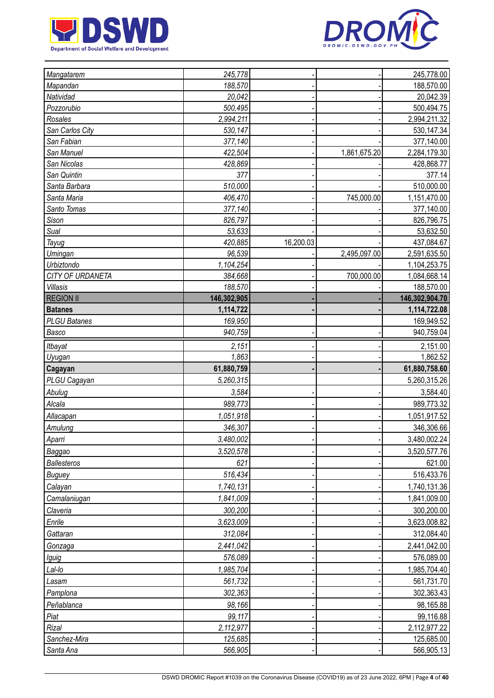



| Mangatarem                | 245,778            |           |              | 245,778.00                 |
|---------------------------|--------------------|-----------|--------------|----------------------------|
| Mapandan                  | 188,570            |           |              | 188,570.00                 |
| Natividad                 | 20,042             |           |              | 20,042.39                  |
| Pozzorubio                | 500,495            |           |              | 500,494.75                 |
| Rosales                   | 2,994,211          |           |              | 2,994,211.32               |
| San Carlos City           | 530,147            |           |              | 530,147.34                 |
| San Fabian                | 377,140            |           |              | 377,140.00                 |
| San Manuel                | 422,504            |           | 1,861,675.20 | 2,284,179.30               |
| San Nicolas               | 428,869            |           |              | 428,868.77                 |
| San Quintin               | 377                |           |              | 377.14                     |
| Santa Barbara             | 510,000            |           |              | 510,000.00                 |
| Santa Maria               | 406,470            |           | 745,000.00   | 1,151,470.00               |
| Santo Tomas               | 377,140            |           |              | 377,140.00                 |
| Sison                     | 826,797            |           |              | 826,796.75                 |
| Sual                      | 53,633             |           |              | 53,632.50                  |
| Tayug                     | 420,885            | 16,200.03 |              | 437,084.67                 |
| <b>Umingan</b>            | 96,539             |           | 2,495,097.00 | 2,591,635.50               |
| Urbiztondo                | 1,104,254          |           |              | 1,104,253.75               |
| CITY OF URDANETA          | 384,668            |           | 700,000.00   | 1,084,668.14               |
| Villasis                  | 188,570            |           |              | 188,570.00                 |
| <b>REGION II</b>          | 146,302,905        |           |              | 146,302,904.70             |
| <b>Batanes</b>            | 1,114,722          |           |              | 1,114,722.08               |
| <b>PLGU Batanes</b>       | 169,950            |           |              | 169,949.52                 |
| Basco                     | 940,759            |           |              | 940,759.04                 |
| Itbayat                   | 2,151              |           |              | 2,151.00                   |
| Uyugan                    | 1,863              |           |              | 1,862.52                   |
|                           |                    |           |              |                            |
| Cagayan                   | 61,880,759         |           |              | 61,880,758.60              |
| PLGU Cagayan              | 5,260,315          |           |              | 5,260,315.26               |
| Abulug                    | 3,584              |           |              | 3,584.40                   |
| Alcala                    | 989,773            |           |              | 989,773.32                 |
|                           | 1,051,918          |           |              | 1,051,917.52               |
| Allacapan                 | 346,307            |           |              | 346,306.66                 |
| <b>Amulung</b>            |                    |           |              |                            |
| Aparri                    | 3,480,002          |           |              |                            |
| Baggao                    | 3,520,578          |           |              | 3,520,577.76               |
| <b>Ballesteros</b>        | 621                |           |              | 3,480,002.24<br>621.00     |
| <b>Buguey</b>             | 516,434            |           |              |                            |
| Calayan                   | 1,740,131          |           |              | 1,740,131.36               |
| Camalaniugan              | 1,841,009          |           |              | 1,841,009.00               |
| Claveria                  | 300,200            |           |              | 300,200.00                 |
| Enrile                    | 3,623,009          |           |              | 516,433.76<br>3,623,008.82 |
| Gattaran                  | 312,084            |           |              | 312,084.40                 |
| Gonzaga                   | 2,441,042          |           |              | 2,441,042.00               |
| Iguig                     | 576,089            |           |              | 576,089.00                 |
| Lal-lo                    | 1,985,704          |           |              | 1,985,704.40               |
| Lasam                     | 561,732            |           |              | 561,731.70                 |
| Pamplona                  | 302,363            |           |              | 302,363.43                 |
| Peñablanca                | 98,166             |           |              | 98,165.88                  |
| Piat                      | 99,117             |           |              | 99,116.88                  |
| Rizal                     | 2,112,977          |           |              | 2, 112, 977.22             |
| Sanchez-Mira<br>Santa Ana | 125,685<br>566,905 |           |              | 125,685.00<br>566,905.13   |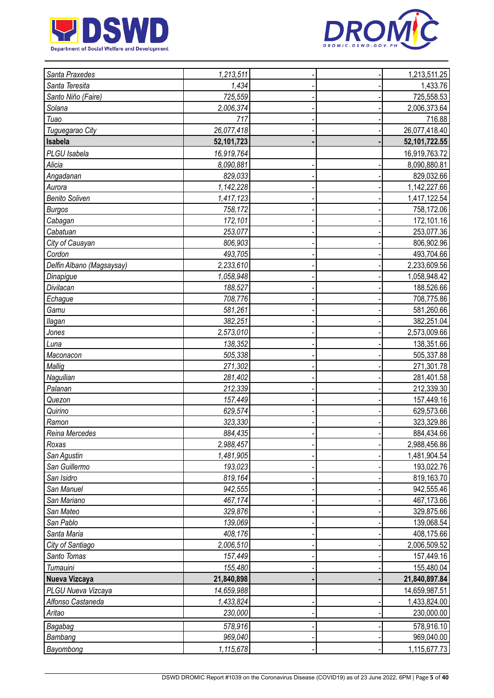



| Santa Praxedes            | 1,213,511  |  | 1,213,511.25     |
|---------------------------|------------|--|------------------|
| Santa Teresita            | 1,434      |  | 1,433.76         |
| Santo Niño (Faire)        | 725,559    |  | 725,558.53       |
| Solana                    | 2,006,374  |  | 2,006,373.64     |
| Tuao                      | 717        |  | 716.88           |
| Tuguegarao City           | 26,077,418 |  | 26,077,418.40    |
| Isabela                   | 52,101,723 |  | 52, 101, 722. 55 |
| PLGU Isabela              | 16,919,764 |  | 16,919,763.72    |
| Alicia                    | 8,090,881  |  | 8,090,880.81     |
| Angadanan                 | 829,033    |  | 829,032.66       |
| Aurora                    | 1,142,228  |  | 1,142,227.66     |
| <b>Benito Soliven</b>     | 1,417,123  |  | 1,417,122.54     |
| <b>Burgos</b>             | 758,172    |  | 758,172.06       |
| Cabagan                   | 172,101    |  | 172,101.16       |
| Cabatuan                  | 253,077    |  | 253,077.36       |
| City of Cauayan           | 806,903    |  | 806,902.96       |
| Cordon                    | 493,705    |  | 493,704.66       |
| Delfin Albano (Magsaysay) | 2,233,610  |  | 2,233,609.56     |
| Dinapigue                 | 1,058,948  |  | 1,058,948.42     |
| Divilacan                 | 188,527    |  | 188,526.66       |
| Echague                   | 708,776    |  | 708,775.86       |
| Gamu                      | 581,261    |  | 581,260.66       |
| llagan                    | 382,251    |  | 382,251.04       |
| Jones                     | 2,573,010  |  | 2,573,009.66     |
| Luna                      | 138,352    |  | 138,351.66       |
| Maconacon                 | 505,338    |  | 505,337.88       |
| Mallig                    | 271,302    |  | 271,301.78       |
| Naguilian                 | 281,402    |  | 281,401.58       |
| Palanan                   | 212,339    |  | 212,339.30       |
| Quezon                    | 157,449    |  | 157,449.16       |
| Quirino                   | 629,574    |  | 629,573.66       |
| Ramon                     | 323,330    |  | 323,329.86       |
| Reina Mercedes            | 884,435    |  | 884,434.66       |
| Roxas                     | 2,988,457  |  | 2,988,456.86     |
| San Agustin               | 1,481,905  |  | 1,481,904.54     |
| San Guillermo             | 193,023    |  | 193,022.76       |
| San Isidro                | 819,164    |  | 819,163.70       |
| San Manuel                | 942,555    |  | 942,555.46       |
| San Mariano               | 467,174    |  | 467,173.66       |
| San Mateo                 | 329,876    |  | 329,875.66       |
| San Pablo                 | 139,069    |  | 139,068.54       |
| Santa Maria               | 408,176    |  | 408,175.66       |
| City of Santiago          | 2,006,510  |  | 2,006,509.52     |
| Santo Tomas               | 157,449    |  | 157,449.16       |
| Tumauini                  | 155,480    |  | 155,480.04       |
| Nueva Vizcaya             | 21,840,898 |  | 21,840,897.84    |
| PLGU Nueva Vizcaya        | 14,659,988 |  | 14,659,987.51    |
| Alfonso Castaneda         | 1,433,824  |  | 1,433,824.00     |
| Aritao                    | 230,000    |  | 230,000.00       |
| Bagabag                   | 578,916    |  | 578,916.10       |
| Bambang                   | 969,040    |  | 969,040.00       |
| Bayombong                 | 1,115,678  |  | 1,115,677.73     |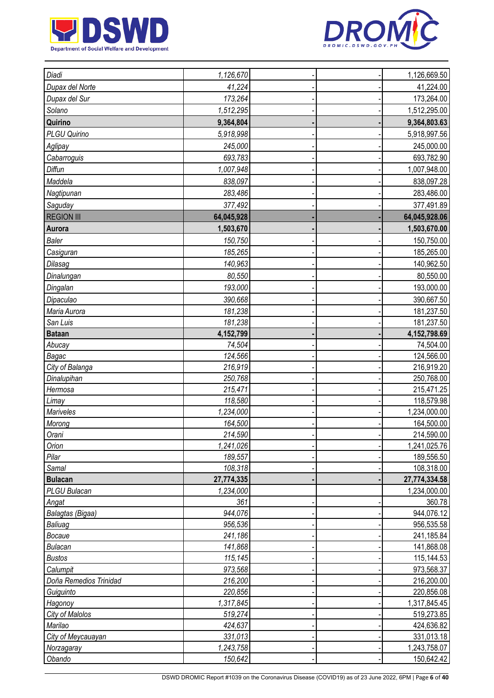



| Diadi                          | 1,126,670          |  | 1,126,669.50             |
|--------------------------------|--------------------|--|--------------------------|
| Dupax del Norte                | 41,224             |  | 41,224.00                |
| Dupax del Sur                  | 173,264            |  | 173,264.00               |
| Solano                         | 1,512,295          |  | 1,512,295.00             |
| Quirino                        | 9,364,804          |  | 9,364,803.63             |
| PLGU Quirino                   | 5,918,998          |  | 5,918,997.56             |
| Aglipay                        | 245,000            |  | 245,000.00               |
| Cabarroguis                    | 693,783            |  | 693,782.90               |
| Diffun                         | 1,007,948          |  | 1,007,948.00             |
| Maddela                        | 838,097            |  | 838,097.28               |
| Nagtipunan                     | 283,486            |  | 283,486.00               |
| Saguday                        | 377,492            |  | 377,491.89               |
| <b>REGION III</b>              | 64,045,928         |  | 64,045,928.06            |
| Aurora                         | 1,503,670          |  | 1,503,670.00             |
| <b>Baler</b>                   | 150,750            |  | 150,750.00               |
| Casiguran                      | 185,265            |  | 185,265.00               |
| Dilasag                        | 140,963            |  | 140,962.50               |
| Dinalungan                     | 80,550             |  | 80,550.00                |
| Dingalan                       | 193,000            |  |                          |
|                                | 390,668            |  | 193,000.00               |
| Dipaculao                      |                    |  | 390,667.50               |
| Maria Aurora                   | 181,238            |  | 181,237.50               |
| San Luis                       | 181,238            |  | 181,237.50               |
| <b>Bataan</b>                  | 4,152,799          |  | 4,152,798.69             |
| Abucay                         | 74,504             |  | 74,504.00                |
| Bagac                          | 124,566            |  | 124,566.00               |
| City of Balanga<br>Dinalupihan | 216,919<br>250,768 |  | 216,919.20<br>250,768.00 |
| Hermosa                        | 215,471            |  | 215,471.25               |
| Limay                          | 118,580            |  | 118,579.98               |
| Mariveles                      | 1,234,000          |  | 1,234,000.00             |
| Morong                         | 164,500            |  | 164,500.00               |
| Orani                          | 214,590            |  | 214,590.00               |
| Orion                          | 1,241,026          |  | 1,241,025.76             |
| Pilar                          | 189,557            |  | 189,556.50               |
| Samal                          | 108,318            |  | 108,318.00               |
| <b>Bulacan</b>                 | 27,774,335         |  | 27,774,334.58            |
| PLGU Bulacan                   | 1,234,000          |  | 1,234,000.00             |
| Angat                          | 361                |  | 360.78                   |
| Balagtas (Bigaa)               | 944,076            |  | 944,076.12               |
| Baliuag                        | 956,536            |  | 956,535.58               |
| Bocaue                         | 241,186            |  | 241,185.84               |
| <b>Bulacan</b>                 | 141,868            |  | 141,868.08               |
| <b>Bustos</b>                  | 115,145            |  | 115,144.53               |
| Calumpit                       | 973,568            |  | 973,568.37               |
| Doña Remedios Trinidad         | 216,200            |  | 216,200.00               |
| Guiguinto                      | 220,856            |  | 220,856.08               |
| Hagonoy                        | 1,317,845          |  | 1,317,845.45             |
| City of Malolos                | 519,274            |  | 519,273.85               |
| Marilao                        | 424,637            |  | 424,636.82               |
| City of Meycauayan             | 331,013            |  | 331,013.18               |
| Norzagaray                     | 1,243,758          |  | 1,243,758.07             |
| Obando                         | 150,642            |  | 150,642.42               |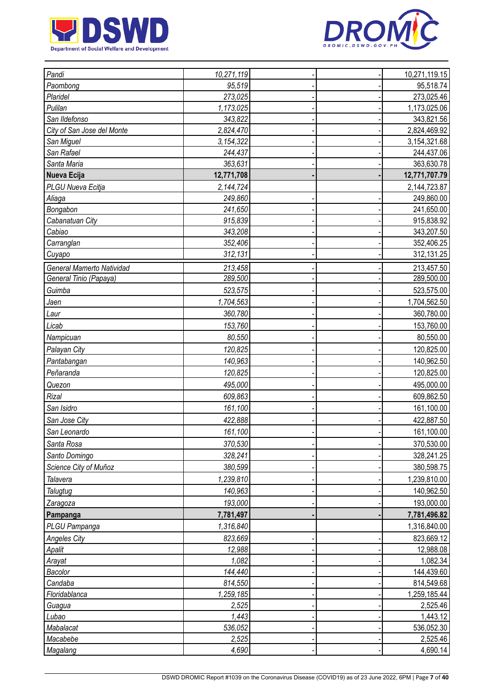



| Pandi                      | 10,271,119 |  | 10,271,119.15 |
|----------------------------|------------|--|---------------|
| Paombong                   | 95,519     |  | 95,518.74     |
| Plaridel                   | 273,025    |  | 273,025.46    |
| Pulilan                    | 1,173,025  |  | 1,173,025.06  |
| San Ildefonso              | 343,822    |  | 343,821.56    |
| City of San Jose del Monte | 2,824,470  |  | 2,824,469.92  |
| San Miguel                 | 3,154,322  |  | 3,154,321.68  |
| San Rafael                 | 244,437    |  | 244,437.06    |
| Santa Maria                | 363,631    |  | 363,630.78    |
| Nueva Ecija                | 12,771,708 |  | 12,771,707.79 |
| PLGU Nueva Ecitja          | 2,144,724  |  | 2,144,723.87  |
| Aliaga                     | 249,860    |  | 249,860.00    |
| Bongabon                   | 241,650    |  | 241,650.00    |
| Cabanatuan City            | 915,839    |  | 915,838.92    |
| Cabiao                     | 343,208    |  | 343,207.50    |
| Carranglan                 | 352,406    |  | 352,406.25    |
| Cuyapo                     | 312,131    |  | 312,131.25    |
| General Mamerto Natividad  | 213,458    |  | 213,457.50    |
| General Tinio (Papaya)     | 289,500    |  | 289,500.00    |
| Guimba                     | 523,575    |  | 523,575.00    |
| Jaen                       | 1,704,563  |  | 1,704,562.50  |
| Laur                       | 360,780    |  | 360,780.00    |
| Licab                      | 153,760    |  | 153,760.00    |
| Nampicuan                  | 80,550     |  | 80,550.00     |
| Palayan City               | 120,825    |  | 120,825.00    |
| Pantabangan                | 140,963    |  | 140,962.50    |
| Peñaranda                  | 120,825    |  | 120,825.00    |
| Quezon                     | 495,000    |  | 495,000.00    |
| Rizal                      | 609,863    |  | 609,862.50    |
|                            |            |  |               |
| San Isidro                 | 161,100    |  | 161,100.00    |
| San Jose City              | 422,888    |  | 422,887.50    |
| San Leonardo               | 161,100    |  | 161,100.00    |
| Santa Rosa                 | 370,530    |  | 370,530.00    |
| Santo Domingo              | 328,241    |  | 328,241.25    |
| Science City of Muñoz      | 380,599    |  | 380,598.75    |
| Talavera                   | 1,239,810  |  | 1,239,810.00  |
| Talugtug                   | 140,963    |  | 140,962.50    |
| Zaragoza                   | 193,000    |  | 193,000.00    |
| Pampanga                   | 7,781,497  |  | 7,781,496.82  |
| PLGU Pampanga              | 1,316,840  |  | 1,316,840.00  |
| <b>Angeles City</b>        | 823,669    |  | 823,669.12    |
| Apalit                     | 12,988     |  | 12,988.08     |
| Arayat                     | 1,082      |  | 1,082.34      |
| Bacolor                    | 144,440    |  | 144,439.60    |
| Candaba                    | 814,550    |  | 814,549.68    |
| Floridablanca              | 1,259,185  |  | 1,259,185.44  |
| Guagua                     | 2,525      |  | 2,525.46      |
| Lubao                      | 1,443      |  | 1,443.12      |
| Mabalacat                  | 536,052    |  | 536,052.30    |
| Macabebe                   | 2,525      |  | 2,525.46      |
| Magalang                   | 4,690      |  | 4,690.14      |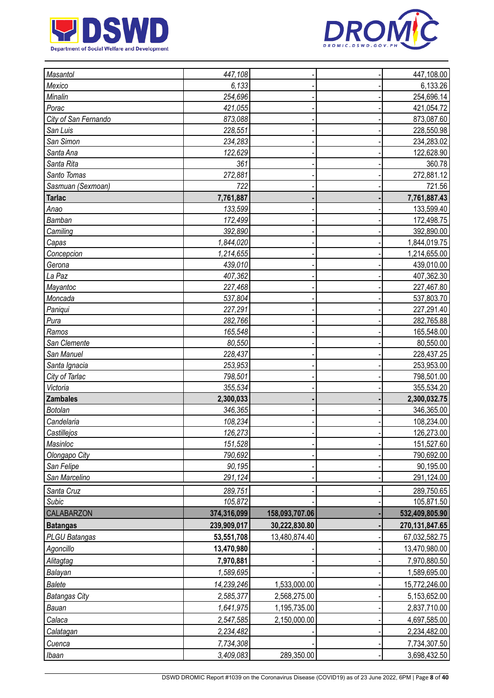



| Masantol             | 447,108     |                | 447,108.00     |
|----------------------|-------------|----------------|----------------|
| Mexico               | 6,133       |                | 6,133.26       |
| Minalin              | 254,696     |                | 254,696.14     |
| Porac                | 421,055     |                | 421,054.72     |
| City of San Fernando | 873,088     |                | 873,087.60     |
| San Luis             | 228,551     |                | 228,550.98     |
| San Simon            | 234,283     |                | 234,283.02     |
| Santa Ana            | 122,629     |                | 122,628.90     |
| Santa Rita           | 361         |                | 360.78         |
| Santo Tomas          | 272,881     |                | 272,881.12     |
| Sasmuan (Sexmoan)    | 722         |                | 721.56         |
| <b>Tarlac</b>        | 7,761,887   |                | 7,761,887.43   |
| Anao                 | 133,599     |                | 133,599.40     |
| Bamban               | 172,499     |                | 172,498.75     |
| Camiling             | 392,890     |                | 392,890.00     |
| Capas                | 1,844,020   |                | 1,844,019.75   |
| Concepcion           | 1,214,655   |                | 1,214,655.00   |
| Gerona               | 439,010     |                | 439,010.00     |
| La Paz               | 407,362     |                | 407,362.30     |
| Mayantoc             | 227,468     |                | 227,467.80     |
| Moncada              | 537,804     |                | 537,803.70     |
| Paniqui              | 227,291     |                | 227,291.40     |
| Pura                 | 282,766     |                | 282,765.88     |
| Ramos                | 165,548     |                | 165,548.00     |
| San Clemente         | 80,550      |                | 80,550.00      |
| San Manuel           | 228,437     |                | 228,437.25     |
| Santa Ignacia        | 253,953     |                | 253,953.00     |
| City of Tarlac       | 798,501     |                | 798,501.00     |
| Victoria             | 355,534     |                | 355,534.20     |
| <b>Zambales</b>      | 2,300,033   |                | 2,300,032.75   |
| <b>Botolan</b>       | 346,365     |                | 346,365.00     |
| Candelaria           | 108,234     |                | 108,234.00     |
| Castillejos          | 126,273     |                | 126,273.00     |
| Masinloc             | 151,528     |                | 151,527.60     |
| Olongapo City        | 790,692     |                | 790,692.00     |
| San Felipe           | 90,195      |                | 90,195.00      |
| San Marcelino        | 291,124     |                | 291,124.00     |
| Santa Cruz           | 289,751     |                | 289,750.65     |
| Subic                | 105,872     |                | 105,871.50     |
| CALABARZON           | 374,316,099 | 158,093,707.06 | 532,409,805.90 |
| <b>Batangas</b>      | 239,909,017 | 30,222,830.80  | 270,131,847.65 |
| PLGU Batangas        | 53,551,708  | 13,480,874.40  | 67,032,582.75  |
| Agoncillo            | 13,470,980  |                | 13,470,980.00  |
| Alitagtag            | 7,970,881   |                | 7,970,880.50   |
| Balayan              | 1,589,695   |                | 1,589,695.00   |
| <b>Balete</b>        | 14,239,246  | 1,533,000.00   | 15,772,246.00  |
| <b>Batangas City</b> | 2,585,377   | 2,568,275.00   | 5,153,652.00   |
| Bauan                | 1,641,975   | 1,195,735.00   | 2,837,710.00   |
| Calaca               | 2,547,585   | 2,150,000.00   | 4,697,585.00   |
| Calatagan            | 2,234,482   |                | 2,234,482.00   |
| Cuenca               | 7,734,308   |                | 7,734,307.50   |
| <i>Ibaan</i>         | 3,409,083   | 289,350.00     | 3,698,432.50   |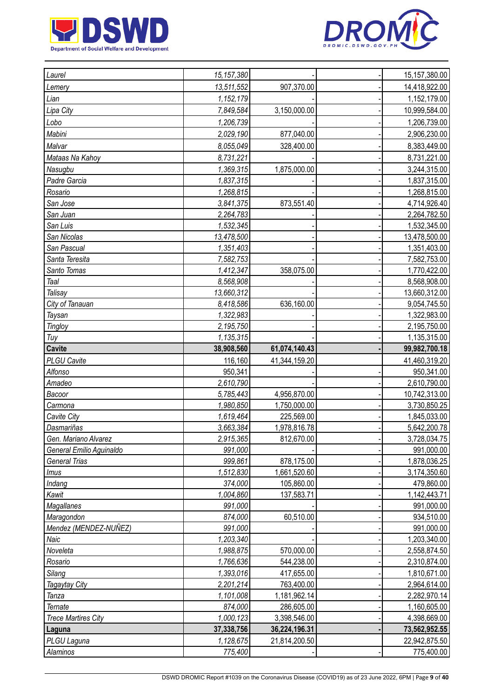



| Laurel                             | 15, 157, 380         |               | 15, 157, 380.00              |
|------------------------------------|----------------------|---------------|------------------------------|
| Lemery                             | 13,511,552           | 907,370.00    | 14,418,922.00                |
| Lian                               | 1,152,179            |               | 1,152,179.00                 |
| Lipa City                          | 7,849,584            | 3,150,000.00  | 10,999,584.00                |
| Lobo                               | 1,206,739            |               | 1,206,739.00                 |
| Mabini                             | 2,029,190            | 877,040.00    | 2,906,230.00                 |
| Malvar                             | 8,055,049            | 328,400.00    | 8,383,449.00                 |
| Mataas Na Kahoy                    | 8,731,221            |               | 8,731,221.00                 |
| Nasugbu                            | 1,369,315            | 1,875,000.00  | 3,244,315.00                 |
| Padre Garcia                       | 1,837,315            |               | 1,837,315.00                 |
| Rosario                            | 1,268,815            |               | 1,268,815.00                 |
| San Jose                           | 3,841,375            | 873,551.40    | 4,714,926.40                 |
| San Juan                           | 2,264,783            |               | 2,264,782.50                 |
| San Luis                           | 1,532,345            |               | 1,532,345.00                 |
| San Nicolas                        | 13,478,500           |               | 13,478,500.00                |
| San Pascual                        | 1,351,403            |               | 1,351,403.00                 |
| Santa Teresita                     | 7,582,753            |               | 7,582,753.00                 |
| Santo Tomas                        | 1,412,347            | 358,075.00    | 1,770,422.00                 |
| Taal                               | 8,568,908            |               | 8,568,908.00                 |
| Talisay                            | 13,660,312           |               | 13,660,312.00                |
| City of Tanauan                    | 8,418,586            | 636,160.00    | 9,054,745.50                 |
| Taysan                             | 1,322,983            |               | 1,322,983.00                 |
| <b>Tingloy</b>                     | 2,195,750            |               | 2,195,750.00                 |
| Tuy                                | 1,135,315            |               | 1,135,315.00                 |
| <b>Cavite</b>                      | 38,908,560           | 61,074,140.43 | 99,982,700.18                |
| <b>PLGU Cavite</b>                 | 116,160              | 41,344,159.20 | 41,460,319.20                |
| Alfonso                            | 950,341              |               | 950,341.00                   |
| Amadeo                             | 2,610,790            |               | 2,610,790.00                 |
|                                    |                      |               |                              |
|                                    |                      |               |                              |
| Bacoor                             | 5,785,443            | 4,956,870.00  | 10,742,313.00                |
| Carmona                            | 1,980,850            | 1,750,000.00  | 3,730,850.25                 |
| Cavite City                        | 1,619,464            | 225,569.00    | 1,845,033.00                 |
| Dasmariñas<br>Gen. Mariano Alvarez | 3,663,384            | 1,978,816.78  | 5,642,200.78                 |
| General Emilio Aguinaldo           | 2,915,365<br>991,000 | 812,670.00    | 991,000.00                   |
| <b>General Trias</b>               | 999,861              | 878,175.00    | 1,878,036.25                 |
| lmus                               | 1,512,830            | 1,661,520.60  | 3,174,350.60                 |
| Indang                             | 374,000              | 105,860.00    | 479,860.00                   |
| Kawit                              | 1,004,860            | 137,583.71    | 1,142,443.71                 |
| Magallanes                         | 991,000              |               | 991,000.00                   |
| Maragondon                         | 874,000              | 60,510.00     | 934,510.00                   |
| Mendez (MENDEZ-NUÑEZ)              | 991,000              |               | 991,000.00                   |
| Naic                               | 1,203,340            |               | 1,203,340.00                 |
| Noveleta                           | 1,988,875            | 570,000.00    | 2,558,874.50                 |
| Rosario                            | 1,766,636            | 544,238.00    | 3,728,034.75<br>2,310,874.00 |
| Silang                             | 1,393,016            | 417,655.00    | 1,810,671.00                 |
| Tagaytay City                      | 2,201,214            | 763,400.00    | 2,964,614.00                 |
| Tanza                              | 1,101,008            | 1,181,962.14  | 2,282,970.14                 |
| Ternate                            | 874,000              | 286,605.00    | 1,160,605.00                 |
| <b>Trece Martires City</b>         | 1,000,123            | 3,398,546.00  | 4,398,669.00                 |
| Laguna                             | 37,338,756           | 36,224,196.31 | 73,562,952.55                |
| PLGU Laguna<br>Alaminos            | 1,128,675<br>775,400 | 21,814,200.50 | 22,942,875.50<br>775,400.00  |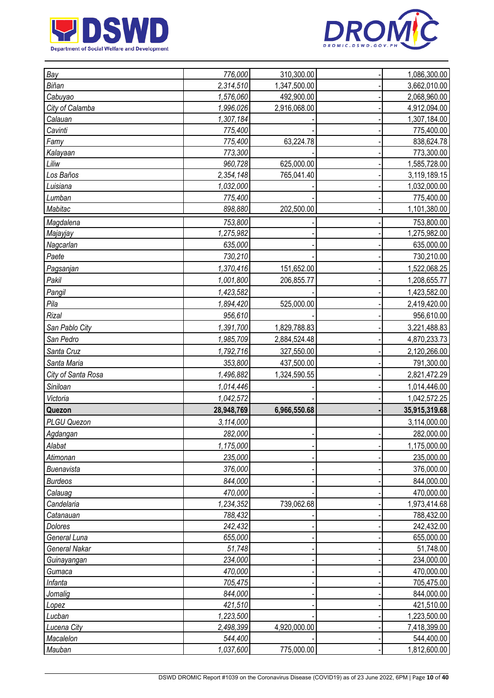



| Bay                  | 776,000    | 310,300.00   | 1,086,300.00  |
|----------------------|------------|--------------|---------------|
| Biñan                | 2,314,510  | 1,347,500.00 | 3,662,010.00  |
| Cabuyao              | 1,576,060  | 492,900.00   | 2,068,960.00  |
| City of Calamba      | 1,996,026  | 2,916,068.00 | 4,912,094.00  |
| Calauan              | 1,307,184  |              | 1,307,184.00  |
| Cavinti              | 775,400    |              | 775,400.00    |
| Famy                 | 775,400    | 63,224.78    | 838,624.78    |
| Kalayaan             | 773,300    |              | 773,300.00    |
| Liliw                | 960,728    | 625,000.00   | 1,585,728.00  |
| Los Baños            | 2,354,148  | 765,041.40   | 3,119,189.15  |
| Luisiana             | 1,032,000  |              | 1,032,000.00  |
| Lumban               | 775,400    |              | 775,400.00    |
| Mabitac              | 898,880    | 202,500.00   | 1,101,380.00  |
| Magdalena            | 753,800    |              | 753,800.00    |
| Majayjay             | 1,275,982  |              | 1,275,982.00  |
| Nagcarlan            | 635,000    |              | 635,000.00    |
| Paete                | 730,210    |              | 730,210.00    |
| Pagsanjan            | 1,370,416  | 151,652.00   | 1,522,068.25  |
| Pakil                | 1,001,800  | 206,855.77   | 1,208,655.77  |
| Pangil               | 1,423,582  |              | 1,423,582.00  |
| Pila                 | 1,894,420  | 525,000.00   | 2,419,420.00  |
| Rizal                | 956,610    |              | 956,610.00    |
| San Pablo City       | 1,391,700  | 1,829,788.83 | 3,221,488.83  |
| San Pedro            | 1,985,709  | 2,884,524.48 | 4,870,233.73  |
| Santa Cruz           | 1,792,716  | 327,550.00   |               |
|                      |            |              | 2,120,266.00  |
| Santa Maria          | 353,800    | 437,500.00   | 791,300.00    |
| City of Santa Rosa   | 1,496,882  | 1,324,590.55 | 2,821,472.29  |
| Siniloan             | 1,014,446  |              | 1,014,446.00  |
| Victoria             | 1,042,572  |              | 1,042,572.25  |
| Quezon               | 28,948,769 | 6,966,550.68 | 35,915,319.68 |
| PLGU Quezon          | 3,114,000  |              | 3,114,000.00  |
| Agdangan             | 282,000    |              | 282,000.00    |
| Alabat               | 1,175,000  |              | 1,175,000.00  |
| Atimonan             | 235,000    |              | 235,000.00    |
| Buenavista           | 376,000    |              | 376,000.00    |
| <b>Burdeos</b>       | 844,000    |              | 844,000.00    |
| Calauag              | 470,000    |              | 470,000.00    |
| Candelaria           | 1,234,352  | 739,062.68   | 1,973,414.68  |
| Catanauan            | 788,432    |              | 788,432.00    |
| <b>Dolores</b>       | 242,432    |              | 242,432.00    |
| General Luna         | 655,000    |              | 655,000.00    |
| <b>General Nakar</b> | 51,748     |              | 51,748.00     |
| Guinayangan          | 234,000    |              | 234,000.00    |
| Gumaca               | 470,000    |              | 470,000.00    |
| Infanta              | 705,475    |              | 705,475.00    |
| Jomalig              | 844,000    |              | 844,000.00    |
| Lopez                | 421,510    |              | 421,510.00    |
| Lucban               | 1,223,500  |              | 1,223,500.00  |
| Lucena City          | 2,498,399  | 4,920,000.00 | 7,418,399.00  |
| Macalelon            | 544,400    |              | 544,400.00    |
| Mauban               | 1,037,600  | 775,000.00   | 1,812,600.00  |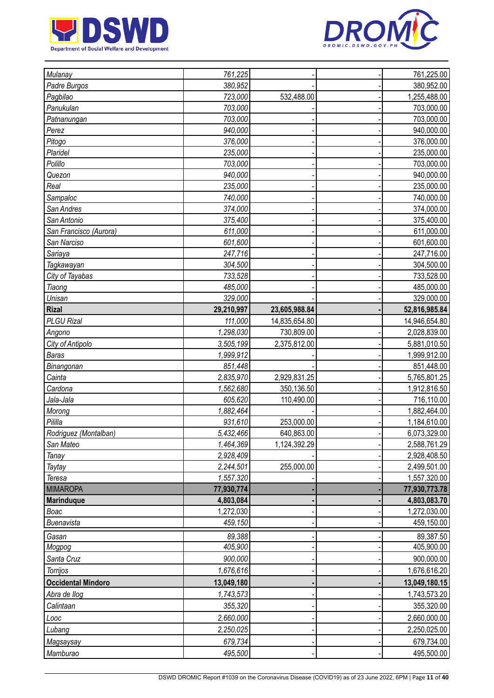



| Mulanay                   | 761,225    |               | 761,225.00    |
|---------------------------|------------|---------------|---------------|
| Padre Burgos              | 380,952    |               | 380,952.00    |
| Pagbilao                  | 723,000    | 532,488.00    | 1,255,488.00  |
| Panukulan                 | 703,000    |               | 703,000.00    |
| Patnanungan               | 703,000    |               | 703,000.00    |
| Perez                     | 940,000    |               | 940,000.00    |
| Pitogo                    | 376,000    |               | 376,000.00    |
| Plaridel                  | 235,000    |               | 235,000.00    |
| Polillo                   | 703,000    |               | 703,000.00    |
| Quezon                    | 940,000    |               | 940,000.00    |
| Real                      | 235,000    |               | 235,000.00    |
| Sampaloc                  | 740,000    |               | 740,000.00    |
| San Andres                | 374,000    |               | 374,000.00    |
| San Antonio               | 375,400    |               | 375,400.00    |
| San Francisco (Aurora)    | 611,000    |               | 611,000.00    |
| San Narciso               | 601,600    |               | 601,600.00    |
| Sariaya                   | 247,716    |               | 247,716.00    |
| Tagkawayan                | 304,500    |               | 304,500.00    |
| City of Tayabas           | 733,528    |               | 733,528.00    |
| Tiaong                    | 485,000    |               | 485,000.00    |
| Unisan                    | 329,000    |               | 329,000.00    |
| <b>Rizal</b>              | 29,210,997 | 23,605,988.84 | 52,816,985.84 |
| <b>PLGU Rizal</b>         | 111,000    | 14,835,654.80 | 14,946,654.80 |
| Angono                    | 1,298,030  | 730,809.00    | 2,028,839.00  |
| City of Antipolo          | 3,505,199  | 2,375,812.00  | 5,881,010.50  |
| <b>Baras</b>              | 1,999,912  |               | 1,999,912.00  |
| Binangonan                | 851,448    |               | 851,448.00    |
| Cainta                    | 2,835,970  | 2,929,831.25  | 5,765,801.25  |
| Cardona                   | 1,562,680  | 350,136.50    | 1,912,816.50  |
| Jala-Jala                 | 605,620    | 110,490.00    | 716,110.00    |
| Morong                    | 1,882,464  |               | 1,882,464.00  |
| Pililla                   | 931,610    | 253,000.00    | 1,184,610.00  |
| Rodriguez (Montalban)     | 5,432,466  | 640,863.00    | 6,073,329.00  |
| San Mateo                 | 1,464,369  | 1,124,392.29  | 2,588,761.29  |
| Tanay                     | 2,928,409  |               | 2,928,408.50  |
| Taytay                    | 2,244,501  | 255,000.00    | 2,499,501.00  |
| Teresa                    | 1,557,320  |               | 1,557,320.00  |
| <b>MIMAROPA</b>           | 77,930,774 |               | 77,930,773.78 |
| <b>Marinduque</b>         | 4,803,084  |               | 4,803,083.70  |
| Boac                      | 1,272,030  |               | 1,272,030.00  |
| Buenavista                | 459,150    |               | 459,150.00    |
| Gasan                     | 89,388     |               | 89,387.50     |
| Mogpog                    | 405,900    |               | 405,900.00    |
| Santa Cruz                | 900,000    |               | 900,000.00    |
| Torrijos                  | 1,676,616  |               | 1,676,616.20  |
|                           |            |               |               |
| <b>Occidental Mindoro</b> | 13,049,180 |               | 13,049,180.15 |
| Abra de llog              | 1,743,573  |               | 1,743,573.20  |
| Calintaan                 | 355,320    |               | 355,320.00    |
| Looc                      | 2,660,000  |               | 2,660,000.00  |
| Lubang                    | 2,250,025  |               | 2,250,025.00  |
| Magsaysay                 | 679,734    |               | 679,734.00    |
| Mamburao                  | 495,500    |               | 495,500.00    |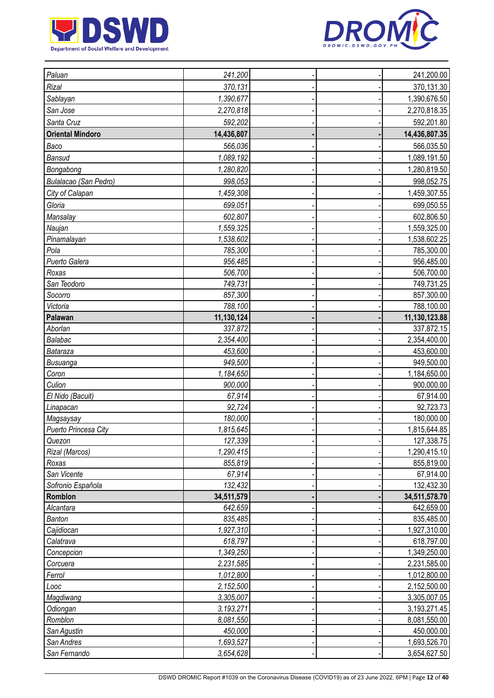



| Paluan                  | 241,200    |  | 241,200.00                  |
|-------------------------|------------|--|-----------------------------|
| Rizal                   | 370,131    |  | 370,131.30                  |
| Sablayan                | 1,390,677  |  | 1,390,676.50                |
| San Jose                | 2,270,818  |  | 2,270,818.35                |
| Santa Cruz              | 592,202    |  | 592,201.80                  |
| <b>Oriental Mindoro</b> | 14,436,807 |  | 14,436,807.35               |
| Baco                    | 566,036    |  | 566,035.50                  |
| <b>Bansud</b>           | 1,089,192  |  | 1,089,191.50                |
| Bongabong               | 1,280,820  |  | 1,280,819.50                |
| Bulalacao (San Pedro)   | 998,053    |  | 998,052.75                  |
| City of Calapan         | 1,459,308  |  | 1,459,307.55                |
| Gloria                  | 699,051    |  | 699,050.55                  |
| Mansalay                | 602,807    |  | 602,806.50                  |
| Naujan                  | 1,559,325  |  | 1,559,325.00                |
| Pinamalayan             | 1,538,602  |  | 1,538,602.25                |
| Pola                    | 785,300    |  | 785,300.00                  |
| Puerto Galera           | 956,485    |  | 956,485.00                  |
| Roxas                   | 506,700    |  | 506,700.00                  |
| San Teodoro             | 749,731    |  | 749,731.25                  |
| Socorro                 | 857,300    |  | 857,300.00                  |
| Victoria                | 788,100    |  | 788,100.00                  |
| Palawan                 | 11,130,124 |  |                             |
| Aborlan                 | 337,872    |  | 11,130,123.88<br>337,872.15 |
| Balabac                 | 2,354,400  |  | 2,354,400.00                |
| Bataraza                | 453,600    |  | 453,600.00                  |
| Busuanga                | 949,500    |  | 949,500.00                  |
| Coron                   | 1,184,650  |  | 1,184,650.00                |
| Culion                  | 900,000    |  | 900,000.00                  |
| El Nido (Bacuit)        | 67,914     |  | 67,914.00                   |
| Linapacan               | 92,724     |  | 92,723.73                   |
| Magsaysay               | 180,000    |  | 180,000.00                  |
| Puerto Princesa City    | 1,815,645  |  | 1,815,644.85                |
| Quezon                  | 127,339    |  | 127,338.75                  |
| Rizal (Marcos)          | 1,290,415  |  | 1,290,415.10                |
| Roxas                   | 855,819    |  | 855,819.00                  |
| San Vicente             | 67,914     |  | 67,914.00                   |
| Sofronio Española       | 132,432    |  | 132,432.30                  |
| Romblon                 | 34,511,579 |  | 34,511,578.70               |
| Alcantara               | 642,659    |  | 642,659.00                  |
| Banton                  | 835,485    |  | 835,485.00                  |
| Cajidiocan              | 1,927,310  |  | 1,927,310.00                |
| Calatrava               | 618,797    |  | 618,797.00                  |
| Concepcion              | 1,349,250  |  | 1,349,250.00                |
| Corcuera                | 2,231,585  |  | 2,231,585.00                |
| Ferrol                  | 1,012,800  |  | 1,012,800.00                |
| Looc                    | 2,152,500  |  | 2,152,500.00                |
| Magdiwang               | 3,305,007  |  | 3,305,007.05                |
| Odiongan                | 3,193,271  |  | 3,193,271.45                |
| Romblon                 | 8,081,550  |  | 8,081,550.00                |
| San Agustin             | 450,000    |  | 450,000.00                  |
| San Andres              | 1,693,527  |  | 1,693,526.70                |
| San Fernando            | 3,654,628  |  | 3,654,627.50                |
|                         |            |  |                             |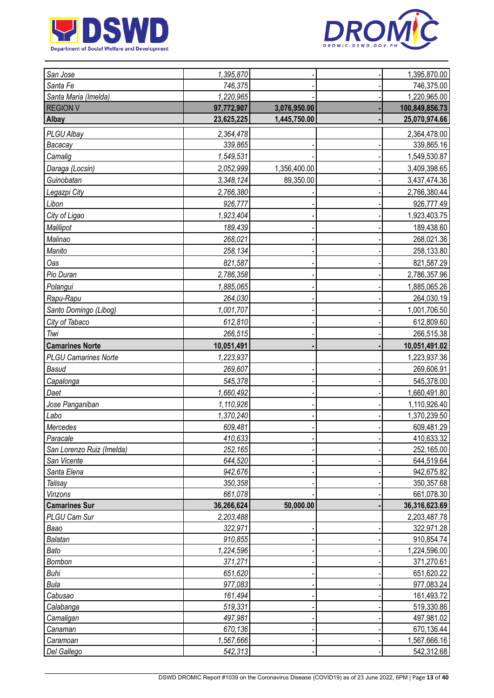



| San Jose                    | 1,395,870  |              | 1,395,870.00   |
|-----------------------------|------------|--------------|----------------|
| Santa Fe                    | 746,375    |              | 746,375.00     |
| Santa Maria (Imelda)        | 1,220,965  |              | 1,220,965.00   |
| <b>REGION V</b>             | 97,772,907 | 3,076,950.00 | 100,849,856.73 |
| <b>Albay</b>                | 23,625,225 | 1,445,750.00 | 25,070,974.66  |
| PLGU Albay                  | 2,364,478  |              | 2,364,478.00   |
| Bacacay                     | 339,865    |              | 339,865.16     |
| Camalig                     | 1,549,531  |              | 1,549,530.87   |
| Daraga (Locsin)             | 2,052,999  | 1,356,400.00 | 3,409,398.65   |
| Guinobatan                  | 3,348,124  | 89,350.00    | 3,437,474.36   |
| Legazpi City                | 2,766,380  |              | 2,766,380.44   |
| Libon                       | 926,777    |              | 926,777.49     |
| City of Ligao               | 1,923,404  |              | 1,923,403.75   |
| Malilipot                   | 189,439    |              | 189,438.60     |
| Malinao                     | 268,021    |              | 268,021.36     |
| Manito                      | 258,134    |              | 258,133.80     |
| Oas                         | 821,587    |              | 821,587.29     |
| Pio Duran                   | 2,786,358  |              | 2,786,357.96   |
| Polangui                    | 1,885,065  |              | 1,885,065.26   |
| Rapu-Rapu                   | 264,030    |              | 264,030.19     |
| Santo Domingo (Libog)       | 1,001,707  |              | 1,001,706.50   |
| City of Tabaco              | 612,810    |              | 612,809.60     |
| Tiwi                        | 266,515    |              | 266,515.38     |
| <b>Camarines Norte</b>      | 10,051,491 |              | 10,051,491.02  |
| <b>PLGU Camarines Norte</b> | 1,223,937  |              | 1,223,937.36   |
| Basud                       | 269,607    |              | 269,606.91     |
| Capalonga                   | 545,378    |              | 545,378.00     |
| Daet                        | 1,660,492  |              | 1,660,491.80   |
| Jose Panganiban             | 1,110,926  |              | 1,110,926.40   |
| Labo                        | 1,370,240  |              | 1,370,239.50   |
| Mercedes                    | 609,481    |              | 609,481.29     |
| Paracale                    | 410,633    |              | 410,633.32     |
| San Lorenzo Ruiz (Imelda)   | 252,165    |              | 252,165.00     |
| San Vicente                 | 644,520    |              | 644,519.64     |
| Santa Elena                 | 942,676    |              | 942,675.82     |
| Talisay                     | 350,358    |              | 350,357.68     |
| Vinzons                     | 661,078    |              | 661,078.30     |
| <b>Camarines Sur</b>        | 36,266,624 | 50,000.00    | 36,316,623.69  |
| PLGU Cam Sur                | 2,203,488  |              | 2,203,487.78   |
| Baao                        | 322,971    |              | 322,971.28     |
| Balatan                     | 910,855    |              | 910,854.74     |
| Bato                        | 1,224,596  |              | 1,224,596.00   |
| Bombon                      | 371,271    |              | 371,270.61     |
| Buhi                        | 651,620    |              | 651,620.22     |
| Bula                        | 977,083    |              | 977,083.24     |
| Cabusao                     | 161,494    |              | 161,493.72     |
| Calabanga                   | 519,331    |              | 519,330.86     |
| Camaligan                   | 497,981    |              | 497,981.02     |
| Canaman                     | 670,136    |              | 670,136.44     |
| Caramoan                    | 1,567,666  |              | 1,567,666.16   |
| Del Gallego                 | 542,313    |              | 542,312.68     |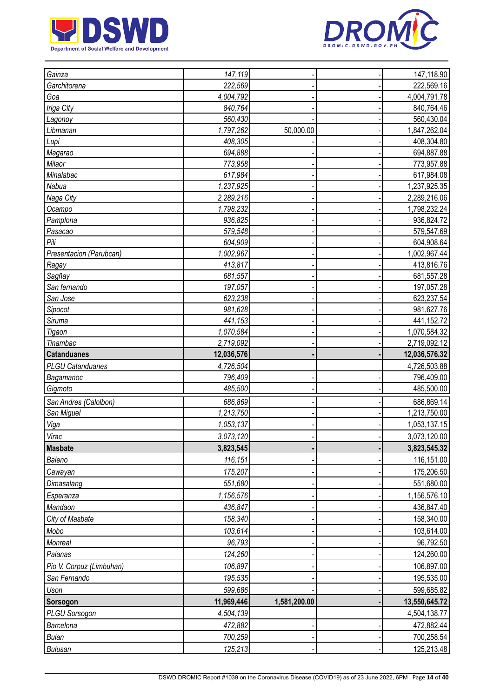



| Gainza<br>147,119                      | 147,118.90    |
|----------------------------------------|---------------|
| 222,569<br>Garchitorena                | 222,569.16    |
| 4,004,792<br>Goa                       | 4,004,791.78  |
| Iriga City<br>840,764                  | 840,764.46    |
| 560,430<br>Lagonoy                     | 560,430.04    |
| 1,797,262<br>50,000.00<br>Libmanan     | 1,847,262.04  |
| 408,305<br>Lupi                        | 408,304.80    |
| 694,888<br>Magarao                     | 694,887.88    |
| 773,958<br>Milaor                      | 773,957.88    |
| Minalabac<br>617,984                   | 617,984.08    |
| Nabua<br>1,237,925                     | 1,237,925.35  |
| Naga City<br>2,289,216                 | 2,289,216.06  |
| 1,798,232<br>Ocampo                    | 1,798,232.24  |
| 936,825<br>Pamplona                    | 936,824.72    |
| 579,548<br>Pasacao                     | 579,547.69    |
| Pili<br>604,909                        | 604,908.64    |
| Presentacion (Parubcan)<br>1,002,967   | 1,002,967.44  |
| 413,817<br>Ragay                       | 413,816.76    |
| 681,557<br>Sagñay                      | 681,557.28    |
| San fernando<br>197,057                | 197,057.28    |
| San Jose<br>623,238                    | 623,237.54    |
| 981,628<br>Sipocot                     | 981,627.76    |
| 441,153<br>Siruma                      | 441,152.72    |
| 1,070,584<br>Tigaon                    | 1,070,584.32  |
| 2,719,092<br>Tinambac                  | 2,719,092.12  |
| 12,036,576<br><b>Catanduanes</b>       | 12,036,576.32 |
| <b>PLGU Catanduanes</b><br>4,726,504   | 4,726,503.88  |
| Bagamanoc<br>796,409                   | 796,409.00    |
| 485,500<br>Gigmoto                     | 485,500.00    |
| 686,869<br>San Andres (Calolbon)       | 686,869.14    |
| San Miguel<br>1,213,750                | 1,213,750.00  |
| 1,053,137<br>Viga                      | 1,053,137.15  |
| 3,073,120<br>Virac                     | 3,073,120.00  |
| <b>Masbate</b><br>3,823,545            | 3,823,545.32  |
| 116,151<br>Baleno                      | 116,151.00    |
| 175,207<br>Cawayan                     | 175,206.50    |
| 551,680<br>Dimasalang                  | 551,680.00    |
| 1,156,576<br>Esperanza                 | 1,156,576.10  |
| Mandaon<br>436,847                     | 436,847.40    |
| 158,340<br>City of Masbate             | 158,340.00    |
| Mobo<br>103,614                        | 103,614.00    |
| 96,793<br>Monreal                      | 96,792.50     |
| 124,260<br>Palanas                     | 124,260.00    |
| Pio V. Corpuz (Limbuhan)<br>106,897    | 106,897.00    |
| 195,535<br>San Fernando                | 195,535.00    |
| 599,686<br>Uson                        | 599,685.82    |
| 11,969,446<br>1,581,200.00<br>Sorsogon | 13,550,645.72 |
| 4,504,139<br><b>PLGU Sorsogon</b>      | 4,504,138.77  |
| Barcelona<br>472,882                   | 472,882.44    |
| 700,259<br><b>Bulan</b>                | 700,258.54    |
| 125,213<br><b>Bulusan</b>              | 125,213.48    |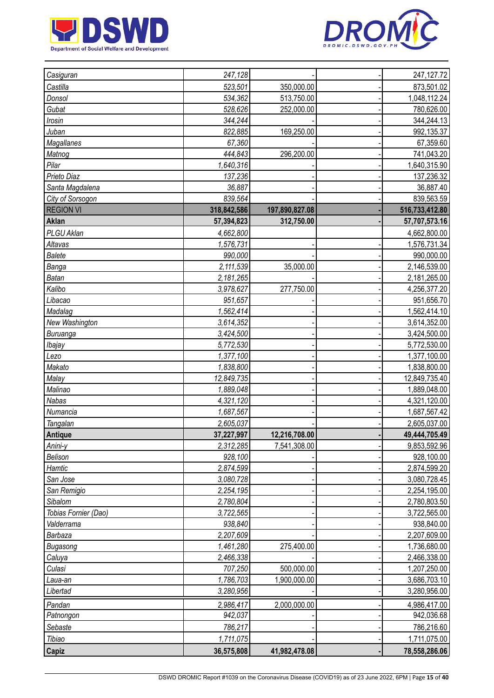



| Casiguran            | 247,128     |                | 247, 127. 72   |
|----------------------|-------------|----------------|----------------|
| Castilla             | 523,501     | 350,000.00     | 873,501.02     |
| Donsol               | 534,362     | 513,750.00     | 1,048,112.24   |
| Gubat                | 528,626     | 252,000.00     | 780,626.00     |
| Irosin               | 344.244     |                | 344,244.13     |
| Juban                | 822,885     | 169,250.00     | 992,135.37     |
| Magallanes           | 67,360      |                | 67,359.60      |
| Matnog               | 444,843     | 296,200.00     | 741,043.20     |
| Pilar                | 1,640,316   |                | 1,640,315.90   |
| Prieto Diaz          | 137,236     |                | 137,236.32     |
| Santa Magdalena      | 36,887      |                | 36,887.40      |
| City of Sorsogon     | 839,564     |                | 839,563.59     |
| <b>REGION VI</b>     | 318,842,586 | 197,890,827.08 | 516,733,412.80 |
| Aklan                | 57,394,823  | 312,750.00     | 57,707,573.16  |
| PLGU Aklan           | 4,662,800   |                | 4,662,800.00   |
| Altavas              | 1,576,731   |                | 1,576,731.34   |
| <b>Balete</b>        | 990,000     |                | 990,000.00     |
| Banga                | 2,111,539   | 35,000.00      | 2,146,539.00   |
| <b>Batan</b>         | 2,181,265   |                | 2,181,265.00   |
| Kalibo               | 3,978,627   | 277,750.00     | 4,256,377.20   |
| Libacao              | 951,657     |                | 951,656.70     |
| Madalag              | 1,562,414   |                | 1,562,414.10   |
| New Washington       | 3,614,352   |                | 3,614,352.00   |
| Buruanga             | 3,424,500   |                | 3,424,500.00   |
| Ibajay               | 5,772,530   |                | 5,772,530.00   |
| Lezo                 | 1,377,100   |                | 1,377,100.00   |
| Makato               | 1,838,800   |                | 1,838,800.00   |
| Malay                | 12,849,735  |                | 12,849,735.40  |
| Malinao              | 1,889,048   |                | 1,889,048.00   |
| Nabas                | 4,321,120   |                | 4,321,120.00   |
| Numancia             | 1,687,567   |                | 1,687,567.42   |
| Tangalan             | 2,605,037   |                | 2,605,037.00   |
| Antique              | 37,227,997  | 12,216,708.00  | 49,444,705.49  |
| Anini-y              | 2,312,285   | 7,541,308.00   | 9,853,592.96   |
| Belison              | 928,100     |                | 928,100.00     |
| Hamtic               | 2,874,599   |                | 2,874,599.20   |
| San Jose             | 3,080,728   |                | 3,080,728.45   |
| San Remigio          | 2,254,195   |                | 2,254,195.00   |
| Sibalom              | 2,780,804   |                | 2,780,803.50   |
| Tobias Fornier (Dao) | 3,722,565   |                | 3,722,565.00   |
| Valderrama           | 938,840     |                | 938,840.00     |
| Barbaza              | 2,207,609   |                | 2,207,609.00   |
| Bugasong             | 1,461,280   | 275,400.00     | 1,736,680.00   |
| Caluya               | 2,466,338   |                | 2,466,338.00   |
| Culasi               | 707,250     | 500,000.00     | 1,207,250.00   |
| Laua-an              | 1,786,703   | 1,900,000.00   | 3,686,703.10   |
| Libertad             | 3,280,956   |                | 3,280,956.00   |
| Pandan               | 2,986,417   | 2,000,000.00   | 4,986,417.00   |
| Patnongon            | 942,037     |                | 942,036.68     |
| Sebaste              | 786,217     |                | 786,216.60     |
| Tibiao               | 1,711,075   |                | 1,711,075.00   |
| Capiz                | 36,575,808  | 41,982,478.08  | 78,558,286.06  |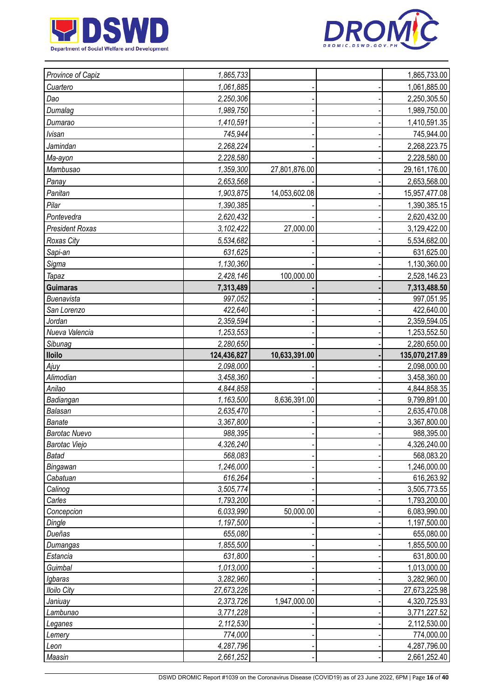



| 1,061,885<br>1,061,885.00<br>Cuartero<br>Dao<br>2,250,306<br>2,250,305.50<br>Dumalag<br>1,989,750<br>1,989,750.00<br>1,410,591<br>1,410,591.35<br>Dumarao<br><b>Ivisan</b><br>745,944<br>745,944.00<br>Jamindan<br>2,268,224<br>2,268,223.75<br>2,228,580<br>2,228,580.00<br>Ma-ayon<br>Mambusao<br>1,359,300<br>29,161,176.00<br>27,801,876.00<br>Panay<br>2,653,568<br>2,653,568.00<br>Panitan<br>1,903,875<br>14,053,602.08<br>15,957,477.08<br>1,390,385<br>Pilar<br>1,390,385.15<br>2,620,432<br>Pontevedra<br>2,620,432.00<br><b>President Roxas</b><br>27,000.00<br>3,102,422<br>3,129,422.00<br>Roxas City<br>5,534,682<br>5,534,682.00<br>631,625<br>Sapi-an<br>631,625.00<br>Sigma<br>1,130,360<br>1,130,360.00<br>2,428,146<br>100,000.00<br>2,528,146.23<br><b>Tapaz</b><br><b>Guimaras</b><br>7,313,489<br>7,313,488.50<br>997,052<br>Buenavista<br>997,051.95<br>422,640<br>422,640.00<br>San Lorenzo<br>2,359,594<br>2,359,594.05<br>Jordan<br>Nueva Valencia<br>1,253,553<br>1,253,552.50<br>Sibunag<br>2,280,650<br>2,280,650.00<br><b>Iloilo</b><br>124,436,827<br>10,633,391.00<br>135,070,217.89<br>2,098,000<br>2,098,000.00<br>Ajuy<br>Alimodian<br>3,458,360<br>3,458,360.00<br>Anilao<br>4,844,858<br>4,844,858.35<br>Badiangan<br>1,163,500<br>8,636,391.00<br>9,799,891.00<br>2,635,470<br>Balasan<br>2,635,470.08<br><b>Banate</b><br>3,367,800<br>3,367,800.00<br><b>Barotac Nuevo</b><br>988,395<br>988,395.00<br>4,326,240<br>4,326,240.00<br><b>Barotac Viejo</b><br>568,083<br>568,083.20<br><b>Batad</b><br>1,246,000<br>Bingawan<br>1,246,000.00<br>Cabatuan<br>616,264<br>616,263.92<br>Calinog<br>3,505,774<br>3,505,773.55<br>1,793,200<br>1,793,200.00<br>Carles<br>6,033,990<br>50,000.00<br>Concepcion<br>6,083,990.00<br>1,197,500<br>1,197,500.00<br>Dingle<br>Dueñas<br>655,080<br>655,080.00<br>1,855,500<br>1,855,500.00<br>Dumangas<br>631,800<br>Estancia<br>631,800.00<br>Guimbal<br>1,013,000<br>1,013,000.00<br>3,282,960<br>3,282,960.00<br>Igbaras<br>27,673,226<br>27,673,225.98<br><b>Iloilo City</b> | Province of Capiz | 1,865,733 |              | 1,865,733.00 |
|-------------------------------------------------------------------------------------------------------------------------------------------------------------------------------------------------------------------------------------------------------------------------------------------------------------------------------------------------------------------------------------------------------------------------------------------------------------------------------------------------------------------------------------------------------------------------------------------------------------------------------------------------------------------------------------------------------------------------------------------------------------------------------------------------------------------------------------------------------------------------------------------------------------------------------------------------------------------------------------------------------------------------------------------------------------------------------------------------------------------------------------------------------------------------------------------------------------------------------------------------------------------------------------------------------------------------------------------------------------------------------------------------------------------------------------------------------------------------------------------------------------------------------------------------------------------------------------------------------------------------------------------------------------------------------------------------------------------------------------------------------------------------------------------------------------------------------------------------------------------------------------------------------------------------------------------------------------------------------------------------------------------------------------------------------------|-------------------|-----------|--------------|--------------|
|                                                                                                                                                                                                                                                                                                                                                                                                                                                                                                                                                                                                                                                                                                                                                                                                                                                                                                                                                                                                                                                                                                                                                                                                                                                                                                                                                                                                                                                                                                                                                                                                                                                                                                                                                                                                                                                                                                                                                                                                                                                             |                   |           |              |              |
|                                                                                                                                                                                                                                                                                                                                                                                                                                                                                                                                                                                                                                                                                                                                                                                                                                                                                                                                                                                                                                                                                                                                                                                                                                                                                                                                                                                                                                                                                                                                                                                                                                                                                                                                                                                                                                                                                                                                                                                                                                                             |                   |           |              |              |
|                                                                                                                                                                                                                                                                                                                                                                                                                                                                                                                                                                                                                                                                                                                                                                                                                                                                                                                                                                                                                                                                                                                                                                                                                                                                                                                                                                                                                                                                                                                                                                                                                                                                                                                                                                                                                                                                                                                                                                                                                                                             |                   |           |              |              |
|                                                                                                                                                                                                                                                                                                                                                                                                                                                                                                                                                                                                                                                                                                                                                                                                                                                                                                                                                                                                                                                                                                                                                                                                                                                                                                                                                                                                                                                                                                                                                                                                                                                                                                                                                                                                                                                                                                                                                                                                                                                             |                   |           |              |              |
|                                                                                                                                                                                                                                                                                                                                                                                                                                                                                                                                                                                                                                                                                                                                                                                                                                                                                                                                                                                                                                                                                                                                                                                                                                                                                                                                                                                                                                                                                                                                                                                                                                                                                                                                                                                                                                                                                                                                                                                                                                                             |                   |           |              |              |
|                                                                                                                                                                                                                                                                                                                                                                                                                                                                                                                                                                                                                                                                                                                                                                                                                                                                                                                                                                                                                                                                                                                                                                                                                                                                                                                                                                                                                                                                                                                                                                                                                                                                                                                                                                                                                                                                                                                                                                                                                                                             |                   |           |              |              |
|                                                                                                                                                                                                                                                                                                                                                                                                                                                                                                                                                                                                                                                                                                                                                                                                                                                                                                                                                                                                                                                                                                                                                                                                                                                                                                                                                                                                                                                                                                                                                                                                                                                                                                                                                                                                                                                                                                                                                                                                                                                             |                   |           |              |              |
|                                                                                                                                                                                                                                                                                                                                                                                                                                                                                                                                                                                                                                                                                                                                                                                                                                                                                                                                                                                                                                                                                                                                                                                                                                                                                                                                                                                                                                                                                                                                                                                                                                                                                                                                                                                                                                                                                                                                                                                                                                                             |                   |           |              |              |
|                                                                                                                                                                                                                                                                                                                                                                                                                                                                                                                                                                                                                                                                                                                                                                                                                                                                                                                                                                                                                                                                                                                                                                                                                                                                                                                                                                                                                                                                                                                                                                                                                                                                                                                                                                                                                                                                                                                                                                                                                                                             |                   |           |              |              |
|                                                                                                                                                                                                                                                                                                                                                                                                                                                                                                                                                                                                                                                                                                                                                                                                                                                                                                                                                                                                                                                                                                                                                                                                                                                                                                                                                                                                                                                                                                                                                                                                                                                                                                                                                                                                                                                                                                                                                                                                                                                             |                   |           |              |              |
|                                                                                                                                                                                                                                                                                                                                                                                                                                                                                                                                                                                                                                                                                                                                                                                                                                                                                                                                                                                                                                                                                                                                                                                                                                                                                                                                                                                                                                                                                                                                                                                                                                                                                                                                                                                                                                                                                                                                                                                                                                                             |                   |           |              |              |
|                                                                                                                                                                                                                                                                                                                                                                                                                                                                                                                                                                                                                                                                                                                                                                                                                                                                                                                                                                                                                                                                                                                                                                                                                                                                                                                                                                                                                                                                                                                                                                                                                                                                                                                                                                                                                                                                                                                                                                                                                                                             |                   |           |              |              |
|                                                                                                                                                                                                                                                                                                                                                                                                                                                                                                                                                                                                                                                                                                                                                                                                                                                                                                                                                                                                                                                                                                                                                                                                                                                                                                                                                                                                                                                                                                                                                                                                                                                                                                                                                                                                                                                                                                                                                                                                                                                             |                   |           |              |              |
|                                                                                                                                                                                                                                                                                                                                                                                                                                                                                                                                                                                                                                                                                                                                                                                                                                                                                                                                                                                                                                                                                                                                                                                                                                                                                                                                                                                                                                                                                                                                                                                                                                                                                                                                                                                                                                                                                                                                                                                                                                                             |                   |           |              |              |
|                                                                                                                                                                                                                                                                                                                                                                                                                                                                                                                                                                                                                                                                                                                                                                                                                                                                                                                                                                                                                                                                                                                                                                                                                                                                                                                                                                                                                                                                                                                                                                                                                                                                                                                                                                                                                                                                                                                                                                                                                                                             |                   |           |              |              |
|                                                                                                                                                                                                                                                                                                                                                                                                                                                                                                                                                                                                                                                                                                                                                                                                                                                                                                                                                                                                                                                                                                                                                                                                                                                                                                                                                                                                                                                                                                                                                                                                                                                                                                                                                                                                                                                                                                                                                                                                                                                             |                   |           |              |              |
|                                                                                                                                                                                                                                                                                                                                                                                                                                                                                                                                                                                                                                                                                                                                                                                                                                                                                                                                                                                                                                                                                                                                                                                                                                                                                                                                                                                                                                                                                                                                                                                                                                                                                                                                                                                                                                                                                                                                                                                                                                                             |                   |           |              |              |
|                                                                                                                                                                                                                                                                                                                                                                                                                                                                                                                                                                                                                                                                                                                                                                                                                                                                                                                                                                                                                                                                                                                                                                                                                                                                                                                                                                                                                                                                                                                                                                                                                                                                                                                                                                                                                                                                                                                                                                                                                                                             |                   |           |              |              |
|                                                                                                                                                                                                                                                                                                                                                                                                                                                                                                                                                                                                                                                                                                                                                                                                                                                                                                                                                                                                                                                                                                                                                                                                                                                                                                                                                                                                                                                                                                                                                                                                                                                                                                                                                                                                                                                                                                                                                                                                                                                             |                   |           |              |              |
|                                                                                                                                                                                                                                                                                                                                                                                                                                                                                                                                                                                                                                                                                                                                                                                                                                                                                                                                                                                                                                                                                                                                                                                                                                                                                                                                                                                                                                                                                                                                                                                                                                                                                                                                                                                                                                                                                                                                                                                                                                                             |                   |           |              |              |
|                                                                                                                                                                                                                                                                                                                                                                                                                                                                                                                                                                                                                                                                                                                                                                                                                                                                                                                                                                                                                                                                                                                                                                                                                                                                                                                                                                                                                                                                                                                                                                                                                                                                                                                                                                                                                                                                                                                                                                                                                                                             |                   |           |              |              |
|                                                                                                                                                                                                                                                                                                                                                                                                                                                                                                                                                                                                                                                                                                                                                                                                                                                                                                                                                                                                                                                                                                                                                                                                                                                                                                                                                                                                                                                                                                                                                                                                                                                                                                                                                                                                                                                                                                                                                                                                                                                             |                   |           |              |              |
|                                                                                                                                                                                                                                                                                                                                                                                                                                                                                                                                                                                                                                                                                                                                                                                                                                                                                                                                                                                                                                                                                                                                                                                                                                                                                                                                                                                                                                                                                                                                                                                                                                                                                                                                                                                                                                                                                                                                                                                                                                                             |                   |           |              |              |
|                                                                                                                                                                                                                                                                                                                                                                                                                                                                                                                                                                                                                                                                                                                                                                                                                                                                                                                                                                                                                                                                                                                                                                                                                                                                                                                                                                                                                                                                                                                                                                                                                                                                                                                                                                                                                                                                                                                                                                                                                                                             |                   |           |              |              |
|                                                                                                                                                                                                                                                                                                                                                                                                                                                                                                                                                                                                                                                                                                                                                                                                                                                                                                                                                                                                                                                                                                                                                                                                                                                                                                                                                                                                                                                                                                                                                                                                                                                                                                                                                                                                                                                                                                                                                                                                                                                             |                   |           |              |              |
|                                                                                                                                                                                                                                                                                                                                                                                                                                                                                                                                                                                                                                                                                                                                                                                                                                                                                                                                                                                                                                                                                                                                                                                                                                                                                                                                                                                                                                                                                                                                                                                                                                                                                                                                                                                                                                                                                                                                                                                                                                                             |                   |           |              |              |
|                                                                                                                                                                                                                                                                                                                                                                                                                                                                                                                                                                                                                                                                                                                                                                                                                                                                                                                                                                                                                                                                                                                                                                                                                                                                                                                                                                                                                                                                                                                                                                                                                                                                                                                                                                                                                                                                                                                                                                                                                                                             |                   |           |              |              |
|                                                                                                                                                                                                                                                                                                                                                                                                                                                                                                                                                                                                                                                                                                                                                                                                                                                                                                                                                                                                                                                                                                                                                                                                                                                                                                                                                                                                                                                                                                                                                                                                                                                                                                                                                                                                                                                                                                                                                                                                                                                             |                   |           |              |              |
|                                                                                                                                                                                                                                                                                                                                                                                                                                                                                                                                                                                                                                                                                                                                                                                                                                                                                                                                                                                                                                                                                                                                                                                                                                                                                                                                                                                                                                                                                                                                                                                                                                                                                                                                                                                                                                                                                                                                                                                                                                                             |                   |           |              |              |
|                                                                                                                                                                                                                                                                                                                                                                                                                                                                                                                                                                                                                                                                                                                                                                                                                                                                                                                                                                                                                                                                                                                                                                                                                                                                                                                                                                                                                                                                                                                                                                                                                                                                                                                                                                                                                                                                                                                                                                                                                                                             |                   |           |              |              |
|                                                                                                                                                                                                                                                                                                                                                                                                                                                                                                                                                                                                                                                                                                                                                                                                                                                                                                                                                                                                                                                                                                                                                                                                                                                                                                                                                                                                                                                                                                                                                                                                                                                                                                                                                                                                                                                                                                                                                                                                                                                             |                   |           |              |              |
|                                                                                                                                                                                                                                                                                                                                                                                                                                                                                                                                                                                                                                                                                                                                                                                                                                                                                                                                                                                                                                                                                                                                                                                                                                                                                                                                                                                                                                                                                                                                                                                                                                                                                                                                                                                                                                                                                                                                                                                                                                                             |                   |           |              |              |
|                                                                                                                                                                                                                                                                                                                                                                                                                                                                                                                                                                                                                                                                                                                                                                                                                                                                                                                                                                                                                                                                                                                                                                                                                                                                                                                                                                                                                                                                                                                                                                                                                                                                                                                                                                                                                                                                                                                                                                                                                                                             |                   |           |              |              |
|                                                                                                                                                                                                                                                                                                                                                                                                                                                                                                                                                                                                                                                                                                                                                                                                                                                                                                                                                                                                                                                                                                                                                                                                                                                                                                                                                                                                                                                                                                                                                                                                                                                                                                                                                                                                                                                                                                                                                                                                                                                             |                   |           |              |              |
|                                                                                                                                                                                                                                                                                                                                                                                                                                                                                                                                                                                                                                                                                                                                                                                                                                                                                                                                                                                                                                                                                                                                                                                                                                                                                                                                                                                                                                                                                                                                                                                                                                                                                                                                                                                                                                                                                                                                                                                                                                                             |                   |           |              |              |
|                                                                                                                                                                                                                                                                                                                                                                                                                                                                                                                                                                                                                                                                                                                                                                                                                                                                                                                                                                                                                                                                                                                                                                                                                                                                                                                                                                                                                                                                                                                                                                                                                                                                                                                                                                                                                                                                                                                                                                                                                                                             |                   |           |              |              |
|                                                                                                                                                                                                                                                                                                                                                                                                                                                                                                                                                                                                                                                                                                                                                                                                                                                                                                                                                                                                                                                                                                                                                                                                                                                                                                                                                                                                                                                                                                                                                                                                                                                                                                                                                                                                                                                                                                                                                                                                                                                             |                   |           |              |              |
|                                                                                                                                                                                                                                                                                                                                                                                                                                                                                                                                                                                                                                                                                                                                                                                                                                                                                                                                                                                                                                                                                                                                                                                                                                                                                                                                                                                                                                                                                                                                                                                                                                                                                                                                                                                                                                                                                                                                                                                                                                                             |                   |           |              |              |
|                                                                                                                                                                                                                                                                                                                                                                                                                                                                                                                                                                                                                                                                                                                                                                                                                                                                                                                                                                                                                                                                                                                                                                                                                                                                                                                                                                                                                                                                                                                                                                                                                                                                                                                                                                                                                                                                                                                                                                                                                                                             |                   |           |              |              |
|                                                                                                                                                                                                                                                                                                                                                                                                                                                                                                                                                                                                                                                                                                                                                                                                                                                                                                                                                                                                                                                                                                                                                                                                                                                                                                                                                                                                                                                                                                                                                                                                                                                                                                                                                                                                                                                                                                                                                                                                                                                             |                   |           |              |              |
|                                                                                                                                                                                                                                                                                                                                                                                                                                                                                                                                                                                                                                                                                                                                                                                                                                                                                                                                                                                                                                                                                                                                                                                                                                                                                                                                                                                                                                                                                                                                                                                                                                                                                                                                                                                                                                                                                                                                                                                                                                                             |                   |           |              |              |
|                                                                                                                                                                                                                                                                                                                                                                                                                                                                                                                                                                                                                                                                                                                                                                                                                                                                                                                                                                                                                                                                                                                                                                                                                                                                                                                                                                                                                                                                                                                                                                                                                                                                                                                                                                                                                                                                                                                                                                                                                                                             |                   |           |              |              |
|                                                                                                                                                                                                                                                                                                                                                                                                                                                                                                                                                                                                                                                                                                                                                                                                                                                                                                                                                                                                                                                                                                                                                                                                                                                                                                                                                                                                                                                                                                                                                                                                                                                                                                                                                                                                                                                                                                                                                                                                                                                             |                   |           |              |              |
|                                                                                                                                                                                                                                                                                                                                                                                                                                                                                                                                                                                                                                                                                                                                                                                                                                                                                                                                                                                                                                                                                                                                                                                                                                                                                                                                                                                                                                                                                                                                                                                                                                                                                                                                                                                                                                                                                                                                                                                                                                                             |                   |           |              |              |
|                                                                                                                                                                                                                                                                                                                                                                                                                                                                                                                                                                                                                                                                                                                                                                                                                                                                                                                                                                                                                                                                                                                                                                                                                                                                                                                                                                                                                                                                                                                                                                                                                                                                                                                                                                                                                                                                                                                                                                                                                                                             |                   |           |              |              |
|                                                                                                                                                                                                                                                                                                                                                                                                                                                                                                                                                                                                                                                                                                                                                                                                                                                                                                                                                                                                                                                                                                                                                                                                                                                                                                                                                                                                                                                                                                                                                                                                                                                                                                                                                                                                                                                                                                                                                                                                                                                             | Janiuay           | 2,373,726 | 1,947,000.00 | 4,320,725.93 |
| 3,771,228<br>3,771,227.52<br>Lambunao                                                                                                                                                                                                                                                                                                                                                                                                                                                                                                                                                                                                                                                                                                                                                                                                                                                                                                                                                                                                                                                                                                                                                                                                                                                                                                                                                                                                                                                                                                                                                                                                                                                                                                                                                                                                                                                                                                                                                                                                                       |                   |           |              |              |
| 2,112,530<br>2,112,530.00<br>Leganes                                                                                                                                                                                                                                                                                                                                                                                                                                                                                                                                                                                                                                                                                                                                                                                                                                                                                                                                                                                                                                                                                                                                                                                                                                                                                                                                                                                                                                                                                                                                                                                                                                                                                                                                                                                                                                                                                                                                                                                                                        |                   |           |              |              |
| 774,000<br>774,000.00<br>Lemery                                                                                                                                                                                                                                                                                                                                                                                                                                                                                                                                                                                                                                                                                                                                                                                                                                                                                                                                                                                                                                                                                                                                                                                                                                                                                                                                                                                                                                                                                                                                                                                                                                                                                                                                                                                                                                                                                                                                                                                                                             |                   |           |              |              |
| 4,287,796<br>4,287,796.00<br>Leon                                                                                                                                                                                                                                                                                                                                                                                                                                                                                                                                                                                                                                                                                                                                                                                                                                                                                                                                                                                                                                                                                                                                                                                                                                                                                                                                                                                                                                                                                                                                                                                                                                                                                                                                                                                                                                                                                                                                                                                                                           |                   |           |              |              |
| Maasin<br>2,661,252<br>2,661,252.40                                                                                                                                                                                                                                                                                                                                                                                                                                                                                                                                                                                                                                                                                                                                                                                                                                                                                                                                                                                                                                                                                                                                                                                                                                                                                                                                                                                                                                                                                                                                                                                                                                                                                                                                                                                                                                                                                                                                                                                                                         |                   |           |              |              |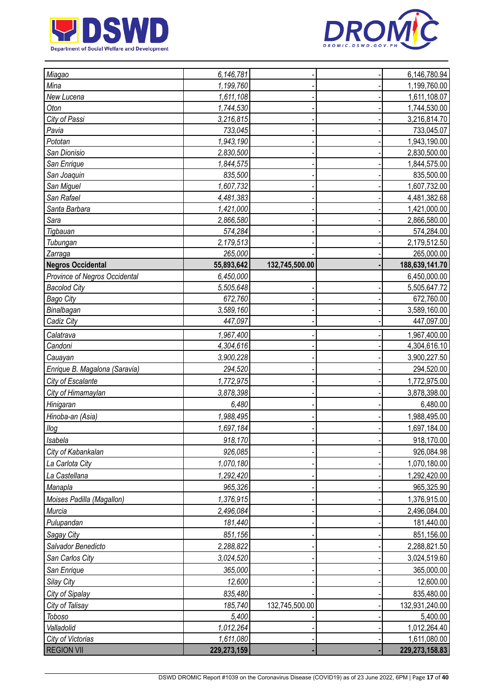



| Miagao                        | 6,146,781   |                | 6,146,780.94     |
|-------------------------------|-------------|----------------|------------------|
| Mina                          | 1,199,760   |                | 1,199,760.00     |
| New Lucena                    | 1,611,108   |                | 1,611,108.07     |
| Oton                          | 1,744,530   |                | 1,744,530.00     |
| City of Passi                 | 3,216,815   |                | 3,216,814.70     |
| Pavia                         | 733,045     |                | 733,045.07       |
| Pototan                       | 1,943,190   |                | 1,943,190.00     |
| San Dionisio                  | 2,830,500   |                | 2,830,500.00     |
| San Enrique                   | 1,844,575   |                | 1,844,575.00     |
| San Joaquin                   | 835,500     |                | 835,500.00       |
| San Miguel                    | 1,607,732   |                | 1,607,732.00     |
| San Rafael                    | 4,481,383   |                | 4,481,382.68     |
| Santa Barbara                 | 1,421,000   |                | 1,421,000.00     |
| Sara                          | 2,866,580   |                | 2,866,580.00     |
| Tigbauan                      | 574,284     |                | 574,284.00       |
| Tubungan                      | 2,179,513   |                | 2,179,512.50     |
| Zarraga                       | 265,000     |                | 265,000.00       |
| <b>Negros Occidental</b>      | 55,893,642  | 132,745,500.00 | 188,639,141.70   |
| Province of Negros Occidental | 6,450,000   |                | 6,450,000.00     |
| <b>Bacolod City</b>           | 5,505,648   |                | 5,505,647.72     |
| <b>Bago City</b>              | 672,760     |                | 672,760.00       |
| Binalbagan                    | 3,589,160   |                | 3,589,160.00     |
| Cadiz City                    | 447,097     |                | 447,097.00       |
| Calatrava                     | 1,967,400   |                | 1,967,400.00     |
| Candoni                       | 4,304,616   |                | 4,304,616.10     |
| Cauayan                       | 3,900,228   |                | 3,900,227.50     |
| Enrique B. Magalona (Saravia) | 294,520     |                | 294,520.00       |
| City of Escalante             | 1,772,975   |                | 1,772,975.00     |
| City of Himamaylan            | 3,878,398   |                | 3,878,398.00     |
| Hinigaran                     | 6,480       |                | 6,480.00         |
| Hinoba-an (Asia)              | 1,988,495   |                | 1,988,495.00     |
| Ilog                          | 1,697,184   |                | 1,697,184.00     |
| <b>Isabela</b>                | 918,170     |                | 918,170.00       |
| City of Kabankalan            | 926,085     |                | 926,084.98       |
| La Carlota City               | 1,070,180   |                | 1,070,180.00     |
| La Castellana                 | 1,292,420   |                | 1,292,420.00     |
| Manapla                       | 965,326     |                | 965,325.90       |
| Moises Padilla (Magallon)     | 1,376,915   |                | 1,376,915.00     |
| Murcia                        | 2,496,084   |                | 2,496,084.00     |
| Pulupandan                    | 181,440     |                | 181,440.00       |
| <b>Sagay City</b>             | 851,156     |                | 851,156.00       |
| Salvador Benedicto            | 2,288,822   |                | 2,288,821.50     |
| San Carlos City               | 3,024,520   |                | 3,024,519.60     |
| San Enrique                   | 365,000     |                | 365,000.00       |
| Silay City                    | 12,600      |                | 12,600.00        |
| City of Sipalay               | 835,480     |                | 835,480.00       |
| City of Talisay               | 185,740     | 132,745,500.00 | 132,931,240.00   |
| Toboso                        | 5,400       |                | 5,400.00         |
| Valladolid                    | 1,012,264   |                | 1,012,264.40     |
| City of Victorias             | 1,611,080   |                | 1,611,080.00     |
| <b>REGION VII</b>             | 229,273,159 |                | 229, 273, 158.83 |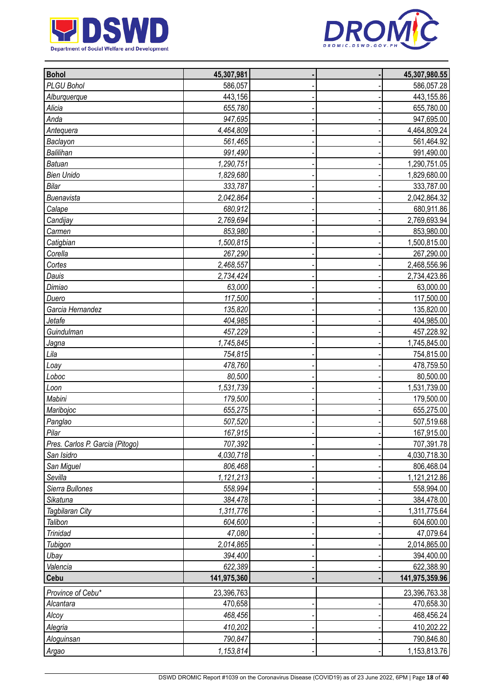



| <b>Bohol</b>                    | 45,307,981  |  | 45,307,980.55  |
|---------------------------------|-------------|--|----------------|
| PLGU Bohol                      | 586,057     |  | 586,057.28     |
| Alburquerque                    | 443,156     |  | 443,155.86     |
| Alicia                          | 655,780     |  | 655,780.00     |
| Anda                            | 947,695     |  | 947,695.00     |
| Antequera                       | 4,464,809   |  | 4,464,809.24   |
| Baclayon                        | 561,465     |  | 561,464.92     |
| <b>Balilihan</b>                | 991,490     |  | 991,490.00     |
| <b>Batuan</b>                   | 1,290,751   |  | 1,290,751.05   |
| <b>Bien Unido</b>               | 1,829,680   |  | 1,829,680.00   |
| Bilar                           | 333,787     |  | 333,787.00     |
| Buenavista                      | 2,042,864   |  | 2,042,864.32   |
| Calape                          | 680,912     |  | 680,911.86     |
| Candijay                        | 2,769,694   |  | 2,769,693.94   |
| Carmen                          | 853,980     |  | 853,980.00     |
| Catigbian                       | 1,500,815   |  | 1,500,815.00   |
| Corella                         | 267,290     |  | 267,290.00     |
| Cortes                          | 2,468,557   |  | 2,468,556.96   |
| Dauis                           | 2,734,424   |  | 2,734,423.86   |
| Dimiao                          | 63,000      |  | 63,000.00      |
| Duero                           | 117,500     |  | 117,500.00     |
| Garcia Hernandez                | 135,820     |  | 135,820.00     |
| Jetafe                          | 404,985     |  | 404,985.00     |
| Guindulman                      | 457,229     |  | 457,228.92     |
| Jagna                           | 1,745,845   |  | 1,745,845.00   |
| Lila                            | 754,815     |  | 754,815.00     |
| Loay                            | 478,760     |  | 478,759.50     |
| Loboc                           | 80,500      |  | 80,500.00      |
| Loon                            | 1,531,739   |  | 1,531,739.00   |
| Mabini                          | 179,500     |  | 179,500.00     |
| Maribojoc                       | 655,275     |  | 655,275.00     |
| Panglao                         | 507,520     |  | 507,519.68     |
| Pilar                           | 167,915     |  | 167,915.00     |
| Pres. Carlos P. Garcia (Pitogo) | 707,392     |  | 707,391.78     |
| San Isidro                      | 4,030,718   |  | 4,030,718.30   |
| San Miguel                      | 806,468     |  | 806,468.04     |
| Sevilla                         | 1,121,213   |  | 1,121,212.86   |
| Sierra Bullones                 | 558,994     |  | 558,994.00     |
| Sikatuna                        | 384,478     |  | 384,478.00     |
| Tagbilaran City                 | 1,311,776   |  | 1,311,775.64   |
| Talibon                         | 604,600     |  | 604,600.00     |
| Trinidad                        | 47,080      |  | 47,079.64      |
|                                 | 2,014,865   |  | 2,014,865.00   |
| Tubigon                         | 394,400     |  | 394,400.00     |
| Ubay                            | 622,389     |  |                |
| Valencia<br>Cebu                | 141,975,360 |  | 622,388.90     |
|                                 |             |  | 141,975,359.96 |
| Province of Cebu*               | 23,396,763  |  | 23,396,763.38  |
| Alcantara                       | 470,658     |  | 470,658.30     |
| Alcoy                           | 468,456     |  | 468,456.24     |
| Alegria                         | 410,202     |  | 410,202.22     |
| Aloguinsan                      | 790,847     |  | 790,846.80     |
| Argao                           | 1,153,814   |  | 1,153,813.76   |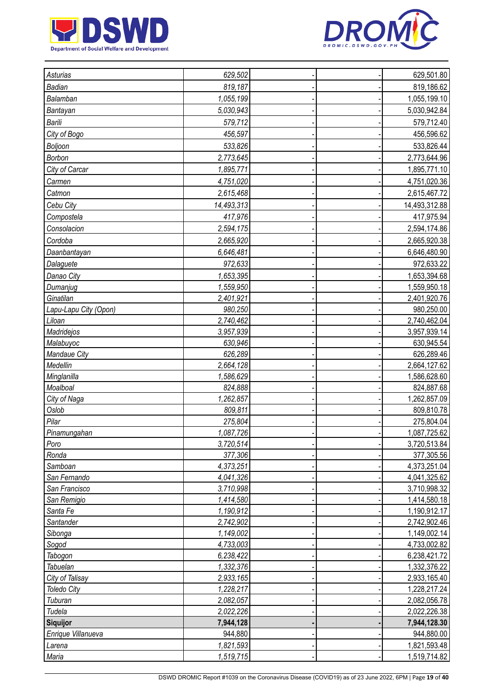



| Asturias              | 629,502    |  | 629,501.80    |
|-----------------------|------------|--|---------------|
| Badian                | 819,187    |  | 819,186.62    |
| Balamban              | 1,055,199  |  | 1,055,199.10  |
| Bantayan              | 5,030,943  |  | 5,030,942.84  |
| Barili                | 579,712    |  | 579,712.40    |
| City of Bogo          | 456,597    |  | 456,596.62    |
|                       |            |  |               |
| Boljoon               | 533,826    |  | 533,826.44    |
| Borbon                | 2,773,645  |  | 2,773,644.96  |
| City of Carcar        | 1,895,771  |  | 1,895,771.10  |
| Carmen                | 4,751,020  |  | 4,751,020.36  |
| Catmon                | 2,615,468  |  | 2,615,467.72  |
| Cebu City             | 14,493,313 |  | 14,493,312.88 |
| Compostela            | 417,976    |  | 417,975.94    |
| Consolacion           | 2,594,175  |  | 2,594,174.86  |
| Cordoba               | 2,665,920  |  | 2,665,920.38  |
| Daanbantayan          | 6,646,481  |  | 6,646,480.90  |
| Dalaguete             | 972,633    |  | 972,633.22    |
| Danao City            | 1,653,395  |  | 1,653,394.68  |
| Dumanjug              | 1,559,950  |  | 1,559,950.18  |
| Ginatilan             | 2,401,921  |  | 2,401,920.76  |
| Lapu-Lapu City (Opon) | 980,250    |  | 980,250.00    |
| Liloan                | 2,740,462  |  | 2,740,462.04  |
| Madridejos            | 3,957,939  |  | 3,957,939.14  |
| Malabuyoc             | 630,946    |  | 630,945.54    |
| Mandaue City          | 626,289    |  | 626,289.46    |
| Medellin              | 2,664,128  |  | 2,664,127.62  |
| Minglanilla           | 1,586,629  |  | 1,586,628.60  |
| Moalboal              | 824,888    |  | 824,887.68    |
| City of Naga          | 1,262,857  |  | 1,262,857.09  |
| Oslob                 | 809,811    |  | 809,810.78    |
| Pilar                 | 275,804    |  | 275,804.04    |
| Pinamungahan          | 1,087,726  |  | 1,087,725.62  |
| Poro                  | 3,720,514  |  | 3,720,513.84  |
| Ronda                 | 377,306    |  | 377,305.56    |
| Samboan               | 4,373,251  |  | 4,373,251.04  |
| San Fernando          | 4,041,326  |  | 4,041,325.62  |
| San Francisco         | 3,710,998  |  | 3,710,998.32  |
| San Remigio           | 1,414,580  |  | 1,414,580.18  |
| Santa Fe              | 1,190,912  |  | 1,190,912.17  |
| Santander             | 2,742,902  |  | 2,742,902.46  |
| Sibonga               | 1,149,002  |  | 1,149,002.14  |
| Sogod                 | 4,733,003  |  | 4,733,002.82  |
| Tabogon               | 6,238,422  |  | 6,238,421.72  |
| Tabuelan              | 1,332,376  |  | 1,332,376.22  |
| City of Talisay       | 2,933,165  |  | 2,933,165.40  |
| <b>Toledo City</b>    | 1,228,217  |  | 1,228,217.24  |
| Tuburan               | 2,082,057  |  | 2,082,056.78  |
| Tudela                | 2,022,226  |  | 2,022,226.38  |
| Siquijor              | 7,944,128  |  | 7,944,128.30  |
| Enrique Villanueva    | 944,880    |  | 944,880.00    |
| Larena                | 1,821,593  |  | 1,821,593.48  |
| Maria                 | 1,519,715  |  | 1,519,714.82  |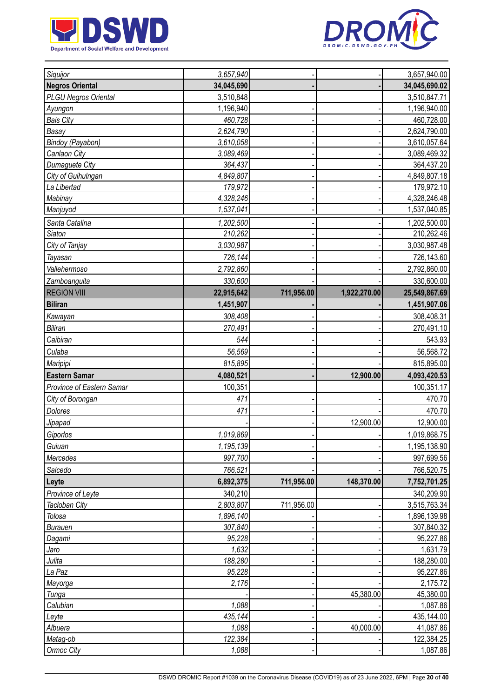



| Siquijor                    | 3,657,940        |            |              | 3,657,940.00           |
|-----------------------------|------------------|------------|--------------|------------------------|
| <b>Negros Oriental</b>      | 34,045,690       |            |              | 34,045,690.02          |
| <b>PLGU Negros Oriental</b> | 3,510,848        |            |              | 3,510,847.71           |
| Ayungon                     | 1,196,940        |            |              | 1,196,940.00           |
| <b>Bais City</b>            | 460,728          |            |              | 460,728.00             |
| Basay                       | 2,624,790        |            |              | 2,624,790.00           |
| Bindoy (Payabon)            | 3,610,058        |            |              | 3,610,057.64           |
| Canlaon City                | 3,089,469        |            |              | 3,089,469.32           |
| Dumaguete City              | 364,437          |            |              | 364,437.20             |
| City of Guihulngan          | 4,849,807        |            |              | 4,849,807.18           |
| La Libertad                 | 179,972          |            |              | 179,972.10             |
| Mabinay                     | 4,328,246        |            |              | 4,328,246.48           |
| Manjuyod                    | 1,537,041        |            |              | 1,537,040.85           |
| Santa Catalina              | 1,202,500        |            |              | 1,202,500.00           |
| <b>Siaton</b>               | 210,262          |            |              | 210,262.46             |
| City of Tanjay              | 3,030,987        |            |              | 3,030,987.48           |
| Tayasan                     | 726,144          |            |              | 726,143.60             |
| Vallehermoso                | 2,792,860        |            |              | 2,792,860.00           |
| Zamboanguita                | 330,600          |            |              | 330,600.00             |
| <b>REGION VIII</b>          | 22,915,642       | 711,956.00 | 1,922,270.00 | 25,549,867.69          |
| <b>Biliran</b>              | 1,451,907        |            |              | 1,451,907.06           |
| Kawayan                     | 308,408          |            |              | 308,408.31             |
| <b>Biliran</b>              | 270,491          |            |              | 270,491.10             |
| Caibiran                    | 544              |            |              | 543.93                 |
|                             |                  |            |              |                        |
| Culaba                      | 56,569           |            |              | 56,568.72              |
| Maripipi                    | 815,895          |            |              | 815,895.00             |
| <b>Eastern Samar</b>        | 4,080,521        |            | 12,900.00    | 4,093,420.53           |
| Province of Eastern Samar   | 100,351          |            |              | 100,351.17             |
| City of Borongan            | 471              |            |              | 470.70                 |
| Dolores                     |                  |            |              |                        |
|                             | 471              |            |              | 470.70                 |
| Jipapad                     |                  |            | 12,900.00    | 12,900.00              |
| Giporlos                    | 1,019,869        |            |              | 1,019,868.75           |
| Guiuan                      | 1,195,139        |            |              | 1,195,138.90           |
| Mercedes                    | 997,700          |            |              | 997,699.56             |
| Salcedo                     | 766,521          |            |              | 766,520.75             |
| Leyte                       | 6,892,375        | 711,956.00 | 148,370.00   | 7,752,701.25           |
| Province of Leyte           | 340,210          |            |              | 340,209.90             |
| Tacloban City               | 2,803,807        | 711,956.00 |              | 3,515,763.34           |
| Tolosa                      | 1,896,140        |            |              | 1,896,139.98           |
| <b>Burauen</b>              | 307,840          |            |              | 307,840.32             |
| Dagami                      | 95,228           |            |              | 95,227.86              |
| Jaro                        | 1,632            |            |              | 1,631.79               |
| Julita                      | 188,280          |            |              | 188,280.00             |
| La Paz                      | 95,228           |            |              | 95,227.86              |
| Mayorga                     | 2,176            |            |              | 2,175.72               |
| Tunga                       |                  |            | 45,380.00    | 45,380.00              |
| Calubian                    | 1,088            |            |              | 1,087.86               |
| Leyte                       | 435,144          |            |              | 435,144.00             |
| Albuera                     | 1,088            |            | 40,000.00    | 41,087.86              |
| Matag-ob<br>Ormoc City      | 122,384<br>1,088 |            |              | 122,384.25<br>1,087.86 |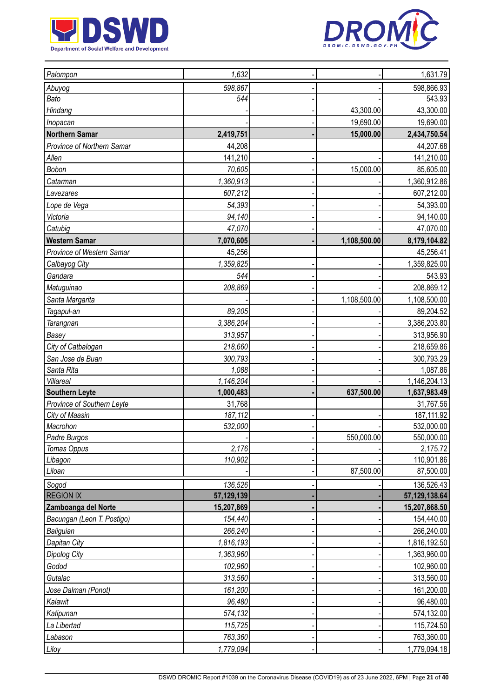



| Palompon                   | 1,632      |              | 1,631.79        |
|----------------------------|------------|--------------|-----------------|
| Abuyog                     | 598,867    |              | 598,866.93      |
| Bato                       | 544        |              | 543.93          |
| Hindang                    |            | 43,300.00    | 43,300.00       |
| Inopacan                   |            | 19,690.00    | 19,690.00       |
| <b>Northern Samar</b>      | 2,419,751  | 15,000.00    | 2,434,750.54    |
| Province of Northern Samar | 44,208     |              | 44,207.68       |
| Allen                      | 141,210    |              | 141,210.00      |
| Bobon                      | 70,605     | 15,000.00    | 85,605.00       |
| Catarman                   | 1,360,913  |              | 1,360,912.86    |
| Lavezares                  | 607,212    |              | 607,212.00      |
| Lope de Vega               | 54,393     |              | 54,393.00       |
| Victoria                   | 94,140     |              | 94,140.00       |
| Catubig                    | 47,070     |              | 47,070.00       |
| <b>Western Samar</b>       | 7,070,605  | 1,108,500.00 | 8,179,104.82    |
| Province of Western Samar  | 45,256     |              | 45,256.41       |
| Calbayog City              | 1,359,825  |              | 1,359,825.00    |
| Gandara                    | 544        |              | 543.93          |
| Matuguinao                 | 208,869    |              | 208,869.12      |
| Santa Margarita            |            | 1,108,500.00 | 1,108,500.00    |
| Tagapul-an                 | 89,205     |              | 89,204.52       |
| <b>Tarangnan</b>           | 3,386,204  |              | 3,386,203.80    |
| Basey                      | 313,957    |              | 313,956.90      |
| City of Catbalogan         | 218,660    |              | 218,659.86      |
| San Jose de Buan           | 300,793    |              | 300,793.29      |
| Santa Rita                 | 1,088      |              | 1,087.86        |
| Villareal                  | 1,146,204  |              | 1,146,204.13    |
| <b>Southern Leyte</b>      | 1,000,483  | 637,500.00   | 1,637,983.49    |
| Province of Southern Leyte | 31,768     |              | 31,767.56       |
| City of Maasin             | 187,112    |              | 187, 111.92     |
| Macrohon                   | 532,000    |              | 532,000.00      |
| Padre Burgos               |            | 550,000.00   | 550,000.00      |
| Tomas Oppus                | 2,176      |              | 2,175.72        |
| Libagon                    | 110,902    |              | 110,901.86      |
| Liloan                     |            | 87,500.00    | 87,500.00       |
| Sogod                      | 136,526    |              | 136,526.43      |
| <b>REGION IX</b>           | 57,129,139 |              | 57, 129, 138.64 |
| Zamboanga del Norte        | 15,207,869 |              | 15,207,868.50   |
| Bacungan (Leon T. Postigo) | 154,440    |              | 154,440.00      |
| Baliguian                  | 266,240    |              | 266,240.00      |
| Dapitan City               | 1,816,193  |              | 1,816,192.50    |
| <b>Dipolog City</b>        | 1,363,960  |              | 1,363,960.00    |
| Godod                      | 102,960    |              | 102,960.00      |
| Gutalac                    | 313,560    |              | 313,560.00      |
| Jose Dalman (Ponot)        | 161,200    |              | 161,200.00      |
| Kalawit                    | 96,480     |              | 96,480.00       |
| Katipunan                  | 574,132    |              | 574,132.00      |
| La Libertad                | 115,725    |              | 115,724.50      |
| Labason                    | 763,360    |              | 763,360.00      |
| Liloy                      | 1,779,094  |              | 1,779,094.18    |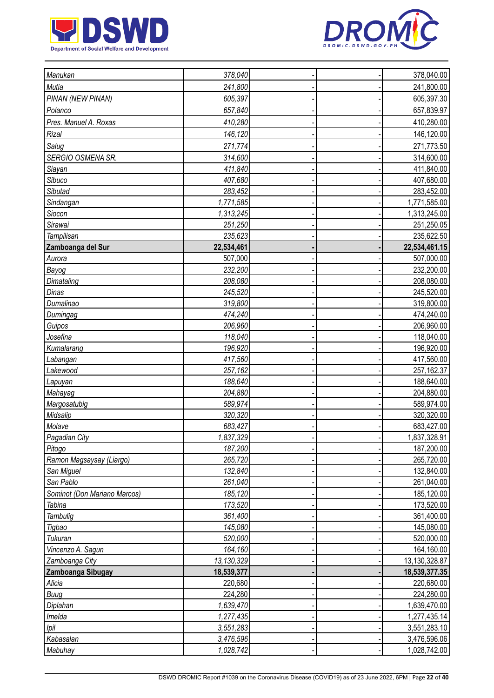



| Manukan                      | 378,040    |  | 378,040.00    |
|------------------------------|------------|--|---------------|
| Mutia                        | 241,800    |  | 241,800.00    |
| PINAN (NEW PINAN)            | 605,397    |  | 605,397.30    |
| Polanco                      | 657,840    |  | 657,839.97    |
| Pres. Manuel A. Roxas        | 410,280    |  | 410,280.00    |
| Rizal                        | 146,120    |  | 146,120.00    |
| Salug                        | 271,774    |  | 271,773.50    |
| SERGIO OSMENA SR.            | 314,600    |  | 314,600.00    |
| Siayan                       | 411,840    |  | 411,840.00    |
| Sibuco                       | 407,680    |  | 407,680.00    |
| Sibutad                      | 283,452    |  | 283,452.00    |
| Sindangan                    | 1,771,585  |  | 1,771,585.00  |
| Siocon                       | 1,313,245  |  | 1,313,245.00  |
| Sirawai                      | 251,250    |  | 251,250.05    |
| Tampilisan                   | 235,623    |  | 235,622.50    |
| Zamboanga del Sur            | 22,534,461 |  | 22,534,461.15 |
| Aurora                       | 507,000    |  | 507,000.00    |
| Bayog                        | 232,200    |  | 232,200.00    |
| Dimataling                   | 208,080    |  | 208,080.00    |
| Dinas                        | 245,520    |  | 245,520.00    |
| Dumalinao                    | 319,800    |  | 319,800.00    |
| Dumingag                     | 474,240    |  | 474,240.00    |
| Guipos                       | 206,960    |  | 206,960.00    |
| Josefina                     | 118,040    |  | 118,040.00    |
| Kumalarang                   | 196,920    |  | 196,920.00    |
| Labangan                     | 417,560    |  | 417,560.00    |
| Lakewood                     | 257,162    |  | 257,162.37    |
| Lapuyan                      | 188,640    |  | 188,640.00    |
| Mahayag                      | 204,880    |  | 204,880.00    |
| Margosatubig                 | 589,974    |  | 589,974.00    |
| Midsalip                     | 320,320    |  | 320,320.00    |
| Molave                       | 683,427    |  | 683,427.00    |
| Pagadian City                | 1,837,329  |  | 1,837,328.91  |
| Pitogo                       | 187,200    |  | 187,200.00    |
| Ramon Magsaysay (Liargo)     | 265,720    |  | 265,720.00    |
| San Miguel                   | 132,840    |  | 132,840.00    |
| San Pablo                    | 261,040    |  | 261,040.00    |
| Sominot (Don Mariano Marcos) | 185,120    |  | 185,120.00    |
| Tabina                       | 173,520    |  | 173,520.00    |
| Tambulig                     | 361,400    |  | 361,400.00    |
| Tigbao                       | 145,080    |  | 145,080.00    |
| Tukuran                      | 520,000    |  | 520,000.00    |
| Vincenzo A. Sagun            | 164,160    |  | 164,160.00    |
| Zamboanga City               | 13,130,329 |  | 13,130,328.87 |
| Zamboanga Sibugay            | 18,539,377 |  | 18,539,377.35 |
| Alicia                       | 220,680    |  | 220,680.00    |
| Buug                         | 224,280    |  | 224,280.00    |
| Diplahan                     | 1,639,470  |  | 1,639,470.00  |
| Imelda                       | 1,277,435  |  | 1,277,435.14  |
| Ipil                         | 3,551,283  |  | 3,551,283.10  |
| Kabasalan                    | 3,476,596  |  | 3,476,596.06  |
| Mabuhay                      | 1,028,742  |  | 1,028,742.00  |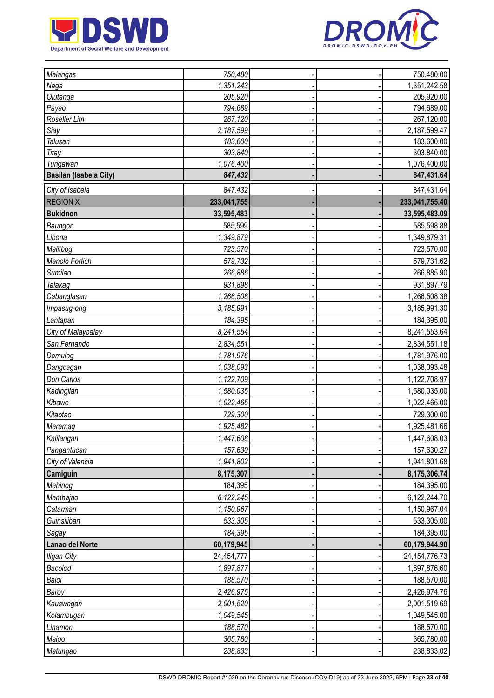



| <b>Malangas</b>               | 750,480     |  | 750,480.00     |
|-------------------------------|-------------|--|----------------|
| Naga                          | 1,351,243   |  | 1,351,242.58   |
| Olutanga                      | 205,920     |  | 205,920.00     |
| Payao                         | 794,689     |  | 794,689.00     |
| Roseller Lim                  | 267,120     |  | 267,120.00     |
| Siay                          | 2,187,599   |  | 2,187,599.47   |
| Talusan                       | 183,600     |  | 183,600.00     |
| Titay                         | 303,840     |  | 303,840.00     |
| Tungawan                      | 1,076,400   |  | 1,076,400.00   |
| <b>Basilan (Isabela City)</b> | 847,432     |  | 847,431.64     |
| City of Isabela               | 847,432     |  | 847,431.64     |
| <b>REGION X</b>               | 233,041,755 |  | 233,041,755.40 |
| <b>Bukidnon</b>               | 33,595,483  |  | 33,595,483.09  |
| Baungon                       | 585,599     |  | 585,598.88     |
| Libona                        | 1,349,879   |  | 1,349,879.31   |
| Malitbog                      | 723,570     |  | 723,570.00     |
| Manolo Fortich                | 579,732     |  | 579,731.62     |
| Sumilao                       | 266,886     |  | 266,885.90     |
| Talakag                       | 931,898     |  | 931,897.79     |
| Cabanglasan                   | 1,266,508   |  | 1,266,508.38   |
| Impasug-ong                   | 3,185,991   |  | 3,185,991.30   |
| Lantapan                      | 184,395     |  | 184,395.00     |
| City of Malaybalay            | 8,241,554   |  | 8,241,553.64   |
| San Fernando                  | 2,834,551   |  | 2,834,551.18   |
| Damulog                       | 1,781,976   |  | 1,781,976.00   |
| Dangcagan                     | 1,038,093   |  | 1,038,093.48   |
| Don Carlos                    | 1,122,709   |  | 1,122,708.97   |
| Kadingilan                    | 1,580,035   |  | 1,580,035.00   |
| Kibawe                        | 1,022,465   |  | 1,022,465.00   |
| Kitaotao                      | 729,300     |  | 729,300.00     |
| Maramag                       | 1,925,482   |  | 1,925,481.66   |
| Kalilangan                    | 1,447,608   |  | 1,447,608.03   |
| Pangantucan                   | 157,630     |  | 157,630.27     |
| City of Valencia              | 1,941,802   |  | 1,941,801.68   |
| Camiguin                      | 8,175,307   |  | 8,175,306.74   |
| Mahinog                       | 184,395     |  | 184,395.00     |
| Mambajao                      | 6,122,245   |  | 6,122,244.70   |
| Catarman                      | 1,150,967   |  | 1,150,967.04   |
| Guinsiliban                   | 533,305     |  | 533,305.00     |
| Sagay                         | 184,395     |  | 184,395.00     |
| Lanao del Norte               | 60,179,945  |  | 60,179,944.90  |
| <b>Iligan City</b>            | 24,454,777  |  | 24,454,776.73  |
| Bacolod                       | 1,897,877   |  | 1,897,876.60   |
| Baloi                         | 188,570     |  | 188,570.00     |
| Baroy                         | 2,426,975   |  | 2,426,974.76   |
| Kauswagan                     | 2,001,520   |  | 2,001,519.69   |
| Kolambugan                    | 1,049,545   |  | 1,049,545.00   |
| Linamon                       | 188,570     |  | 188,570.00     |
| Maigo                         | 365,780     |  | 365,780.00     |
| Matungao                      | 238,833     |  | 238,833.02     |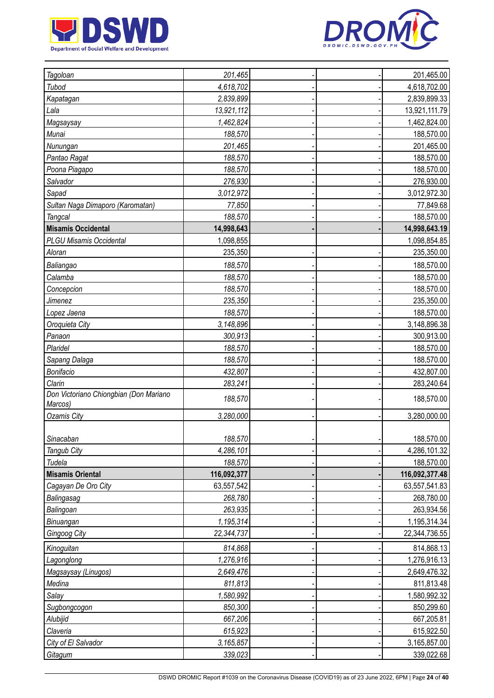



| Tagoloan                                          | 201,465     |  | 201,465.00     |
|---------------------------------------------------|-------------|--|----------------|
| Tubod                                             | 4,618,702   |  | 4,618,702.00   |
| Kapatagan                                         | 2,839,899   |  | 2,839,899.33   |
| Lala                                              | 13,921,112  |  | 13,921,111.79  |
| Magsaysay                                         | 1,462,824   |  | 1,462,824.00   |
| Munai                                             | 188,570     |  | 188,570.00     |
| Nunungan                                          | 201,465     |  | 201,465.00     |
| Pantao Ragat                                      | 188,570     |  | 188,570.00     |
| Poona Piagapo                                     | 188,570     |  | 188,570.00     |
| Salvador                                          | 276,930     |  | 276,930.00     |
| Sapad                                             | 3,012,972   |  | 3,012,972.30   |
| Sultan Naga Dimaporo (Karomatan)                  | 77,850      |  | 77,849.68      |
| Tangcal                                           | 188,570     |  | 188,570.00     |
| <b>Misamis Occidental</b>                         | 14,998,643  |  | 14,998,643.19  |
| <b>PLGU Misamis Occidental</b>                    | 1,098,855   |  | 1,098,854.85   |
| Aloran                                            | 235,350     |  | 235,350.00     |
| Baliangao                                         | 188,570     |  | 188,570.00     |
| Calamba                                           | 188,570     |  | 188,570.00     |
| Concepcion                                        | 188,570     |  | 188,570.00     |
| Jimenez                                           | 235,350     |  | 235,350.00     |
| Lopez Jaena                                       | 188,570     |  | 188,570.00     |
| Oroquieta City                                    | 3,148,896   |  | 3,148,896.38   |
| Panaon                                            | 300,913     |  | 300,913.00     |
| Plaridel                                          | 188,570     |  | 188,570.00     |
| Sapang Dalaga                                     | 188,570     |  | 188,570.00     |
| Bonifacio                                         | 432,807     |  | 432,807.00     |
| Clarin                                            | 283,241     |  | 283,240.64     |
| Don Victoriano Chiongbian (Don Mariano<br>Marcos) | 188,570     |  | 188,570.00     |
| <b>Ozamis City</b>                                | 3,280,000   |  | 3,280,000.00   |
| Sinacaban                                         | 188,570     |  | 188,570.00     |
| Tangub City                                       | 4,286,101   |  | 4,286,101.32   |
| Tudela                                            | 188,570     |  | 188,570.00     |
| <b>Misamis Oriental</b>                           | 116,092,377 |  | 116,092,377.48 |
| Cagayan De Oro City                               | 63,557,542  |  | 63,557,541.83  |
| Balingasag                                        | 268,780     |  | 268,780.00     |
| Balingoan                                         | 263,935     |  | 263,934.56     |
| Binuangan                                         | 1,195,314   |  | 1,195,314.34   |
| Gingoog City                                      | 22,344,737  |  | 22,344,736.55  |
| Kinoguitan                                        | 814,868     |  | 814,868.13     |
| Lagonglong                                        | 1,276,916   |  | 1,276,916.13   |
| Magsaysay (Linugos)                               | 2,649,476   |  | 2,649,476.32   |
| Medina                                            | 811,813     |  | 811,813.48     |
| Salay                                             | 1,580,992   |  | 1,580,992.32   |
| Sugbongcogon                                      | 850,300     |  | 850,299.60     |
| Alubijid                                          | 667,206     |  | 667,205.81     |
| Claveria                                          | 615,923     |  | 615,922.50     |
| City of El Salvador                               | 3,165,857   |  | 3,165,857.00   |
| Gitagum                                           | 339,023     |  | 339,022.68     |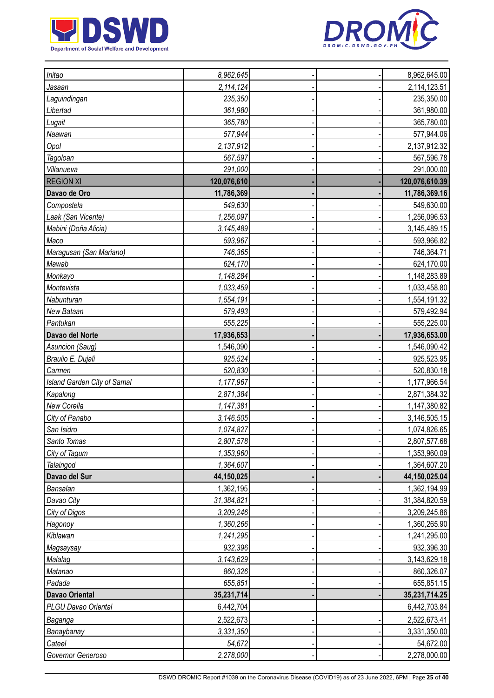



| Initao                      | 8,962,645   |  | 8,962,645.00   |
|-----------------------------|-------------|--|----------------|
| Jasaan                      | 2,114,124   |  | 2,114,123.51   |
| Laguindingan                | 235,350     |  | 235,350.00     |
| Libertad                    | 361,980     |  | 361,980.00     |
| Lugait                      | 365,780     |  | 365,780.00     |
| Naawan                      | 577,944     |  | 577,944.06     |
| Opol                        | 2,137,912   |  | 2,137,912.32   |
| Tagoloan                    | 567,597     |  | 567,596.78     |
| Villanueva                  | 291,000     |  | 291,000.00     |
| <b>REGION XI</b>            | 120,076,610 |  | 120,076,610.39 |
| Davao de Oro                | 11,786,369  |  | 11,786,369.16  |
| Compostela                  | 549,630     |  | 549,630.00     |
| Laak (San Vicente)          | 1,256,097   |  | 1,256,096.53   |
| Mabini (Doña Alicia)        | 3,145,489   |  | 3,145,489.15   |
| Maco                        | 593,967     |  | 593,966.82     |
| Maragusan (San Mariano)     | 746,365     |  | 746,364.71     |
| Mawab                       | 624,170     |  | 624,170.00     |
| Monkayo                     | 1,148,284   |  | 1,148,283.89   |
| Montevista                  | 1,033,459   |  | 1,033,458.80   |
| Nabunturan                  | 1,554,191   |  | 1,554,191.32   |
| New Bataan                  | 579,493     |  | 579,492.94     |
| Pantukan                    | 555,225     |  | 555,225.00     |
| Davao del Norte             | 17,936,653  |  | 17,936,653.00  |
| Asuncion (Saug)             | 1,546,090   |  | 1,546,090.42   |
| Braulio E. Dujali           | 925,524     |  | 925,523.95     |
| Carmen                      | 520,830     |  | 520,830.18     |
| Island Garden City of Samal | 1,177,967   |  | 1,177,966.54   |
| Kapalong                    | 2,871,384   |  | 2,871,384.32   |
| New Corella                 | 1,147,381   |  | 1,147,380.82   |
| City of Panabo              | 3,146,505   |  | 3,146,505.15   |
| San Isidro                  | 1,074,827   |  | 1,074,826.65   |
| Santo Tomas                 | 2,807,578   |  | 2,807,577.68   |
| City of Tagum               | 1,353,960   |  | 1,353,960.09   |
| Talaingod                   | 1,364,607   |  | 1,364,607.20   |
| Davao del Sur               | 44,150,025  |  | 44,150,025.04  |
| Bansalan                    | 1,362,195   |  | 1,362,194.99   |
| Davao City                  | 31,384,821  |  | 31,384,820.59  |
| City of Digos               | 3,209,246   |  | 3,209,245.86   |
| Hagonoy                     | 1,360,266   |  | 1,360,265.90   |
| Kiblawan                    | 1,241,295   |  | 1,241,295.00   |
| Magsaysay                   | 932,396     |  | 932,396.30     |
| Malalag                     | 3,143,629   |  | 3,143,629.18   |
| Matanao                     | 860,326     |  | 860,326.07     |
| Padada                      | 655,851     |  | 655,851.15     |
| <b>Davao Oriental</b>       | 35,231,714  |  | 35,231,714.25  |
| PLGU Davao Oriental         | 6,442,704   |  | 6,442,703.84   |
| Baganga                     | 2,522,673   |  | 2,522,673.41   |
| Banaybanay                  | 3,331,350   |  | 3,331,350.00   |
| Cateel                      | 54,672      |  | 54,672.00      |
| Governor Generoso           | 2,278,000   |  | 2,278,000.00   |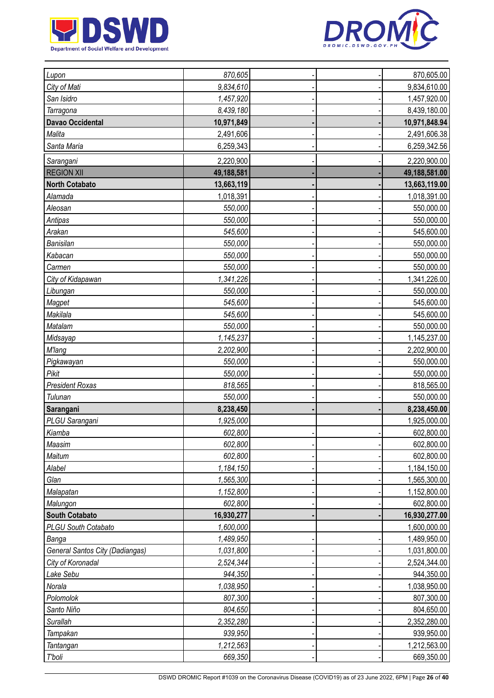



| Lupon                                  | 870,605    |  | 870,605.00    |
|----------------------------------------|------------|--|---------------|
| City of Mati                           | 9,834,610  |  | 9,834,610.00  |
| San Isidro                             | 1,457,920  |  | 1,457,920.00  |
| Tarragona                              | 8,439,180  |  | 8,439,180.00  |
| Davao Occidental                       | 10,971,849 |  | 10,971,848.94 |
| Malita                                 | 2,491,606  |  | 2,491,606.38  |
| Santa Maria                            | 6,259,343  |  | 6,259,342.56  |
| Sarangani                              | 2,220,900  |  | 2,220,900.00  |
| <b>REGION XII</b>                      | 49,188,581 |  | 49,188,581.00 |
| <b>North Cotabato</b>                  | 13,663,119 |  | 13,663,119.00 |
| Alamada                                | 1,018,391  |  | 1,018,391.00  |
| Aleosan                                | 550,000    |  | 550,000.00    |
| Antipas                                | 550,000    |  | 550,000.00    |
| Arakan                                 | 545,600    |  | 545,600.00    |
| Banisilan                              | 550,000    |  | 550,000.00    |
| Kabacan                                | 550,000    |  | 550,000.00    |
| Carmen                                 | 550,000    |  | 550,000.00    |
| City of Kidapawan                      | 1,341,226  |  | 1,341,226.00  |
| Libungan                               | 550,000    |  | 550,000.00    |
| Magpet                                 | 545,600    |  | 545,600.00    |
| Makilala                               | 545,600    |  | 545,600.00    |
| Matalam                                | 550,000    |  | 550,000.00    |
| Midsayap                               | 1,145,237  |  | 1,145,237.00  |
| <b>M'lang</b>                          | 2,202,900  |  | 2,202,900.00  |
| Pigkawayan                             | 550,000    |  | 550,000.00    |
| Pikit                                  | 550,000    |  | 550,000.00    |
| <b>President Roxas</b>                 | 818,565    |  | 818,565.00    |
| Tulunan                                | 550,000    |  | 550,000.00    |
| Sarangani                              | 8,238,450  |  | 8,238,450.00  |
| PLGU Sarangani                         | 1,925,000  |  | 1,925,000.00  |
| Kiamba                                 | 602,800    |  | 602,800.00    |
| Maasim                                 | 602,800    |  | 602,800.00    |
| Maitum                                 | 602,800    |  | 602,800.00    |
| Alabel                                 | 1,184,150  |  | 1,184,150.00  |
| Glan                                   | 1,565,300  |  | 1,565,300.00  |
| Malapatan                              | 1,152,800  |  | 1,152,800.00  |
| Malungon                               | 602,800    |  | 602,800.00    |
| <b>South Cotabato</b>                  | 16,930,277 |  | 16,930,277.00 |
| PLGU South Cotabato                    | 1,600,000  |  | 1,600,000.00  |
| Banga                                  | 1,489,950  |  | 1,489,950.00  |
| <b>General Santos City (Dadiangas)</b> | 1,031,800  |  | 1,031,800.00  |
| City of Koronadal                      | 2,524,344  |  | 2,524,344.00  |
| Lake Sebu                              | 944,350    |  | 944,350.00    |
| Norala                                 | 1,038,950  |  | 1,038,950.00  |
| Polomolok                              | 807,300    |  | 807,300.00    |
| Santo Niño                             | 804,650    |  | 804,650.00    |
| Surallah                               | 2,352,280  |  | 2,352,280.00  |
| Tampakan                               | 939,950    |  | 939,950.00    |
| Tantangan                              | 1,212,563  |  | 1,212,563.00  |
| T'boli                                 | 669,350    |  | 669,350.00    |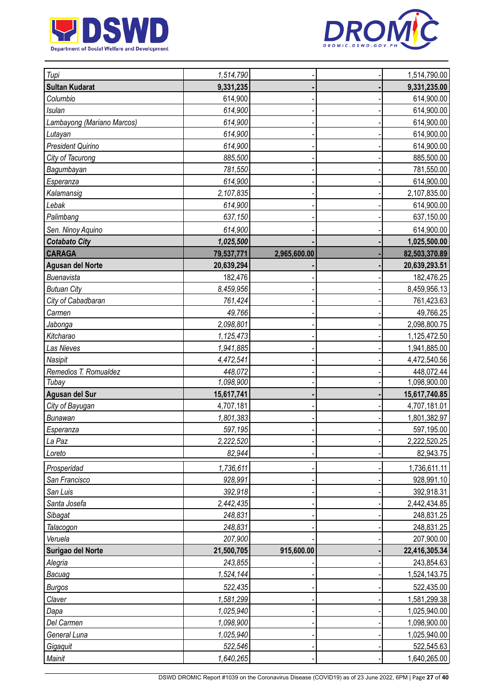



| Tupi                       | 1,514,790  |              | 1,514,790.00  |
|----------------------------|------------|--------------|---------------|
| <b>Sultan Kudarat</b>      | 9,331,235  |              | 9,331,235.00  |
| Columbio                   | 614,900    |              | 614,900.00    |
| <b>Isulan</b>              | 614,900    |              | 614,900.00    |
| Lambayong (Mariano Marcos) | 614,900    |              | 614,900.00    |
| Lutayan                    | 614,900    |              | 614,900.00    |
| President Quirino          | 614,900    |              | 614,900.00    |
| City of Tacurong           | 885,500    |              | 885,500.00    |
| Bagumbayan                 | 781,550    |              | 781,550.00    |
| Esperanza                  | 614,900    |              | 614,900.00    |
| Kalamansig                 | 2,107,835  |              | 2,107,835.00  |
| Lebak                      | 614,900    |              | 614,900.00    |
| Palimbang                  | 637,150    |              | 637,150.00    |
| Sen. Ninoy Aquino          | 614,900    |              | 614,900.00    |
| <b>Cotabato City</b>       | 1,025,500  |              | 1,025,500.00  |
| <b>CARAGA</b>              | 79,537,771 | 2,965,600.00 | 82,503,370.89 |
| <b>Agusan del Norte</b>    | 20,639,294 |              | 20,639,293.51 |
| Buenavista                 | 182,476    |              | 182,476.25    |
| <b>Butuan City</b>         | 8,459,956  |              | 8,459,956.13  |
| City of Cabadbaran         | 761,424    |              | 761,423.63    |
| Carmen                     | 49,766     |              | 49,766.25     |
| <b>Jabonga</b>             | 2,098,801  |              | 2,098,800.75  |
| Kitcharao                  | 1,125,473  |              | 1,125,472.50  |
| Las Nieves                 | 1,941,885  |              | 1,941,885.00  |
| Nasipit                    | 4,472,541  |              | 4,472,540.56  |
| Remedios T. Romualdez      | 448,072    |              | 448,072.44    |
| Tubay                      | 1,098,900  |              | 1,098,900.00  |
| Agusan del Sur             | 15,617,741 |              | 15,617,740.85 |
| City of Bayugan            | 4,707,181  |              | 4,707,181.01  |
| <b>Bunawan</b>             | 1,801,383  |              | 1,801,382.97  |
| Esperanza                  | 597,195    |              | 597,195.00    |
| La Paz                     | 2,222,520  |              | 2,222,520.25  |
| Loreto                     | 82,944     |              | 82,943.75     |
| Prosperidad                | 1,736,611  |              | 1,736,611.11  |
| San Francisco              | 928,991    |              | 928,991.10    |
| San Luis                   | 392,918    |              | 392,918.31    |
| Santa Josefa               | 2,442,435  |              | 2,442,434.85  |
| Sibagat                    | 248,831    |              | 248,831.25    |
| Talacogon                  | 248,831    |              | 248,831.25    |
| Veruela                    | 207,900    |              | 207,900.00    |
| Surigao del Norte          | 21,500,705 | 915,600.00   | 22,416,305.34 |
| Alegria                    | 243,855    |              | 243,854.63    |
| Bacuag                     | 1,524,144  |              | 1,524,143.75  |
| <b>Burgos</b>              | 522,435    |              | 522,435.00    |
| Claver                     | 1,581,299  |              | 1,581,299.38  |
| Dapa                       | 1,025,940  |              | 1,025,940.00  |
| Del Carmen                 | 1,098,900  |              | 1,098,900.00  |
| General Luna               | 1,025,940  |              | 1,025,940.00  |
| Gigaquit                   | 522,546    |              | 522,545.63    |
| Mainit                     | 1,640,265  |              | 1,640,265.00  |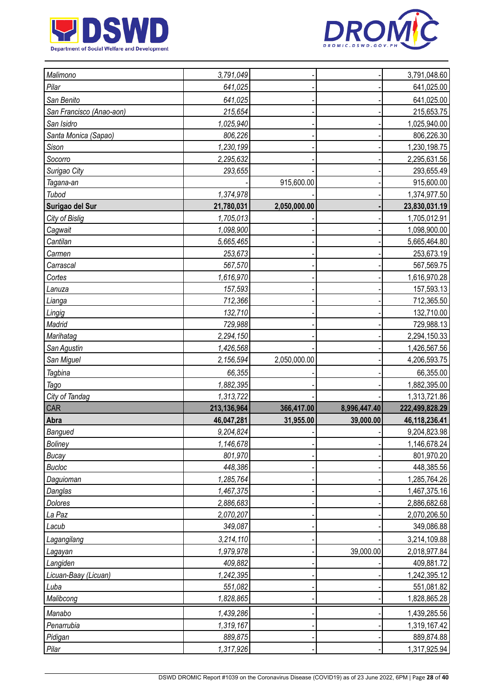



| Malimono                 | 3,791,049   |              |              | 3,791,048.60   |
|--------------------------|-------------|--------------|--------------|----------------|
| Pilar                    | 641,025     |              |              | 641,025.00     |
| San Benito               | 641,025     |              |              | 641,025.00     |
| San Francisco (Anao-aon) | 215,654     |              |              | 215,653.75     |
| San Isidro               | 1,025,940   |              |              | 1,025,940.00   |
| Santa Monica (Sapao)     | 806,226     |              |              | 806,226.30     |
| Sison                    | 1,230,199   |              |              | 1,230,198.75   |
| Socorro                  | 2,295,632   |              |              | 2,295,631.56   |
| Surigao City             | 293,655     |              |              | 293,655.49     |
| Tagana-an                |             | 915,600.00   |              | 915,600.00     |
| Tubod                    | 1,374,978   |              |              | 1,374,977.50   |
| Surigao del Sur          | 21,780,031  | 2,050,000.00 |              | 23,830,031.19  |
| City of Bislig           | 1,705,013   |              |              | 1,705,012.91   |
| Cagwait                  | 1,098,900   |              |              | 1,098,900.00   |
| Cantilan                 | 5,665,465   |              |              | 5,665,464.80   |
| Carmen                   | 253,673     |              |              | 253,673.19     |
| Carrascal                | 567,570     |              |              | 567,569.75     |
| Cortes                   | 1,616,970   |              |              | 1,616,970.28   |
| Lanuza                   | 157,593     |              |              | 157,593.13     |
| Lianga                   | 712,366     |              |              | 712,365.50     |
| Lingig                   | 132,710     |              |              | 132,710.00     |
| Madrid                   | 729,988     |              |              | 729,988.13     |
| Marihatag                | 2,294,150   |              |              | 2,294,150.33   |
| San Agustin              | 1,426,568   |              |              | 1,426,567.56   |
| San Miguel               | 2,156,594   | 2,050,000.00 |              | 4,206,593.75   |
| <b>Tagbina</b>           | 66,355      |              |              | 66,355.00      |
| Tago                     | 1,882,395   |              |              | 1,882,395.00   |
| City of Tandag           | 1,313,722   |              |              | 1,313,721.86   |
| <b>CAR</b>               | 213,136,964 | 366,417.00   | 8,996,447.40 | 222,499,828.29 |
| Abra                     | 46,047,281  | 31,955.00    | 39,000.00    | 46,118,236.41  |
| Bangued                  | 9,204,824   |              |              | 9,204,823.98   |
| Boliney                  | 1,146,678   |              |              | 1,146,678.24   |
| <b>Bucay</b>             | 801,970     |              |              | 801,970.20     |
| <b>Bucloc</b>            | 448,386     |              |              | 448,385.56     |
| Daguioman                | 1,285,764   |              |              | 1,285,764.26   |
| Danglas                  | 1,467,375   |              |              | 1,467,375.16   |
|                          |             |              |              |                |
| Dolores                  | 2,886,683   |              |              | 2,886,682.68   |
| La Paz                   | 2,070,207   |              |              | 2,070,206.50   |
| Lacub                    | 349,087     |              |              | 349,086.88     |
| Lagangilang              | 3,214,110   |              |              | 3,214,109.88   |
| Lagayan                  | 1,979,978   |              | 39,000.00    | 2,018,977.84   |
| Langiden                 | 409,882     |              |              | 409,881.72     |
| Licuan-Baay (Licuan)     | 1,242,395   |              |              | 1,242,395.12   |
| Luba                     | 551,082     |              |              | 551,081.82     |
| Malibcong                | 1,828,865   |              |              | 1,828,865.28   |
| Manabo                   | 1,439,286   |              |              | 1,439,285.56   |
| Penarrubia               | 1,319,167   |              |              | 1,319,167.42   |
| Pidigan                  | 889,875     |              |              | 889,874.88     |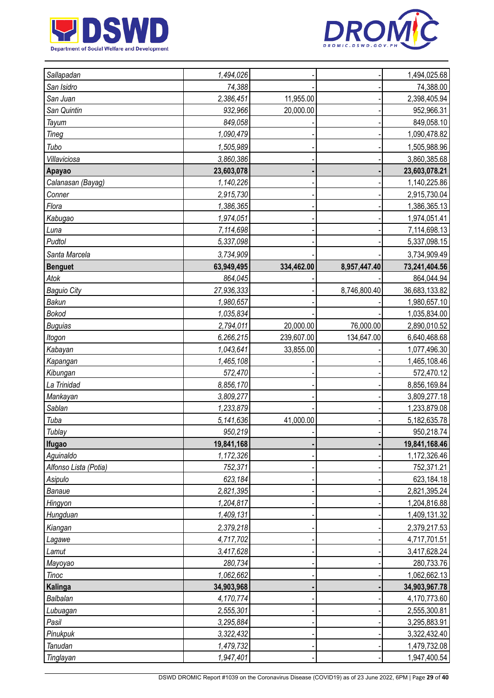



| Sallapadan            | 1,494,026  |            |              | 1,494,025.68  |
|-----------------------|------------|------------|--------------|---------------|
| San Isidro            | 74,388     |            |              | 74,388.00     |
| San Juan              | 2,386,451  | 11,955.00  |              | 2,398,405.94  |
| San Quintin           | 932,966    | 20,000.00  |              | 952,966.31    |
| Tayum                 | 849,058    |            |              | 849,058.10    |
| Tineg                 | 1,090,479  |            |              | 1,090,478.82  |
| Tubo                  | 1,505,989  |            |              | 1,505,988.96  |
| Villaviciosa          | 3,860,386  |            |              | 3,860,385.68  |
| Apayao                | 23,603,078 |            |              | 23,603,078.21 |
| Calanasan (Bayag)     | 1,140,226  |            |              | 1,140,225.86  |
| Conner                | 2,915,730  |            |              | 2,915,730.04  |
| Flora                 | 1,386,365  |            |              | 1,386,365.13  |
| Kabugao               | 1,974,051  |            |              | 1,974,051.41  |
| Luna                  | 7,114,698  |            |              | 7,114,698.13  |
| Pudtol                | 5,337,098  |            |              | 5,337,098.15  |
| Santa Marcela         | 3,734,909  |            |              | 3,734,909.49  |
| <b>Benguet</b>        | 63,949,495 | 334,462.00 | 8,957,447.40 | 73,241,404.56 |
| Atok                  | 864,045    |            |              | 864,044.94    |
| <b>Baguio City</b>    | 27,936,333 |            | 8,746,800.40 | 36,683,133.82 |
| <b>Bakun</b>          | 1,980,657  |            |              | 1,980,657.10  |
| <b>Bokod</b>          | 1,035,834  |            |              | 1,035,834.00  |
| <b>Buguias</b>        | 2,794,011  | 20,000.00  | 76,000.00    | 2,890,010.52  |
| Itogon                | 6,266,215  | 239,607.00 | 134,647.00   | 6,640,468.68  |
| Kabayan               | 1,043,641  | 33,855.00  |              | 1,077,496.30  |
| Kapangan              | 1,465,108  |            |              | 1,465,108.46  |
| Kibungan              | 572,470    |            |              | 572,470.12    |
| La Trinidad           | 8,856,170  |            |              | 8,856,169.84  |
| Mankayan              | 3,809,277  |            |              | 3,809,277.18  |
| Sablan                | 1,233,879  |            |              | 1,233,879.08  |
| Tuba                  | 5,141,636  | 41,000.00  |              | 5,182,635.78  |
| Tublay                | 950,219    |            |              | 950,218.74    |
| <b>Ifugao</b>         | 19,841,168 |            |              | 19,841,168.46 |
| Aguinaldo             | 1,172,326  |            |              | 1,172,326.46  |
| Alfonso Lista (Potia) | 752,371    |            |              | 752,371.21    |
| Asipulo               | 623,184    |            |              | 623,184.18    |
| Banaue                | 2,821,395  |            |              | 2,821,395.24  |
| Hingyon               | 1,204,817  |            |              | 1,204,816.88  |
| Hungduan              | 1,409,131  |            |              | 1,409,131.32  |
| Kiangan               | 2,379,218  |            |              | 2,379,217.53  |
| Lagawe                | 4,717,702  |            |              | 4,717,701.51  |
| Lamut                 | 3,417,628  |            |              | 3,417,628.24  |
| Mayoyao               | 280,734    |            |              | 280,733.76    |
| <b>Tinoc</b>          | 1,062,662  |            |              | 1,062,662.13  |
| Kalinga               | 34,903,968 |            |              | 34,903,967.78 |
| Balbalan              | 4,170,774  |            |              | 4,170,773.60  |
| Lubuagan              | 2,555,301  |            |              | 2,555,300.81  |
| Pasil                 | 3,295,884  |            |              | 3,295,883.91  |
| Pinukpuk              | 3,322,432  |            |              | 3,322,432.40  |
| Tanudan               | 1,479,732  |            |              | 1,479,732.08  |
| Tinglayan             | 1,947,401  |            |              | 1,947,400.54  |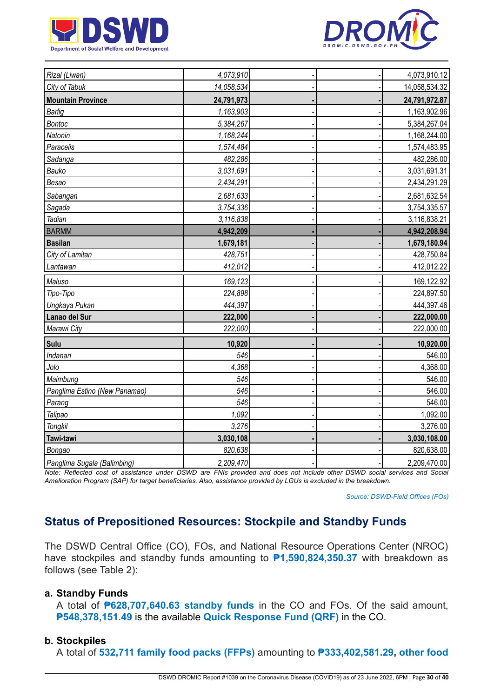



| Rizal (Liwan)                 | 4,073,910  |  | 4,073,910.12  |
|-------------------------------|------------|--|---------------|
| City of Tabuk                 | 14,058,534 |  | 14,058,534.32 |
| <b>Mountain Province</b>      | 24,791,973 |  | 24,791,972.87 |
| <b>Barlig</b>                 | 1,163,903  |  | 1,163,902.96  |
| <b>Bontoc</b>                 | 5,384,267  |  | 5,384,267.04  |
| Natonin                       | 1,168,244  |  | 1,168,244.00  |
| Paracelis                     | 1,574,484  |  | 1,574,483.95  |
| Sadanga                       | 482,286    |  | 482,286.00    |
| Bauko                         | 3,031,691  |  | 3,031,691.31  |
| Besao                         | 2,434,291  |  | 2,434,291.29  |
| Sabangan                      | 2,681,633  |  | 2,681,632.54  |
| Sagada                        | 3,754,336  |  | 3,754,335.57  |
| Tadian                        | 3,116,838  |  | 3,116,838.21  |
| <b>BARMM</b>                  | 4,942,209  |  | 4,942,208.94  |
| <b>Basilan</b>                | 1,679,181  |  | 1,679,180.94  |
| City of Lamitan               | 428,751    |  | 428,750.84    |
| Lantawan                      | 412,012    |  | 412,012.22    |
| Maluso                        | 169,123    |  | 169,122.92    |
| Tipo-Tipo                     | 224,898    |  | 224,897.50    |
| Ungkaya Pukan                 | 444,397    |  | 444,397.46    |
| Lanao del Sur                 | 222,000    |  | 222,000.00    |
| Marawi City                   | 222,000    |  | 222,000.00    |
| Sulu                          | 10,920     |  | 10,920.00     |
| Indanan                       | 546        |  | 546.00        |
| Jolo                          | 4,368      |  | 4,368.00      |
| Maimbung                      | 546        |  | 546.00        |
| Panglima Estino (New Panamao) | 546        |  | 546.00        |
| Parang                        | 546        |  | 546.00        |
| Talipao                       | 1,092      |  | 1,092.00      |
| Tongkil                       | 3,276      |  | 3,276.00      |
| Tawi-tawi                     | 3,030,108  |  | 3,030,108.00  |
| Bongao                        | 820,638    |  | 820,638.00    |
| Panglima Sugala (Balimbing)   | 2,209,470  |  | 2,209,470.00  |

Note: Reflected cost of assistance under DSWD are FNIs provided and does not include other DSWD social services and Social Amelioration Program (SAP) for target beneficiaries. Also, assistance provided by LGUs is excluded in the breakdown.

*Source: DSWD-Field Offices (FOs)*

# **Status of Prepositioned Resources: Stockpile and Standby Funds**

The DSWD Central Office (CO), FOs, and National Resource Operations Center (NROC) have stockpiles and standby funds amounting to **₱1,590,824,350.37** with breakdown as follows (see Table 2):

#### **a. Standby Funds**

A total of **₱628,707,640.63 standby funds** in the CO and FOs. Of the said amount, **₱548,378,151.49** is the available **Quick Response Fund (QRF)** in the CO.

#### **b. Stockpiles**

A total of **532,711 family food packs (FFPs)** amounting to **₱333,402,581.29, other food**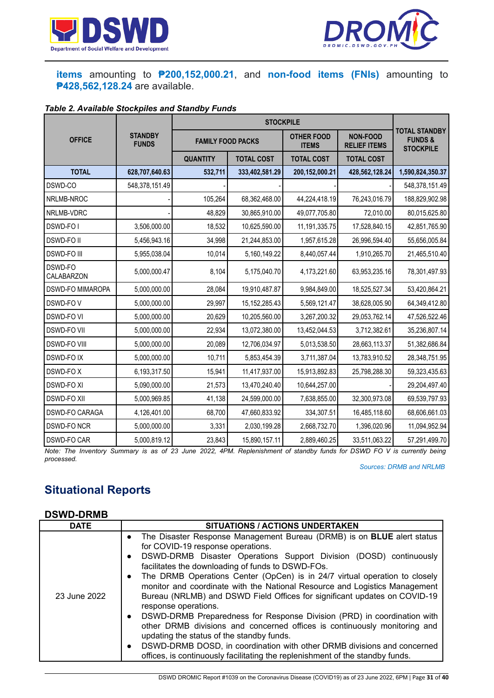



## **items** amounting to **₱200,152,000.21**, and **non-food items (FNIs)** amounting to **₱428,562,128.24** are available.

## *Table 2. Available Stockpiles and Standby Funds*

| <b>OFFICE</b>           | <b>STANDBY</b><br><b>FUNDS</b> | <b>FAMILY FOOD PACKS</b> |                   | <b>OTHER FOOD</b><br><b>ITEMS</b> | <b>NON-FOOD</b><br><b>RELIEF ITEMS</b> | <b>TOTAL STANDBY</b><br><b>FUNDS&amp;</b><br><b>STOCKPILE</b> |
|-------------------------|--------------------------------|--------------------------|-------------------|-----------------------------------|----------------------------------------|---------------------------------------------------------------|
|                         |                                | <b>QUANTITY</b>          | <b>TOTAL COST</b> | <b>TOTAL COST</b>                 | <b>TOTAL COST</b>                      |                                                               |
| <b>TOTAL</b>            | 628,707,640.63                 | 532,711                  | 333,402,581.29    | 200,152,000.21                    | 428,562,128.24                         | 1,590,824,350.37                                              |
| DSWD-CO                 | 548,378,151.49                 |                          |                   |                                   |                                        | 548,378,151.49                                                |
| NRLMB-NROC              |                                | 105,264                  | 68,362,468.00     | 44,224,418.19                     | 76,243,016.79                          | 188,829,902.98                                                |
| NRLMB-VDRC              |                                | 48,829                   | 30,865,910.00     | 49,077,705.80                     | 72,010.00                              | 80,015,625.80                                                 |
| <b>DSWD-FOI</b>         | 3,506,000.00                   | 18,532                   | 10,625,590.00     | 11, 191, 335. 75                  | 17,528,840.15                          | 42,851,765.90                                                 |
| <b>DSWD-FOII</b>        | 5,456,943.16                   | 34,998                   | 21,244,853.00     | 1,957,615.28                      | 26,996,594.40                          | 55,656,005.84                                                 |
| <b>DSWD-FO III</b>      | 5,955,038.04                   | 10,014                   | 5,160,149.22      | 8,440,057.44                      | 1,910,265.70                           | 21,465,510.40                                                 |
| DSWD-FO<br>CALABARZON   | 5,000,000.47                   | 8,104                    | 5,175,040.70      | 4,173,221.60                      | 63,953,235.16                          | 78,301,497.93                                                 |
| <b>DSWD-FO MIMAROPA</b> | 5,000,000.00                   | 28,084                   | 19,910,487.87     | 9,984,849.00                      | 18,525,527.34                          | 53,420,864.21                                                 |
| DSWD-FOV                | 5,000,000.00                   | 29,997                   | 15, 152, 285. 43  | 5,569,121.47                      | 38,628,005.90                          | 64,349,412.80                                                 |
| <b>DSWD-FO VI</b>       | 5,000,000.00                   | 20,629                   | 10,205,560.00     | 3,267,200.32                      | 29,053,762.14                          | 47,526,522.46                                                 |
| <b>DSWD-FO VII</b>      | 5,000,000.00                   | 22,934                   | 13,072,380.00     | 13,452,044.53                     | 3,712,382.61                           | 35,236,807.14                                                 |
| <b>DSWD-FO VIII</b>     | 5,000,000.00                   | 20,089                   | 12,706,034.97     | 5,013,538.50                      | 28,663,113.37                          | 51,382,686.84                                                 |
| <b>DSWD-FOIX</b>        | 5,000,000.00                   | 10,711                   | 5,853,454.39      | 3,711,387.04                      | 13,783,910.52                          | 28,348,751.95                                                 |
| DSWD-FOX                | 6,193,317.50                   | 15,941                   | 11,417,937.00     | 15,913,892.83                     | 25,798,288.30                          | 59,323,435.63                                                 |
| <b>DSWD-FO XI</b>       | 5,090,000.00                   | 21,573                   | 13,470,240.40     | 10,644,257.00                     |                                        | 29,204,497.40                                                 |
| <b>DSWD-FO XII</b>      | 5,000,969.85                   | 41,138                   | 24,599,000.00     | 7,638,855.00                      | 32,300,973.08                          | 69,539,797.93                                                 |
| DSWD-FO CARAGA          | 4,126,401.00                   | 68,700                   | 47,660,833.92     | 334,307.51                        | 16,485,118.60                          | 68,606,661.03                                                 |
| <b>DSWD-FO NCR</b>      | 5,000,000.00                   | 3,331                    | 2,030,199.28      | 2,668,732.70                      | 1,396,020.96                           | 11,094,952.94                                                 |
| <b>DSWD-FO CAR</b>      | 5,000,819.12                   | 23,843                   | 15,890,157.11     | 2,889,460.25                      | 33,511,063.22                          | 57,291,499.70                                                 |

Note: The Inventory Summary is as of 23 June 2022, 4PM. Replenishment of standby funds for DSWD FO V is currently being *processed.*

*Sources: DRMB and NRLMB*

# **Situational Reports**

#### **DSWD-DRMB**

| The Disaster Response Management Bureau (DRMB) is on <b>BLUE</b> alert status<br>$\bullet$<br>for COVID-19 response operations.<br>DSWD-DRMB Disaster Operations Support Division (DOSD) continuously<br>$\bullet$<br>facilitates the downloading of funds to DSWD-FOs.<br>The DRMB Operations Center (OpCen) is in 24/7 virtual operation to closely<br>$\bullet$<br>monitor and coordinate with the National Resource and Logistics Management<br>Bureau (NRLMB) and DSWD Field Offices for significant updates on COVID-19<br>23 June 2022 | <b>DATE</b> | <b>SITUATIONS / ACTIONS UNDERTAKEN</b> |
|-----------------------------------------------------------------------------------------------------------------------------------------------------------------------------------------------------------------------------------------------------------------------------------------------------------------------------------------------------------------------------------------------------------------------------------------------------------------------------------------------------------------------------------------------|-------------|----------------------------------------|
| DSWD-DRMB Preparedness for Response Division (PRD) in coordination with<br>$\bullet$<br>other DRMB divisions and concerned offices is continuously monitoring and<br>updating the status of the standby funds.<br>DSWD-DRMB DOSD, in coordination with other DRMB divisions and concerned<br>$\bullet$<br>offices, is continuously facilitating the replenishment of the standby funds.                                                                                                                                                       |             | response operations.                   |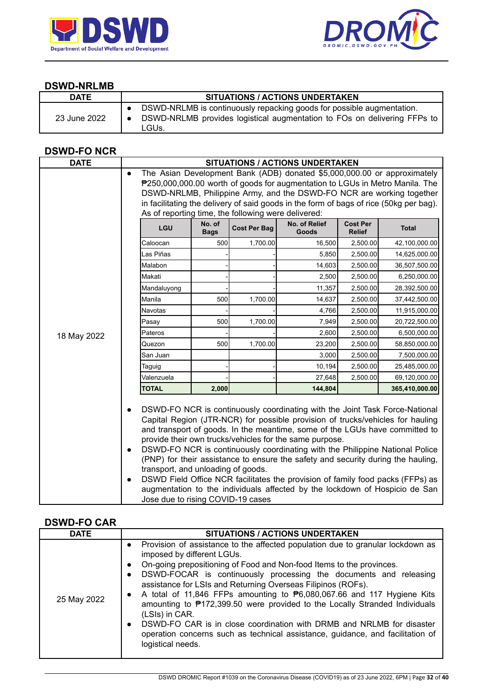



#### **DSWD-NRLMB**

| <b>DATE</b>  | <b>SITUATIONS / ACTIONS UNDERTAKEN</b>                                                                                                                     |
|--------------|------------------------------------------------------------------------------------------------------------------------------------------------------------|
| 23 June 2022 | DSWD-NRLMB is continuously repacking goods for possible augmentation.<br>DSWD-NRLMB provides logistical augmentation to FOs on delivering FFPs to<br>LGUs. |

# **DSWD-FO NCR**

| <b>DATE</b>                                                                                                                                                                                                                                                                                                                                                                                                                                                                                                                                                                                                                                                                                                                                                    |                |                                                                                                                                                          |                     | <b>SITUATIONS / ACTIONS UNDERTAKEN</b> |                 |                                                                       |  |
|----------------------------------------------------------------------------------------------------------------------------------------------------------------------------------------------------------------------------------------------------------------------------------------------------------------------------------------------------------------------------------------------------------------------------------------------------------------------------------------------------------------------------------------------------------------------------------------------------------------------------------------------------------------------------------------------------------------------------------------------------------------|----------------|----------------------------------------------------------------------------------------------------------------------------------------------------------|---------------------|----------------------------------------|-----------------|-----------------------------------------------------------------------|--|
|                                                                                                                                                                                                                                                                                                                                                                                                                                                                                                                                                                                                                                                                                                                                                                | $\bullet$      | The Asian Development Bank (ADB) donated \$5,000,000.00 or approximately<br>P250,000,000.00 worth of goods for augmentation to LGUs in Metro Manila. The |                     |                                        |                 |                                                                       |  |
|                                                                                                                                                                                                                                                                                                                                                                                                                                                                                                                                                                                                                                                                                                                                                                |                |                                                                                                                                                          |                     |                                        |                 | DSWD-NRLMB, Philippine Army, and the DSWD-FO NCR are working together |  |
|                                                                                                                                                                                                                                                                                                                                                                                                                                                                                                                                                                                                                                                                                                                                                                |                | in facilitating the delivery of said goods in the form of bags of rice (50kg per bag).<br>As of reporting time, the following were delivered:            |                     |                                        |                 |                                                                       |  |
|                                                                                                                                                                                                                                                                                                                                                                                                                                                                                                                                                                                                                                                                                                                                                                |                | No. of                                                                                                                                                   |                     | No. of Relief                          | <b>Cost Per</b> |                                                                       |  |
|                                                                                                                                                                                                                                                                                                                                                                                                                                                                                                                                                                                                                                                                                                                                                                | LGU            | <b>Bags</b>                                                                                                                                              | <b>Cost Per Bag</b> | Goods                                  | <b>Relief</b>   | <b>Total</b>                                                          |  |
|                                                                                                                                                                                                                                                                                                                                                                                                                                                                                                                                                                                                                                                                                                                                                                | Caloocan       | 500                                                                                                                                                      | 1,700.00            | 16,500                                 | 2,500.00        | 42,100,000.00                                                         |  |
|                                                                                                                                                                                                                                                                                                                                                                                                                                                                                                                                                                                                                                                                                                                                                                | Las Piñas      |                                                                                                                                                          |                     | 5,850                                  | 2,500.00        | 14,625,000.00                                                         |  |
|                                                                                                                                                                                                                                                                                                                                                                                                                                                                                                                                                                                                                                                                                                                                                                | Malabon        |                                                                                                                                                          |                     | 14,603                                 | 2,500.00        | 36,507,500.00                                                         |  |
|                                                                                                                                                                                                                                                                                                                                                                                                                                                                                                                                                                                                                                                                                                                                                                | Makati         |                                                                                                                                                          |                     | 2,500                                  | 2,500.00        | 6,250,000.00                                                          |  |
|                                                                                                                                                                                                                                                                                                                                                                                                                                                                                                                                                                                                                                                                                                                                                                | Mandaluyong    |                                                                                                                                                          |                     | 11,357                                 | 2,500.00        | 28,392,500.00                                                         |  |
|                                                                                                                                                                                                                                                                                                                                                                                                                                                                                                                                                                                                                                                                                                                                                                | Manila         | 500                                                                                                                                                      | 1,700.00            | 14,637                                 | 2,500.00        | 37,442,500.00                                                         |  |
|                                                                                                                                                                                                                                                                                                                                                                                                                                                                                                                                                                                                                                                                                                                                                                | <b>Navotas</b> |                                                                                                                                                          |                     | 4,766                                  | 2,500.00        | 11,915,000.00                                                         |  |
|                                                                                                                                                                                                                                                                                                                                                                                                                                                                                                                                                                                                                                                                                                                                                                | Pasay          | 500                                                                                                                                                      | 1,700.00            | 7,949                                  | 2,500.00        | 20,722,500.00                                                         |  |
| 18 May 2022                                                                                                                                                                                                                                                                                                                                                                                                                                                                                                                                                                                                                                                                                                                                                    | Pateros        |                                                                                                                                                          |                     | 2,600                                  | 2,500.00        | 6,500,000.00                                                          |  |
|                                                                                                                                                                                                                                                                                                                                                                                                                                                                                                                                                                                                                                                                                                                                                                | Quezon         | 500                                                                                                                                                      | 1,700.00            | 23,200                                 | 2,500.00        | 58,850,000.00                                                         |  |
|                                                                                                                                                                                                                                                                                                                                                                                                                                                                                                                                                                                                                                                                                                                                                                | San Juan       |                                                                                                                                                          |                     | 3,000                                  | 2,500.00        | 7,500,000.00                                                          |  |
|                                                                                                                                                                                                                                                                                                                                                                                                                                                                                                                                                                                                                                                                                                                                                                | Taguig         |                                                                                                                                                          |                     | 10,194                                 | 2,500.00        | 25,485,000.00                                                         |  |
|                                                                                                                                                                                                                                                                                                                                                                                                                                                                                                                                                                                                                                                                                                                                                                | Valenzuela     |                                                                                                                                                          |                     | 27,648                                 | 2,500.00        | 69,120,000.00                                                         |  |
|                                                                                                                                                                                                                                                                                                                                                                                                                                                                                                                                                                                                                                                                                                                                                                | <b>TOTAL</b>   | 2,000                                                                                                                                                    |                     | 144,804                                |                 | 365,410,000.00                                                        |  |
| DSWD-FO NCR is continuously coordinating with the Joint Task Force-National<br>$\bullet$<br>Capital Region (JTR-NCR) for possible provision of trucks/vehicles for hauling<br>and transport of goods. In the meantime, some of the LGUs have committed to<br>provide their own trucks/vehicles for the same purpose.<br>DSWD-FO NCR is continuously coordinating with the Philippine National Police<br>$\bullet$<br>(PNP) for their assistance to ensure the safety and security during the hauling,<br>transport, and unloading of goods.<br>DSWD Field Office NCR facilitates the provision of family food packs (FFPs) as<br>$\bullet$<br>augmentation to the individuals affected by the lockdown of Hospicio de San<br>Jose due to rising COVID-19 cases |                |                                                                                                                                                          |                     |                                        |                 |                                                                       |  |

#### **DSWD-FO CAR**

| <b>DATE</b> | <b>SITUATIONS / ACTIONS UNDERTAKEN</b>                                                                                                                                                                                                                                                                                                                                                                                                                                                                                                                                                                                                                                                                                                       |  |  |  |  |  |  |
|-------------|----------------------------------------------------------------------------------------------------------------------------------------------------------------------------------------------------------------------------------------------------------------------------------------------------------------------------------------------------------------------------------------------------------------------------------------------------------------------------------------------------------------------------------------------------------------------------------------------------------------------------------------------------------------------------------------------------------------------------------------------|--|--|--|--|--|--|
| 25 May 2022 | Provision of assistance to the affected population due to granular lockdown as<br>$\bullet$<br>imposed by different LGUs.<br>On-going prepositioning of Food and Non-food Items to the provinces.<br>٠<br>DSWD-FOCAR is continuously processing the documents and releasing<br>$\bullet$<br>assistance for LSIs and Returning Overseas Filipinos (ROFs).<br>A total of 11,846 FFPs amounting to P6,080,067.66 and 117 Hygiene Kits<br>$\bullet$<br>amounting to ₱172,399.50 were provided to the Locally Stranded Individuals<br>(LSIs) in CAR.<br>DSWD-FO CAR is in close coordination with DRMB and NRLMB for disaster<br>$\bullet$<br>operation concerns such as technical assistance, guidance, and facilitation of<br>logistical needs. |  |  |  |  |  |  |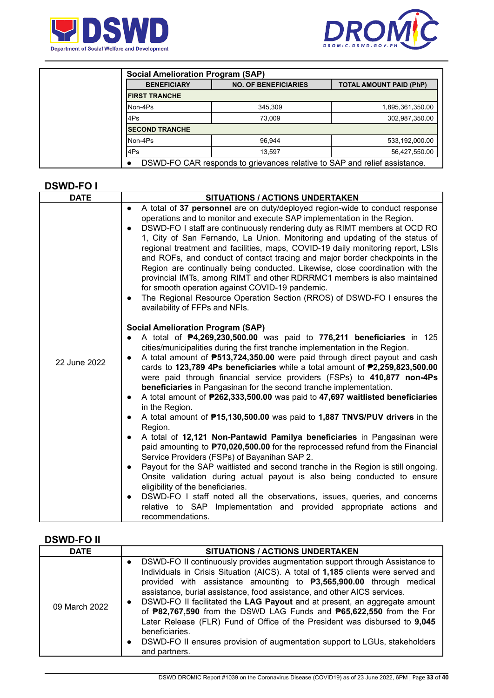



| <b>Social Amelioration Program (SAP)</b> |                                                                           |                                |  |  |  |
|------------------------------------------|---------------------------------------------------------------------------|--------------------------------|--|--|--|
| <b>BENEFICIARY</b>                       | <b>NO. OF BENEFICIARIES</b>                                               | <b>TOTAL AMOUNT PAID (PhP)</b> |  |  |  |
| <b>IFIRST TRANCHE</b>                    |                                                                           |                                |  |  |  |
| Non-4Ps                                  | 345.309                                                                   | 1,895,361,350.00               |  |  |  |
| l4Ps                                     | 73.009                                                                    | 302,987,350.00                 |  |  |  |
| <b>ISECOND TRANCHE</b>                   |                                                                           |                                |  |  |  |
| Non-4Ps                                  | 96.944                                                                    | 533,192,000.00                 |  |  |  |
| l4Ps                                     | 13.597                                                                    | 56,427,550.00                  |  |  |  |
|                                          | DSWD-FO CAR responds to grievances relative to SAP and relief assistance. |                                |  |  |  |

## **DSWD-FO I**

| <b>DATE</b>  | <b>SITUATIONS / ACTIONS UNDERTAKEN</b>                                                                                                                                                                                                                                                                                                                                                                                                                                                                                                                                                                                                                                                                                                                                                                                                                     |
|--------------|------------------------------------------------------------------------------------------------------------------------------------------------------------------------------------------------------------------------------------------------------------------------------------------------------------------------------------------------------------------------------------------------------------------------------------------------------------------------------------------------------------------------------------------------------------------------------------------------------------------------------------------------------------------------------------------------------------------------------------------------------------------------------------------------------------------------------------------------------------|
|              | A total of 37 personnel are on duty/deployed region-wide to conduct response<br>$\bullet$<br>operations and to monitor and execute SAP implementation in the Region.<br>DSWD-FO I staff are continuously rendering duty as RIMT members at OCD RO<br>$\bullet$<br>1, City of San Fernando, La Union. Monitoring and updating of the status of<br>regional treatment and facilities, maps, COVID-19 daily monitoring report, LSIs<br>and ROFs, and conduct of contact tracing and major border checkpoints in the<br>Region are continually being conducted. Likewise, close coordination with the<br>provincial IMTs, among RIMT and other RDRRMC1 members is also maintained<br>for smooth operation against COVID-19 pandemic.<br>The Regional Resource Operation Section (RROS) of DSWD-FO I ensures the<br>$\bullet$<br>availability of FFPs and NFIs. |
| 22 June 2022 | <b>Social Amelioration Program (SAP)</b><br>A total of P4,269,230,500.00 was paid to 776,211 beneficiaries in 125<br>$\bullet$<br>cities/municipalities during the first tranche implementation in the Region.<br>A total amount of <b>P513,724,350.00</b> were paid through direct payout and cash<br>$\bullet$<br>cards to 123,789 4Ps beneficiaries while a total amount of P2,259,823,500.00<br>were paid through financial service providers (FSPs) to 410,877 non-4Ps<br>beneficiaries in Pangasinan for the second tranche implementation.<br>A total amount of P262,333,500.00 was paid to 47,697 waitlisted beneficiaries<br>$\bullet$<br>in the Region.<br>A total amount of <b>P15,130,500.00</b> was paid to 1,887 TNVS/PUV drivers in the<br>$\bullet$                                                                                        |
|              | Region.<br>A total of 12,121 Non-Pantawid Pamilya beneficiaries in Pangasinan were<br>$\bullet$<br>paid amounting to <b>P70,020,500.00</b> for the reprocessed refund from the Financial<br>Service Providers (FSPs) of Bayanihan SAP 2.<br>Payout for the SAP waitlisted and second tranche in the Region is still ongoing.<br>$\bullet$<br>Onsite validation during actual payout is also being conducted to ensure<br>eligibility of the beneficiaries.<br>DSWD-FO I staff noted all the observations, issues, queries, and concerns<br>$\bullet$<br>relative to SAP Implementation and provided appropriate actions and<br>recommendations.                                                                                                                                                                                                            |

## **DSWD-FO II**

| <b>DATE</b>   | <b>SITUATIONS / ACTIONS UNDERTAKEN</b>                                                                                                                                                                                                                                                                                                                                                                                                                                                                                                                                                                                                                                                                                   |
|---------------|--------------------------------------------------------------------------------------------------------------------------------------------------------------------------------------------------------------------------------------------------------------------------------------------------------------------------------------------------------------------------------------------------------------------------------------------------------------------------------------------------------------------------------------------------------------------------------------------------------------------------------------------------------------------------------------------------------------------------|
| 09 March 2022 | DSWD-FO II continuously provides augmentation support through Assistance to<br>Individuals in Crisis Situation (AICS). A total of 1,185 clients were served and<br>provided with assistance amounting to $\textbf{P}3,565,900.00$ through medical<br>assistance, burial assistance, food assistance, and other AICS services.<br>DSWD-FO II facilitated the LAG Payout and at present, an aggregate amount<br>$\bullet$<br>of <b>P82,767,590</b> from the DSWD LAG Funds and <b>P65,622,550</b> from the For<br>Later Release (FLR) Fund of Office of the President was disbursed to 9,045<br>beneficiaries.<br>DSWD-FO II ensures provision of augmentation support to LGUs, stakeholders<br>$\bullet$<br>and partners. |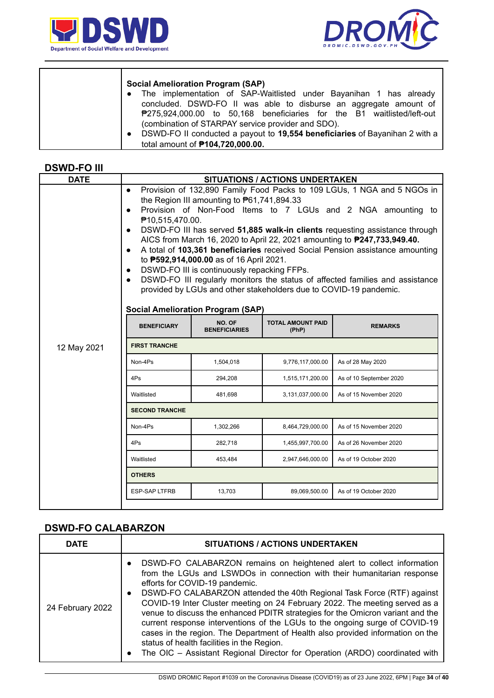

 $\top$ 



| <b>Social Amelioration Program (SAP)</b>                                                 |
|------------------------------------------------------------------------------------------|
| The implementation of SAP-Waitlisted under Bayanihan 1 has already                       |
| concluded. DSWD-FO II was able to disburse an aggregate amount of                        |
| <sup>#</sup> 275,924,000.00 to 50,168 beneficiaries for the B1 waitlisted/left-out       |
| (combination of STARPAY service provider and SDO).                                       |
| DSWD-FO II conducted a payout to 19,554 beneficiaries of Bayanihan 2 with a<br>$\bullet$ |
| total amount of <b>P104,720,000.00.</b>                                                  |

## **DSWD-FO III**

 $\overline{1}$ 

| <b>DATE</b>                         | <b>SITUATIONS / ACTIONS UNDERTAKEN</b>                                                                                                                                                                                                                                                                                                                                                                                                                                                                                                                                                                                                                                                                                                                                                                                                         |           |                  |                        |  |  |  |
|-------------------------------------|------------------------------------------------------------------------------------------------------------------------------------------------------------------------------------------------------------------------------------------------------------------------------------------------------------------------------------------------------------------------------------------------------------------------------------------------------------------------------------------------------------------------------------------------------------------------------------------------------------------------------------------------------------------------------------------------------------------------------------------------------------------------------------------------------------------------------------------------|-----------|------------------|------------------------|--|--|--|
|                                     | Provision of 132,890 Family Food Packs to 109 LGUs, 1 NGA and 5 NGOs in<br>$\bullet$<br>the Region III amounting to $P61,741,894.33$<br>Provision of Non-Food Items to 7 LGUs and 2 NGA amounting to<br>$\bullet$<br>₱10,515,470.00.<br>DSWD-FO III has served 51,885 walk-in clients requesting assistance through<br>$\bullet$<br>AICS from March 16, 2020 to April 22, 2021 amounting to <b>P247,733,949.40.</b><br>A total of 103,361 beneficiaries received Social Pension assistance amounting<br>$\bullet$<br>to <b>P592,914,000.00</b> as of 16 April 2021.<br>DSWD-FO III is continuously repacking FFPs.<br>$\bullet$<br>DSWD-FO III regularly monitors the status of affected families and assistance<br>$\bullet$<br>provided by LGUs and other stakeholders due to COVID-19 pandemic.<br><b>Social Amelioration Program (SAP)</b> |           |                  |                        |  |  |  |
|                                     | NO. OF<br><b>TOTAL AMOUNT PAID</b><br><b>BENEFICIARY</b><br><b>REMARKS</b><br><b>BENEFICIARIES</b><br>(PhP)                                                                                                                                                                                                                                                                                                                                                                                                                                                                                                                                                                                                                                                                                                                                    |           |                  |                        |  |  |  |
| <b>FIRST TRANCHE</b><br>12 May 2021 |                                                                                                                                                                                                                                                                                                                                                                                                                                                                                                                                                                                                                                                                                                                                                                                                                                                |           |                  |                        |  |  |  |
|                                     | Non-4Ps                                                                                                                                                                                                                                                                                                                                                                                                                                                                                                                                                                                                                                                                                                                                                                                                                                        | 1,504,018 | 9,776,117,000.00 | As of 28 May 2020      |  |  |  |
|                                     | 4Ps<br>294,208<br>As of 10 September 2020<br>1,515,171,200.00                                                                                                                                                                                                                                                                                                                                                                                                                                                                                                                                                                                                                                                                                                                                                                                  |           |                  |                        |  |  |  |
|                                     | Waitlisted<br>As of 15 November 2020<br>481,698<br>3,131,037,000.00                                                                                                                                                                                                                                                                                                                                                                                                                                                                                                                                                                                                                                                                                                                                                                            |           |                  |                        |  |  |  |
|                                     | <b>SECOND TRANCHE</b>                                                                                                                                                                                                                                                                                                                                                                                                                                                                                                                                                                                                                                                                                                                                                                                                                          |           |                  |                        |  |  |  |
|                                     | Non-4Ps<br>As of 15 November 2020<br>1,302,266<br>8,464,729,000.00                                                                                                                                                                                                                                                                                                                                                                                                                                                                                                                                                                                                                                                                                                                                                                             |           |                  |                        |  |  |  |
|                                     | 4Ps                                                                                                                                                                                                                                                                                                                                                                                                                                                                                                                                                                                                                                                                                                                                                                                                                                            | 282,718   | 1,455,997,700.00 | As of 26 November 2020 |  |  |  |
|                                     | 453,484<br>As of 19 October 2020<br>Waitlisted<br>2,947,646,000.00                                                                                                                                                                                                                                                                                                                                                                                                                                                                                                                                                                                                                                                                                                                                                                             |           |                  |                        |  |  |  |
|                                     | <b>OTHERS</b>                                                                                                                                                                                                                                                                                                                                                                                                                                                                                                                                                                                                                                                                                                                                                                                                                                  |           |                  |                        |  |  |  |
|                                     | <b>ESP-SAP LTFRB</b><br>13,703<br>89,069,500.00<br>As of 19 October 2020                                                                                                                                                                                                                                                                                                                                                                                                                                                                                                                                                                                                                                                                                                                                                                       |           |                  |                        |  |  |  |
|                                     |                                                                                                                                                                                                                                                                                                                                                                                                                                                                                                                                                                                                                                                                                                                                                                                                                                                |           |                  |                        |  |  |  |

# **DSWD-FO CALABARZON**

| <b>DATE</b>      | <b>SITUATIONS / ACTIONS UNDERTAKEN</b>                                                                                                                                                                                                                                                                                                                                                                                                                                                                                                                                                                                                                                                                                                                             |
|------------------|--------------------------------------------------------------------------------------------------------------------------------------------------------------------------------------------------------------------------------------------------------------------------------------------------------------------------------------------------------------------------------------------------------------------------------------------------------------------------------------------------------------------------------------------------------------------------------------------------------------------------------------------------------------------------------------------------------------------------------------------------------------------|
| 24 February 2022 | DSWD-FO CALABARZON remains on heightened alert to collect information<br>$\bullet$<br>from the LGUs and LSWDOs in connection with their humanitarian response<br>efforts for COVID-19 pandemic.<br>DSWD-FO CALABARZON attended the 40th Regional Task Force (RTF) against<br>$\bullet$<br>COVID-19 Inter Cluster meeting on 24 February 2022. The meeting served as a<br>venue to discuss the enhanced PDITR strategies for the Omicron variant and the<br>current response interventions of the LGUs to the ongoing surge of COVID-19<br>cases in the region. The Department of Health also provided information on the<br>status of health facilities in the Region.<br>The OIC - Assistant Regional Director for Operation (ARDO) coordinated with<br>$\bullet$ |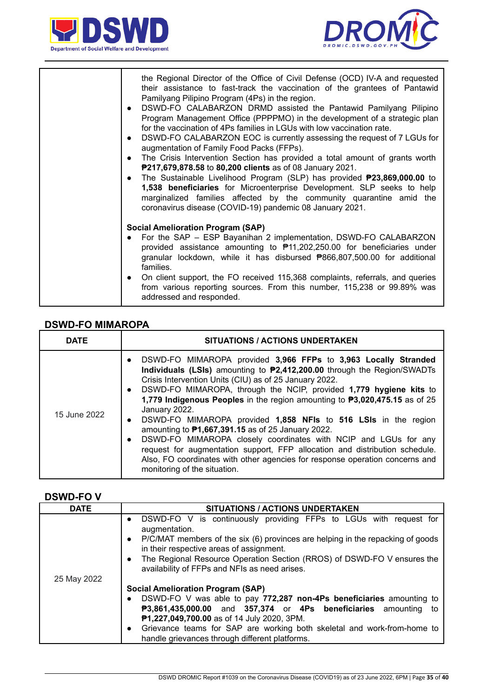



| the Regional Director of the Office of Civil Defense (OCD) IV-A and requested<br>their assistance to fast-track the vaccination of the grantees of Pantawid<br>Pamilyang Pilipino Program (4Ps) in the region.<br>DSWD-FO CALABARZON DRMD assisted the Pantawid Pamilyang Pilipino<br>$\bullet$<br>Program Management Office (PPPPMO) in the development of a strategic plan<br>for the vaccination of 4Ps families in LGUs with low vaccination rate.<br>DSWD-FO CALABARZON EOC is currently assessing the request of 7 LGUs for<br>$\bullet$<br>augmentation of Family Food Packs (FFPs).<br>The Crisis Intervention Section has provided a total amount of grants worth<br>$\bullet$<br>P217,679,878.58 to 80,200 clients as of 08 January 2021.<br>The Sustainable Livelihood Program (SLP) has provided <b>P23,869,000.00</b> to<br>$\bullet$<br>1,538 beneficiaries for Microenterprise Development. SLP seeks to help<br>marginalized families affected by the community quarantine amid the<br>coronavirus disease (COVID-19) pandemic 08 January 2021. |
|-----------------------------------------------------------------------------------------------------------------------------------------------------------------------------------------------------------------------------------------------------------------------------------------------------------------------------------------------------------------------------------------------------------------------------------------------------------------------------------------------------------------------------------------------------------------------------------------------------------------------------------------------------------------------------------------------------------------------------------------------------------------------------------------------------------------------------------------------------------------------------------------------------------------------------------------------------------------------------------------------------------------------------------------------------------------|
| <b>Social Amelioration Program (SAP)</b><br>For the SAP - ESP Bayanihan 2 implementation, DSWD-FO CALABARZON<br>provided assistance amounting to $\overline{P}$ 11,202,250.00 for beneficiaries under<br>granular lockdown, while it has disbursed ₱866,807,500.00 for additional<br>families.<br>On client support, the FO received 115,368 complaints, referrals, and queries<br>$\bullet$<br>from various reporting sources. From this number, 115,238 or 99.89% was<br>addressed and responded.                                                                                                                                                                                                                                                                                                                                                                                                                                                                                                                                                             |

#### **DSWD-FO MIMAROPA**

| <b>DATE</b>  | <b>SITUATIONS / ACTIONS UNDERTAKEN</b>                                                                                                                                                                                                                                                                                                                                                                                                                                                                                                                                                                                                                                                                                                                                                                                       |  |  |
|--------------|------------------------------------------------------------------------------------------------------------------------------------------------------------------------------------------------------------------------------------------------------------------------------------------------------------------------------------------------------------------------------------------------------------------------------------------------------------------------------------------------------------------------------------------------------------------------------------------------------------------------------------------------------------------------------------------------------------------------------------------------------------------------------------------------------------------------------|--|--|
| 15 June 2022 | DSWD-FO MIMAROPA provided 3,966 FFPs to 3,963 Locally Stranded<br>$\bullet$<br>Individuals (LSIs) amounting to P2,412,200.00 through the Region/SWADTs<br>Crisis Intervention Units (CIU) as of 25 January 2022.<br>DSWD-FO MIMAROPA, through the NCIP, provided 1,779 hygiene kits to<br>$\bullet$<br>1,779 Indigenous Peoples in the region amounting to P3,020,475.15 as of 25<br>January 2022.<br>DSWD-FO MIMAROPA provided 1,858 NFIs to 516 LSIs in the region<br>$\bullet$<br>amounting to <b>P1,667,391.15</b> as of 25 January 2022.<br>DSWD-FO MIMAROPA closely coordinates with NCIP and LGUs for any<br>$\bullet$<br>request for augmentation support, FFP allocation and distribution schedule.<br>Also, FO coordinates with other agencies for response operation concerns and<br>monitoring of the situation. |  |  |

## **DSWD-FO V**

| <b>DATE</b> | SITUATIONS / ACTIONS UNDERTAKEN                                                                                                                                                                                                                                                                                                                                                             |
|-------------|---------------------------------------------------------------------------------------------------------------------------------------------------------------------------------------------------------------------------------------------------------------------------------------------------------------------------------------------------------------------------------------------|
|             | DSWD-FO V is continuously providing FFPs to LGUs with request for<br>$\bullet$<br>augmentation.<br>P/C/MAT members of the six (6) provinces are helping in the repacking of goods<br>$\bullet$<br>in their respective areas of assignment.<br>The Regional Resource Operation Section (RROS) of DSWD-FO V ensures the<br>$\bullet$<br>availability of FFPs and NFIs as need arises.         |
| 25 May 2022 | <b>Social Amelioration Program (SAP)</b><br>DSWD-FO V was able to pay 772,287 non-4Ps beneficiaries amounting to<br>$\bullet$<br>P3,861,435,000.00 and 357,374 or 4Ps beneficiaries amounting<br>to<br>P1,227,049,700.00 as of 14 July 2020, 3PM.<br>Grievance teams for SAP are working both skeletal and work-from-home to<br>$\bullet$<br>handle grievances through different platforms. |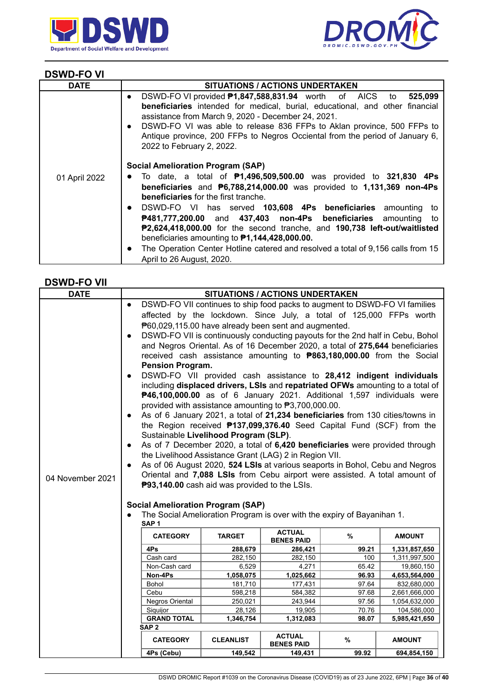



## **DSWD-FO VI**

| <b>DATE</b>   | <b>SITUATIONS / ACTIONS UNDERTAKEN</b>                                                                                                                                                                                                                                                                                                                                                                                          |
|---------------|---------------------------------------------------------------------------------------------------------------------------------------------------------------------------------------------------------------------------------------------------------------------------------------------------------------------------------------------------------------------------------------------------------------------------------|
|               | DSWD-FO VI provided <b>P1,847,588,831.94</b> worth of AICS to<br>525,099<br>$\bullet$<br>beneficiaries intended for medical, burial, educational, and other financial<br>assistance from March 9, 2020 - December 24, 2021.<br>DSWD-FO VI was able to release 836 FFPs to Aklan province, 500 FFPs to<br>$\bullet$<br>Antique province, 200 FFPs to Negros Occiental from the period of January 6,<br>2022 to February 2, 2022. |
| 01 April 2022 | <b>Social Amelioration Program (SAP)</b><br>To date, a total of $P1,496,509,500.00$ was provided to 321,830 4Ps<br>$\bullet$<br><b>beneficiaries</b> and $\overline{P}6,788,214,000.00$ was provided to 1,131,369 non-4Ps<br><b>beneficiaries</b> for the first tranche.<br>DSWD-FO VI has served 103,608 4Ps beneficiaries amounting to<br>$\bullet$<br>P481,777,200.00 and 437,403 non-4Ps beneficiaries amounting<br>to      |
|               | P2,624,418,000.00 for the second tranche, and 190,738 left-out/waitlisted<br>beneficiaries amounting to $P1,144,428,000.00$ .<br>The Operation Center Hotline catered and resolved a total of 9,156 calls from 15<br>$\bullet$<br>April to 26 August, 2020.                                                                                                                                                                     |

#### **DSWD-FO VII**

| <b>DATE</b>      |                                          | <b>SITUATIONS / ACTIONS UNDERTAKEN</b>                                         |                                       |                                    |                                                                                |                             |
|------------------|------------------------------------------|--------------------------------------------------------------------------------|---------------------------------------|------------------------------------|--------------------------------------------------------------------------------|-----------------------------|
|                  | $\bullet$                                |                                                                                |                                       |                                    | DSWD-FO VII continues to ship food packs to augment to DSWD-FO VI families     |                             |
|                  |                                          |                                                                                |                                       |                                    | affected by the lockdown. Since July, a total of 125,000 FFPs worth            |                             |
|                  |                                          | P60,029,115.00 have already been sent and augmented.                           |                                       |                                    |                                                                                |                             |
|                  | $\bullet$                                | DSWD-FO VII is continuously conducting payouts for the 2nd half in Cebu, Bohol |                                       |                                    |                                                                                |                             |
|                  |                                          |                                                                                |                                       |                                    | and Negros Oriental. As of 16 December 2020, a total of 275,644 beneficiaries  |                             |
|                  |                                          |                                                                                |                                       |                                    | received cash assistance amounting to <b>P863,180,000.00</b> from the Social   |                             |
|                  |                                          | <b>Pension Program.</b>                                                        |                                       |                                    |                                                                                |                             |
|                  | $\bullet$                                |                                                                                |                                       |                                    | DSWD-FO VII provided cash assistance to 28,412 indigent individuals            |                             |
|                  |                                          |                                                                                |                                       |                                    | including displaced drivers, LSIs and repatriated OFWs amounting to a total of |                             |
|                  |                                          |                                                                                |                                       |                                    | P46,100,000.00 as of 6 January 2021. Additional 1,597 individuals were         |                             |
|                  |                                          | provided with assistance amounting to ₱3,700,000.00.                           |                                       |                                    |                                                                                |                             |
|                  | $\bullet$                                |                                                                                |                                       |                                    | As of 6 January 2021, a total of 21,234 beneficiaries from 130 cities/towns in |                             |
|                  |                                          |                                                                                |                                       |                                    | the Region received <b>P137,099,376.40</b> Seed Capital Fund (SCF) from the    |                             |
|                  |                                          |                                                                                | Sustainable Livelihood Program (SLP). |                                    |                                                                                |                             |
|                  | $\bullet$                                |                                                                                |                                       |                                    | As of 7 December 2020, a total of 6,420 beneficiaries were provided through    |                             |
|                  |                                          | the Livelihood Assistance Grant (LAG) 2 in Region VII.                         |                                       |                                    |                                                                                |                             |
|                  | $\bullet$                                |                                                                                |                                       |                                    | As of 06 August 2020, 524 LSIs at various seaports in Bohol, Cebu and Negros   |                             |
| 04 November 2021 |                                          |                                                                                |                                       |                                    | Oriental and 7,088 LSIs from Cebu airport were assisted. A total amount of     |                             |
|                  |                                          | P93,140.00 cash aid was provided to the LSIs.                                  |                                       |                                    |                                                                                |                             |
|                  |                                          |                                                                                |                                       |                                    |                                                                                |                             |
|                  | <b>Social Amelioration Program (SAP)</b> |                                                                                |                                       |                                    |                                                                                |                             |
|                  |                                          | SAP <sub>1</sub>                                                               |                                       |                                    | The Social Amelioration Program is over with the expiry of Bayanihan 1.        |                             |
|                  |                                          |                                                                                |                                       | <b>ACTUAL</b>                      |                                                                                |                             |
|                  |                                          | <b>CATEGORY</b>                                                                | <b>TARGET</b>                         | <b>BENES PAID</b>                  | %                                                                              | <b>AMOUNT</b>               |
|                  |                                          | 4Ps                                                                            | 288,679                               | 286,421                            | 99.21                                                                          | 1,331,857,650               |
|                  |                                          | Cash card                                                                      | 282,150                               | 282,150                            | 100                                                                            | 1,311,997,500               |
|                  |                                          | Non-Cash card<br>Non-4Ps                                                       | 6,529<br>1,058,075                    | 4,271<br>1,025,662                 | 65.42<br>96.93                                                                 | 19,860,150<br>4,653,564,000 |
|                  |                                          | Bohol                                                                          | 181,710                               | 177,431                            | 97.64                                                                          | 832,680,000                 |
|                  |                                          | Cebu                                                                           | 598,218                               | 584,382                            | 97.68                                                                          | 2,661,666,000               |
|                  |                                          | Negros Oriental                                                                | 250,021                               | 243,944                            | 97.56                                                                          | 1,054,632,000               |
|                  |                                          | Siquijor                                                                       | 28,126                                | 19,905                             | 70.76                                                                          | 104,586,000                 |
|                  |                                          | <b>GRAND TOTAL</b>                                                             | 1,346,754                             | 1,312,083                          | 98.07                                                                          | 5,985,421,650               |
|                  |                                          | SAP <sub>2</sub>                                                               |                                       |                                    |                                                                                |                             |
|                  |                                          | <b>CATEGORY</b>                                                                | <b>CLEANLIST</b>                      | <b>ACTUAL</b><br><b>BENES PAID</b> | %                                                                              | <b>AMOUNT</b>               |
|                  |                                          | 4Ps (Cebu)                                                                     | 149,542                               | 149,431                            | 99.92                                                                          | 694,854,150                 |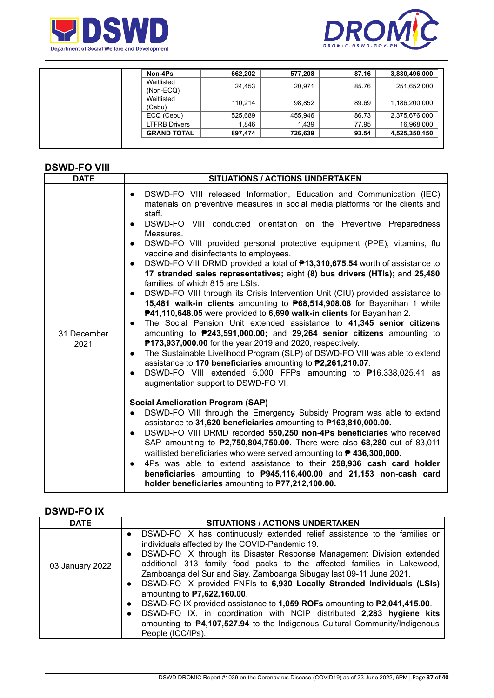



| Non-4Ps                 | 662,202 | 577,208 | 87.16 | 3,830,496,000 |
|-------------------------|---------|---------|-------|---------------|
| Waitlisted<br>(Non-ECQ) | 24,453  | 20,971  | 85.76 | 251,652,000   |
| Waitlisted<br>(Cebu)    | 110.214 | 98,852  | 89.69 | 1,186,200,000 |
| ECQ (Cebu)              | 525,689 | 455,946 | 86.73 | 2,375,676,000 |
| <b>LTFRB Drivers</b>    | 1.846   | 1,439   | 77.95 | 16,968,000    |
| <b>GRAND TOTAL</b>      | 897.474 | 726,639 | 93.54 | 4,525,350,150 |

## **DSWD-FO VIII**

| <b>DATE</b>         | <b>SITUATIONS / ACTIONS UNDERTAKEN</b>                                                                                                                                                                                                                                                                                                                                                                                                                                                                                                                                                                                                                                                                                                                                                                                                                                                                                                                                                                                                                                                                                                                                                                                                                                                                                                                                                                                                                                                                                                                                                                                                                                                                                                                                                                                                                                                                                                                                                                                                                                                         |  |  |
|---------------------|------------------------------------------------------------------------------------------------------------------------------------------------------------------------------------------------------------------------------------------------------------------------------------------------------------------------------------------------------------------------------------------------------------------------------------------------------------------------------------------------------------------------------------------------------------------------------------------------------------------------------------------------------------------------------------------------------------------------------------------------------------------------------------------------------------------------------------------------------------------------------------------------------------------------------------------------------------------------------------------------------------------------------------------------------------------------------------------------------------------------------------------------------------------------------------------------------------------------------------------------------------------------------------------------------------------------------------------------------------------------------------------------------------------------------------------------------------------------------------------------------------------------------------------------------------------------------------------------------------------------------------------------------------------------------------------------------------------------------------------------------------------------------------------------------------------------------------------------------------------------------------------------------------------------------------------------------------------------------------------------------------------------------------------------------------------------------------------------|--|--|
| 31 December<br>2021 | DSWD-FO VIII released Information, Education and Communication (IEC)<br>$\bullet$<br>materials on preventive measures in social media platforms for the clients and<br>staff.<br>DSWD-FO VIII conducted orientation on the Preventive Preparedness<br>$\bullet$<br>Measures.<br>DSWD-FO VIII provided personal protective equipment (PPE), vitamins, flu<br>$\bullet$<br>vaccine and disinfectants to employees.<br>DSWD-FO VIII DRMD provided a total of <b>P13,310,675.54</b> worth of assistance to<br>$\bullet$<br>17 stranded sales representatives; eight (8) bus drivers (HTIs); and 25,480<br>families, of which 815 are LSIs.<br>DSWD-FO VIII through its Crisis Intervention Unit (CIU) provided assistance to<br>$\bullet$<br>15,481 walk-in clients amounting to P68,514,908.08 for Bayanihan 1 while<br>P41,110,648.05 were provided to 6,690 walk-in clients for Bayanihan 2.<br>The Social Pension Unit extended assistance to 41,345 senior citizens<br>amounting to P243,591,000.00; and 29,264 senior citizens amounting to<br><b>P173,937,000.00</b> for the year 2019 and 2020, respectively.<br>The Sustainable Livelihood Program (SLP) of DSWD-FO VIII was able to extend<br>$\bullet$<br>assistance to 170 beneficiaries amounting to P2,261,210.07.<br>DSWD-FO VIII extended 5,000 FFPs amounting to <sup>\$</sup> 16,338,025.41 as<br>$\bullet$<br>augmentation support to DSWD-FO VI.<br><b>Social Amelioration Program (SAP)</b><br>DSWD-FO VIII through the Emergency Subsidy Program was able to extend<br>$\bullet$<br>assistance to 31,620 beneficiaries amounting to P163,810,000.00.<br>DSWD-FO VIII DRMD recorded 550,250 non-4Ps beneficiaries who received<br>$\bullet$<br>SAP amounting to <b>P2,750,804,750.00.</b> There were also 68,280 out of 83,011<br>waitlisted beneficiaries who were served amounting to <b>P 436,300,000.</b><br>4Ps was able to extend assistance to their 258,936 cash card holder<br>$\bullet$<br>beneficiaries amounting to P945,116,400.00 and 21,153 non-cash card<br>holder beneficiaries amounting to P77,212,100.00. |  |  |

## **DSWD-FO IX**

| <b>DATE</b>     | <b>SITUATIONS / ACTIONS UNDERTAKEN</b>                                                                                                                                                                                                                                                                                                                                                                                                                                                                                                                                                                                                                                                                                                                                                   |
|-----------------|------------------------------------------------------------------------------------------------------------------------------------------------------------------------------------------------------------------------------------------------------------------------------------------------------------------------------------------------------------------------------------------------------------------------------------------------------------------------------------------------------------------------------------------------------------------------------------------------------------------------------------------------------------------------------------------------------------------------------------------------------------------------------------------|
| 03 January 2022 | DSWD-FO IX has continuously extended relief assistance to the families or<br>individuals affected by the COVID-Pandemic 19.<br>DSWD-FO IX through its Disaster Response Management Division extended<br>$\bullet$<br>additional 313 family food packs to the affected families in Lakewood,<br>Zamboanga del Sur and Siay, Zamboanga Sibugay last 09-11 June 2021.<br>DSWD-FO IX provided FNFIs to 6,930 Locally Stranded Individuals (LSIs)<br>$\bullet$<br>amounting to <b>P7,622,160.00</b> .<br>DSWD-FO IX provided assistance to 1,059 ROFs amounting to P2,041,415.00.<br>$\bullet$<br>DSWD-FO IX, in coordination with NCIP distributed 2,283 hygiene kits<br>$\bullet$<br>amounting to <b>P4,107,527.94</b> to the Indigenous Cultural Community/Indigenous<br>People (ICC/IPs). |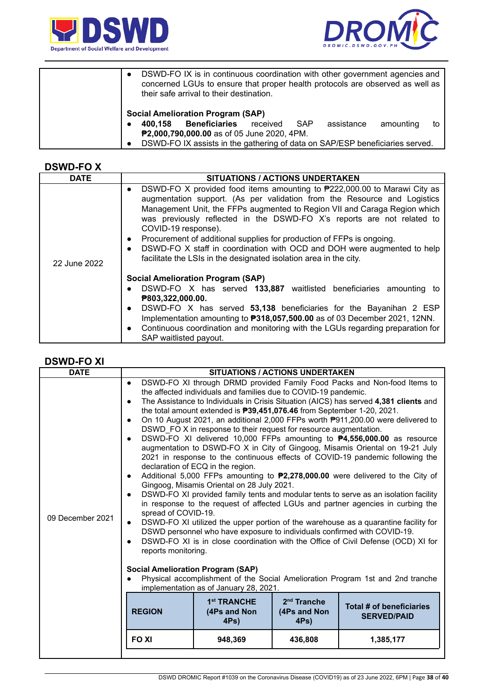



| DSWD-FO IX is in continuous coordination with other government agencies and<br>$\bullet$<br>concerned LGUs to ensure that proper health protocols are observed as well as<br>their safe arrival to their destination. |                 |            |           |    |
|-----------------------------------------------------------------------------------------------------------------------------------------------------------------------------------------------------------------------|-----------------|------------|-----------|----|
| <b>Social Amelioration Program (SAP)</b>                                                                                                                                                                              |                 |            |           |    |
| <b>Beneficiaries</b><br>400.158                                                                                                                                                                                       | SAP<br>received | assistance | amounting | to |
| P2,000,790,000.00 as of 05 June 2020, 4PM.                                                                                                                                                                            |                 |            |           |    |
| DSWD-FO IX assists in the gathering of data on SAP/ESP beneficiaries served.<br>$\bullet$                                                                                                                             |                 |            |           |    |

#### **DSWD-FO X**

| <b>DATE</b>  | <b>SITUATIONS / ACTIONS UNDERTAKEN</b>                                                                                                                                                                                                                                                                                                                                                                                                                                                                                                                                                             |
|--------------|----------------------------------------------------------------------------------------------------------------------------------------------------------------------------------------------------------------------------------------------------------------------------------------------------------------------------------------------------------------------------------------------------------------------------------------------------------------------------------------------------------------------------------------------------------------------------------------------------|
| 22 June 2022 | DSWD-FO X provided food items amounting to ₱222,000.00 to Marawi City as<br>$\bullet$<br>augmentation support. (As per validation from the Resource and Logistics<br>Management Unit, the FFPs augmented to Region VII and Caraga Region which<br>was previously reflected in the DSWD-FO X's reports are not related to<br>COVID-19 response).<br>Procurement of additional supplies for production of FFPs is ongoing.<br>$\bullet$<br>DSWD-FO X staff in coordination with OCD and DOH were augmented to help<br>$\bullet$<br>facilitate the LSIs in the designated isolation area in the city. |
|              | <b>Social Amelioration Program (SAP)</b><br>DSWD-FO X has served 133,887 waitlisted beneficiaries amounting to<br>$\bullet$<br>₱803,322,000.00.<br>DSWD-FO X has served 53,138 beneficiaries for the Bayanihan 2 ESP<br>$\bullet$<br>Implementation amounting to <b>P318,057,500.00</b> as of 03 December 2021, 12NN.<br>Continuous coordination and monitoring with the LGUs regarding preparation for<br>$\bullet$<br>SAP waitlisted payout.                                                                                                                                                     |

## **DSWD-FO XI**

| <b>DATE</b>      | <b>SITUATIONS / ACTIONS UNDERTAKEN</b>                                                                                                                                                                                                                                                                                                                                                                                                                                                                                                                                                                                                                                                                                                                                                                                                                                                                                                                                                                                                                                                                                                                                                                                                                                                                                                                                                                                                                                                                                                                                                                                                           |                                                 |                                       |                                                |  |
|------------------|--------------------------------------------------------------------------------------------------------------------------------------------------------------------------------------------------------------------------------------------------------------------------------------------------------------------------------------------------------------------------------------------------------------------------------------------------------------------------------------------------------------------------------------------------------------------------------------------------------------------------------------------------------------------------------------------------------------------------------------------------------------------------------------------------------------------------------------------------------------------------------------------------------------------------------------------------------------------------------------------------------------------------------------------------------------------------------------------------------------------------------------------------------------------------------------------------------------------------------------------------------------------------------------------------------------------------------------------------------------------------------------------------------------------------------------------------------------------------------------------------------------------------------------------------------------------------------------------------------------------------------------------------|-------------------------------------------------|---------------------------------------|------------------------------------------------|--|
| 09 December 2021 | DSWD-FO XI through DRMD provided Family Food Packs and Non-food Items to<br>$\bullet$<br>the affected individuals and families due to COVID-19 pandemic.<br>The Assistance to Individuals in Crisis Situation (AICS) has served 4,381 clients and<br>$\bullet$<br>the total amount extended is <b>P39,451,076.46</b> from September 1-20, 2021.<br>On 10 August 2021, an additional 2,000 FFPs worth ₱911,200.00 were delivered to<br>$\bullet$<br>DSWD FO X in response to their request for resource augmentation.<br>DSWD-FO XI delivered 10,000 FFPs amounting to <b>P4,556,000.00</b> as resource<br>$\bullet$<br>augmentation to DSWD-FO X in City of Gingoog, Misamis Oriental on 19-21 July<br>2021 in response to the continuous effects of COVID-19 pandemic following the<br>declaration of ECQ in the region.<br>Additional 5,000 FFPs amounting to <b>P2,278,000.00</b> were delivered to the City of<br>$\bullet$<br>Gingoog, Misamis Oriental on 28 July 2021.<br>DSWD-FO XI provided family tents and modular tents to serve as an isolation facility<br>$\bullet$<br>in response to the request of affected LGUs and partner agencies in curbing the<br>spread of COVID-19.<br>DSWD-FO XI utilized the upper portion of the warehouse as a quarantine facility for<br>$\bullet$<br>DSWD personnel who have exposure to individuals confirmed with COVID-19.<br>DSWD-FO XI is in close coordination with the Office of Civil Defense (OCD) XI for<br>$\bullet$<br>reports monitoring.<br><b>Social Amelioration Program (SAP)</b><br>Physical accomplishment of the Social Amelioration Program 1st and 2nd tranche<br>$\bullet$ |                                                 |                                       |                                                |  |
|                  | <b>REGION</b>                                                                                                                                                                                                                                                                                                                                                                                                                                                                                                                                                                                                                                                                                                                                                                                                                                                                                                                                                                                                                                                                                                                                                                                                                                                                                                                                                                                                                                                                                                                                                                                                                                    | 1 <sup>st</sup> TRANCHE<br>(4Ps and Non<br>4Ps) | $2nd$ Tranche<br>(4Ps and Non<br>4Ps) | Total # of beneficiaries<br><b>SERVED/PAID</b> |  |
|                  | <b>FOXI</b>                                                                                                                                                                                                                                                                                                                                                                                                                                                                                                                                                                                                                                                                                                                                                                                                                                                                                                                                                                                                                                                                                                                                                                                                                                                                                                                                                                                                                                                                                                                                                                                                                                      | 948,369                                         | 436,808                               | 1,385,177                                      |  |
|                  |                                                                                                                                                                                                                                                                                                                                                                                                                                                                                                                                                                                                                                                                                                                                                                                                                                                                                                                                                                                                                                                                                                                                                                                                                                                                                                                                                                                                                                                                                                                                                                                                                                                  |                                                 |                                       |                                                |  |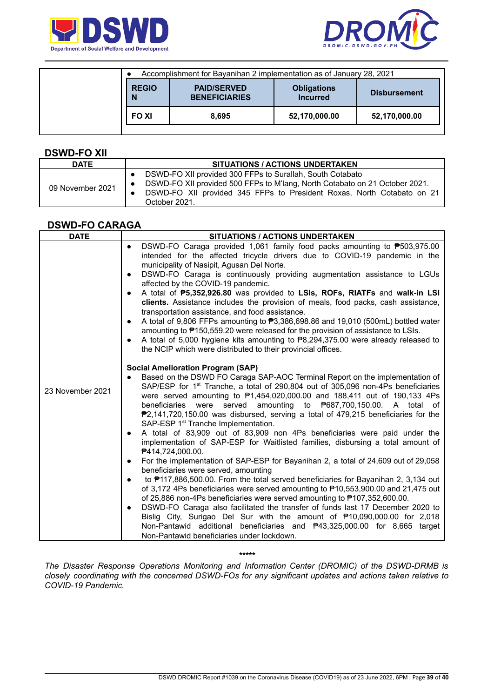



|                   | Accomplishment for Bayanihan 2 implementation as of January 28, 2021 |                                       |                     |
|-------------------|----------------------------------------------------------------------|---------------------------------------|---------------------|
| <b>REGIO</b><br>N | <b>PAID/SERVED</b><br><b>BENEFICIARIES</b>                           | <b>Obligations</b><br><b>Incurred</b> | <b>Disbursement</b> |
| <b>FOXI</b>       | 8.695                                                                | 52,170,000.00                         | 52,170,000.00       |

#### **DSWD-FO XII**

| <b>DATE</b>      | <b>SITUATIONS / ACTIONS UNDERTAKEN</b>                                                                                                                                                                                              |
|------------------|-------------------------------------------------------------------------------------------------------------------------------------------------------------------------------------------------------------------------------------|
| 09 November 2021 | DSWD-FO XII provided 300 FFPs to Surallah, South Cotabato<br>DSWD-FO XII provided 500 FFPs to M'lang, North Cotabato on 21 October 2021.<br>DSWD-FO XII provided 345 FFPs to President Roxas, North Cotabato on 21<br>October 2021. |

## **DSWD-FO CARAGA**

| <b>DATE</b>      | <b>SITUATIONS / ACTIONS UNDERTAKEN</b>                                                                                                                                                                                                                                                                                                                                                                                                                                                                                                                                                                                                                                                                                                                                                                                                                                                                                                                                                                                                                                                                                                                                                                                                                                                                                                                                                                                                                                  |
|------------------|-------------------------------------------------------------------------------------------------------------------------------------------------------------------------------------------------------------------------------------------------------------------------------------------------------------------------------------------------------------------------------------------------------------------------------------------------------------------------------------------------------------------------------------------------------------------------------------------------------------------------------------------------------------------------------------------------------------------------------------------------------------------------------------------------------------------------------------------------------------------------------------------------------------------------------------------------------------------------------------------------------------------------------------------------------------------------------------------------------------------------------------------------------------------------------------------------------------------------------------------------------------------------------------------------------------------------------------------------------------------------------------------------------------------------------------------------------------------------|
|                  | DSWD-FO Caraga provided 1,061 family food packs amounting to ₱503,975.00<br>$\bullet$<br>intended for the affected tricycle drivers due to COVID-19 pandemic in the<br>municipality of Nasipit, Agusan Del Norte.<br>DSWD-FO Caraga is continuously providing augmentation assistance to LGUs<br>$\bullet$<br>affected by the COVID-19 pandemic.<br>A total of P5,352,926.80 was provided to LSIs, ROFs, RIATFs and walk-in LSI<br>$\bullet$<br>clients. Assistance includes the provision of meals, food packs, cash assistance,<br>transportation assistance, and food assistance.<br>A total of 9,806 FFPs amounting to ₱3,386,698.86 and 19,010 (500mL) bottled water<br>$\bullet$<br>amounting to P150,559.20 were released for the provision of assistance to LSIs.<br>A total of 5,000 hygiene kits amounting to $\overline{P8,294,375.00}$ were already released to<br>$\bullet$<br>the NCIP which were distributed to their provincial offices.                                                                                                                                                                                                                                                                                                                                                                                                                                                                                                                |
| 23 November 2021 | <b>Social Amelioration Program (SAP)</b><br>Based on the DSWD FO Caraga SAP-AOC Terminal Report on the implementation of<br>SAP/ESP for 1 <sup>st</sup> Tranche, a total of 290,804 out of 305,096 non-4Ps beneficiaries<br>were served amounting to $\overline{P}1,454,020,000.00$ and 188,411 out of 190,133 4Ps<br>beneficiaries were served amounting to P687,700,150.00. A total of<br>$P2,141,720,150.00$ was disbursed, serving a total of 479,215 beneficiaries for the<br>SAP-ESP 1 <sup>st</sup> Tranche Implementation.<br>A total of 83,909 out of 83,909 non 4Ps beneficiaries were paid under the<br>$\bullet$<br>implementation of SAP-ESP for Waitlisted families, disbursing a total amount of<br><b>₱414,724,000.00.</b><br>For the implementation of SAP-ESP for Bayanihan 2, a total of 24,609 out of 29,058<br>$\bullet$<br>beneficiaries were served, amounting<br>to #117,886,500.00. From the total served beneficiaries for Bayanihan 2, 3,134 out<br>$\bullet$<br>of 3,172 4Ps beneficiaries were served amounting to ₱10,553,900.00 and 21,475 out<br>of 25,886 non-4Ps beneficiaries were served amounting to P107,352,600.00.<br>DSWD-FO Caraga also facilitated the transfer of funds last 17 December 2020 to<br>$\bullet$<br>Bislig City, Surigao Del Sur with the amount of ₱10,090,000.00 for 2,018<br>Non-Pantawid additional beneficiaries and <b>₱43,325,000.00</b> for 8,665 target<br>Non-Pantawid beneficiaries under lockdown. |

*\*\*\*\*\**

*The Disaster Response Operations Monitoring and Information Center (DROMIC) of the DSWD-DRMB is closely coordinating with the concerned DSWD-FOs for any significant updates and actions taken relative to COVID-19 Pandemic.*